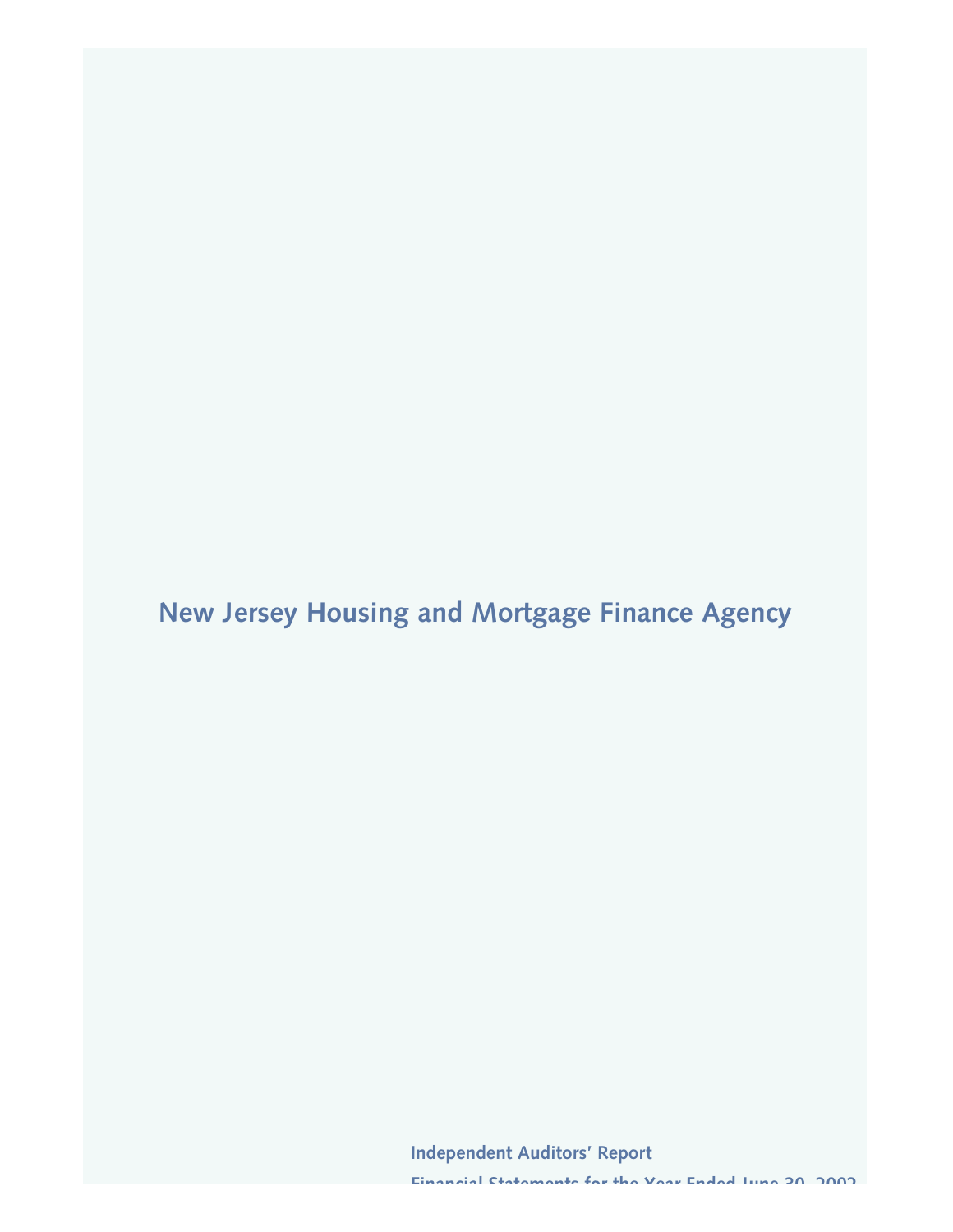**New Jersey Housing and Mortgage Finance Agency**

**Independent Auditors' Report**

**Financial Statements for the Year Ended June 30, 2002**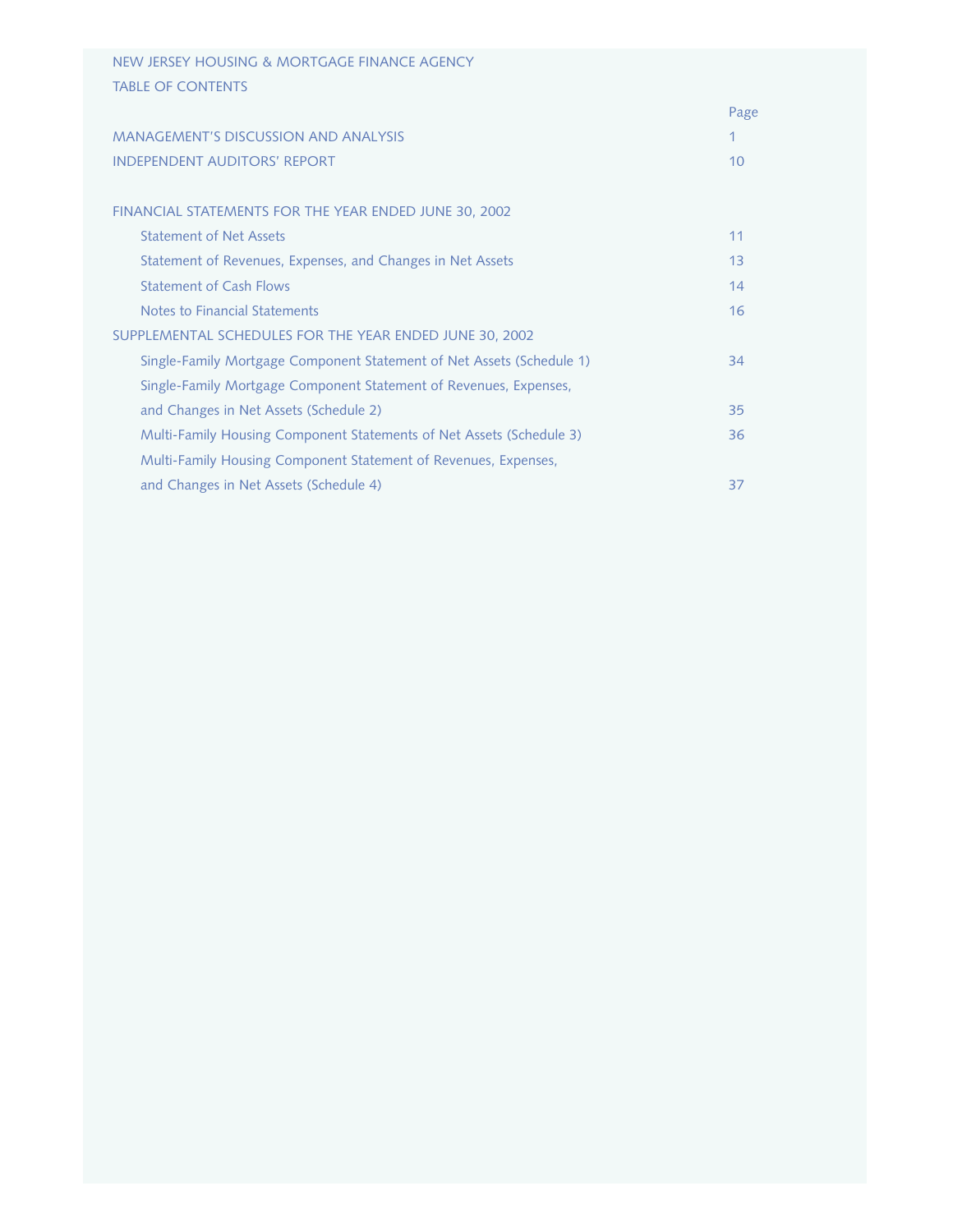| NEW JERSEY HOUSING & MORTGAGE FINANCE AGENCY                          |      |
|-----------------------------------------------------------------------|------|
| <b>TABLE OF CONTENTS</b>                                              |      |
|                                                                       | Page |
| <b>MANAGEMENT'S DISCUSSION AND ANALYSIS</b>                           |      |
| <b>INDEPENDENT AUDITORS' REPORT</b>                                   | 10   |
|                                                                       |      |
| FINANCIAL STATEMENTS FOR THE YEAR ENDED JUNE 30, 2002                 |      |
| <b>Statement of Net Assets</b>                                        | 11   |
| Statement of Revenues, Expenses, and Changes in Net Assets            | 13   |
| <b>Statement of Cash Flows</b>                                        | 14   |
| Notes to Financial Statements                                         | 16   |
| SUPPLEMENTAL SCHEDULES FOR THE YEAR ENDED JUNE 30, 2002               |      |
| Single-Family Mortgage Component Statement of Net Assets (Schedule 1) | 34   |
| Single-Family Mortgage Component Statement of Revenues, Expenses,     |      |
| and Changes in Net Assets (Schedule 2)                                | 35   |
| Multi-Family Housing Component Statements of Net Assets (Schedule 3)  | 36   |
| Multi-Family Housing Component Statement of Revenues, Expenses,       |      |
| and Changes in Net Assets (Schedule 4)                                | 37   |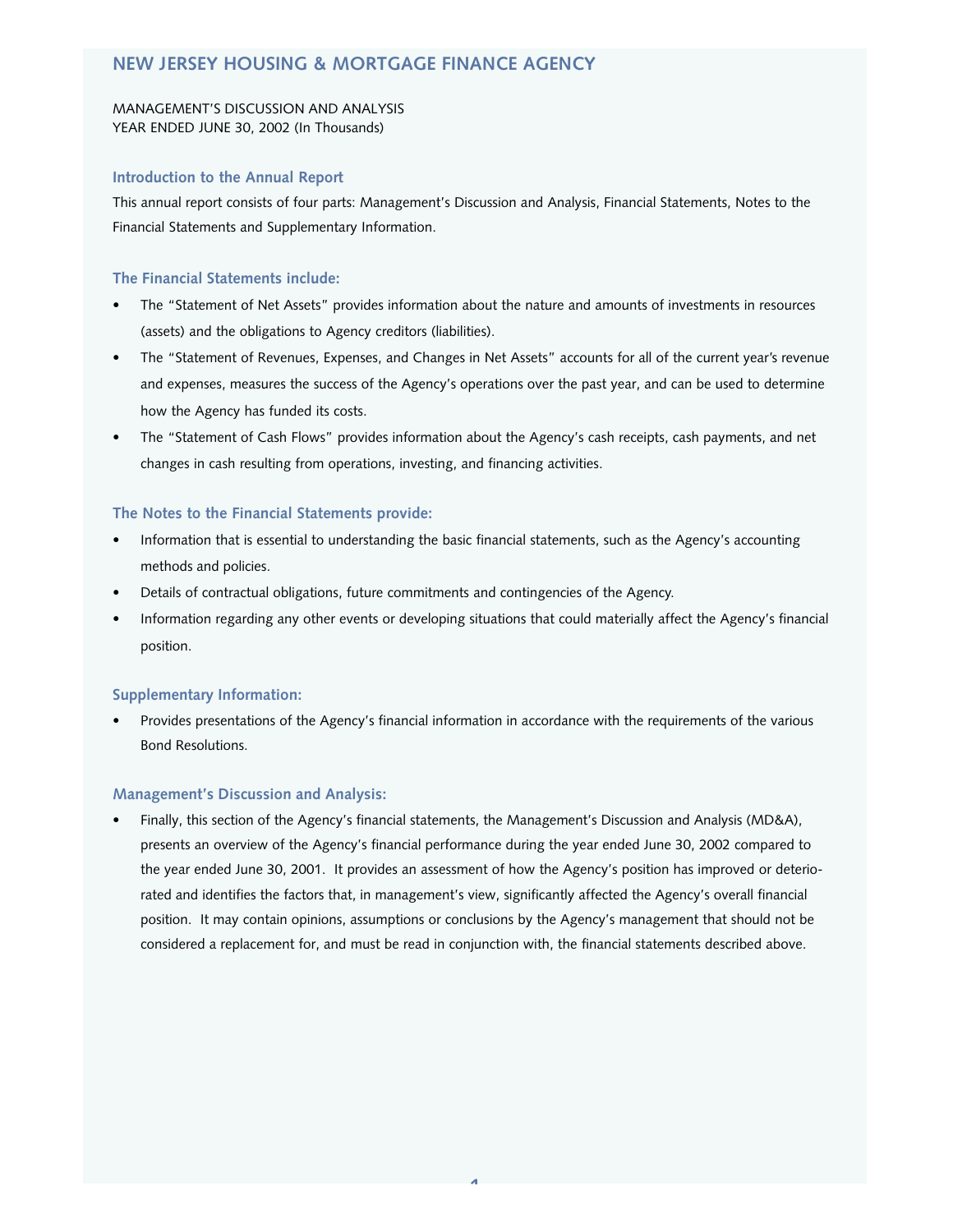## **NEW JERSEY HOUSING & MORTGAGE FINANCE AGENCY**

## MANAGEMENT'S DISCUSSION AND ANALYSIS YEAR ENDED JUNE 30, 2002 (In Thousands)

## **Introduction to the Annual Report**

This annual report consists of four parts: Management's Discussion and Analysis, Financial Statements, Notes to the Financial Statements and Supplementary Information.

## **The Financial Statements include:**

- The "Statement of Net Assets" provides information about the nature and amounts of investments in resources (assets) and the obligations to Agency creditors (liabilities).
- The "Statement of Revenues, Expenses, and Changes in Net Assets" accounts for all of the current year's revenue and expenses, measures the success of the Agency's operations over the past year, and can be used to determine how the Agency has funded its costs.
- The "Statement of Cash Flows" provides information about the Agency's cash receipts, cash payments, and net changes in cash resulting from operations, investing, and financing activities.

## **The Notes to the Financial Statements provide:**

- Information that is essential to understanding the basic financial statements, such as the Agency's accounting methods and policies.
- Details of contractual obligations, future commitments and contingencies of the Agency.
- Information regarding any other events or developing situations that could materially affect the Agency's financial position.

#### **Supplementary Information:**

• Provides presentations of the Agency's financial information in accordance with the requirements of the various Bond Resolutions.

#### **Management's Discussion and Analysis:**

• Finally, this section of the Agency's financial statements, the Management's Discussion and Analysis (MD&A), presents an overview of the Agency's financial performance during the year ended June 30, 2002 compared to the year ended June 30, 2001. It provides an assessment of how the Agency's position has improved or deteriorated and identifies the factors that, in management's view, significantly affected the Agency's overall financial position. It may contain opinions, assumptions or conclusions by the Agency's management that should not be considered a replacement for, and must be read in conjunction with, the financial statements described above.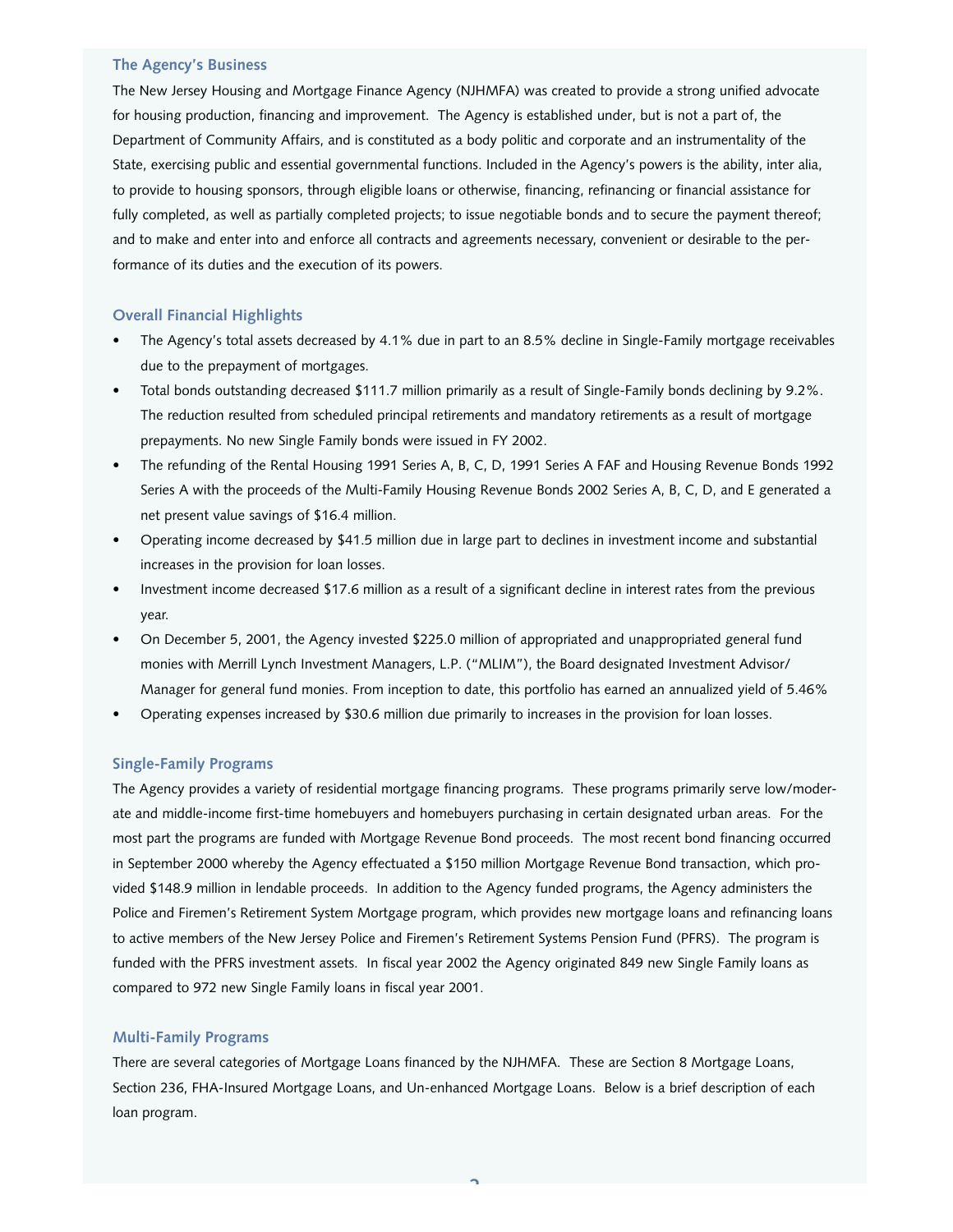## **The Agency's Business**

The New Jersey Housing and Mortgage Finance Agency (NJHMFA) was created to provide a strong unified advocate for housing production, financing and improvement. The Agency is established under, but is not a part of, the Department of Community Affairs, and is constituted as a body politic and corporate and an instrumentality of the State, exercising public and essential governmental functions. Included in the Agency's powers is the ability, inter alia, to provide to housing sponsors, through eligible loans or otherwise, financing, refinancing or financial assistance for fully completed, as well as partially completed projects; to issue negotiable bonds and to secure the payment thereof; and to make and enter into and enforce all contracts and agreements necessary, convenient or desirable to the performance of its duties and the execution of its powers.

## **Overall Financial Highlights**

- The Agency's total assets decreased by 4.1% due in part to an 8.5% decline in Single-Family mortgage receivables due to the prepayment of mortgages.
- Total bonds outstanding decreased \$111.7 million primarily as a result of Single-Family bonds declining by 9.2%. The reduction resulted from scheduled principal retirements and mandatory retirements as a result of mortgage prepayments. No new Single Family bonds were issued in FY 2002.
- The refunding of the Rental Housing 1991 Series A, B, C, D, 1991 Series A FAF and Housing Revenue Bonds 1992 Series A with the proceeds of the Multi-Family Housing Revenue Bonds 2002 Series A, B, C, D, and E generated a net present value savings of \$16.4 million.
- Operating income decreased by \$41.5 million due in large part to declines in investment income and substantial increases in the provision for loan losses.
- Investment income decreased \$17.6 million as a result of a significant decline in interest rates from the previous year.
- On December 5, 2001, the Agency invested \$225.0 million of appropriated and unappropriated general fund monies with Merrill Lynch Investment Managers, L.P. ("MLIM"), the Board designated Investment Advisor/ Manager for general fund monies. From inception to date, this portfolio has earned an annualized yield of 5.46%
- Operating expenses increased by \$30.6 million due primarily to increases in the provision for loan losses.

#### **Single-Family Programs**

The Agency provides a variety of residential mortgage financing programs. These programs primarily serve low/moderate and middle-income first-time homebuyers and homebuyers purchasing in certain designated urban areas. For the most part the programs are funded with Mortgage Revenue Bond proceeds. The most recent bond financing occurred in September 2000 whereby the Agency effectuated a \$150 million Mortgage Revenue Bond transaction, which provided \$148.9 million in lendable proceeds. In addition to the Agency funded programs, the Agency administers the Police and Firemen's Retirement System Mortgage program, which provides new mortgage loans and refinancing loans to active members of the New Jersey Police and Firemen's Retirement Systems Pension Fund (PFRS). The program is funded with the PFRS investment assets. In fiscal year 2002 the Agency originated 849 new Single Family loans as compared to 972 new Single Family loans in fiscal year 2001.

#### **Multi-Family Programs**

There are several categories of Mortgage Loans financed by the NJHMFA. These are Section 8 Mortgage Loans, Section 236, FHA-Insured Mortgage Loans, and Un-enhanced Mortgage Loans. Below is a brief description of each loan program.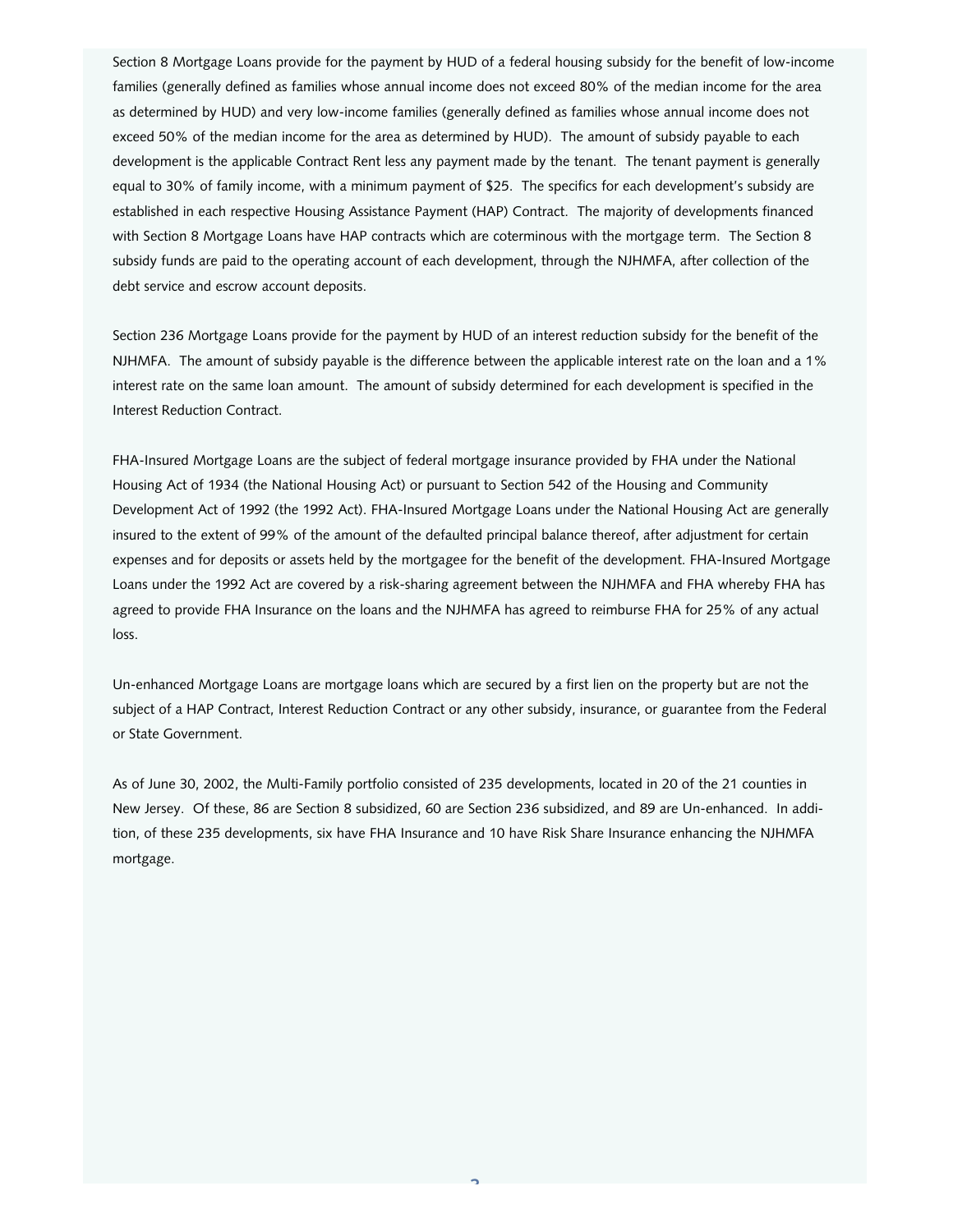Section 8 Mortgage Loans provide for the payment by HUD of a federal housing subsidy for the benefit of low-income families (generally defined as families whose annual income does not exceed 80% of the median income for the area as determined by HUD) and very low-income families (generally defined as families whose annual income does not exceed 50% of the median income for the area as determined by HUD). The amount of subsidy payable to each development is the applicable Contract Rent less any payment made by the tenant. The tenant payment is generally equal to 30% of family income, with a minimum payment of \$25. The specifics for each development's subsidy are established in each respective Housing Assistance Payment (HAP) Contract. The majority of developments financed with Section 8 Mortgage Loans have HAP contracts which are coterminous with the mortgage term. The Section 8 subsidy funds are paid to the operating account of each development, through the NJHMFA, after collection of the debt service and escrow account deposits.

Section 236 Mortgage Loans provide for the payment by HUD of an interest reduction subsidy for the benefit of the NJHMFA. The amount of subsidy payable is the difference between the applicable interest rate on the loan and a 1% interest rate on the same loan amount. The amount of subsidy determined for each development is specified in the Interest Reduction Contract.

FHA-Insured Mortgage Loans are the subject of federal mortgage insurance provided by FHA under the National Housing Act of 1934 (the National Housing Act) or pursuant to Section 542 of the Housing and Community Development Act of 1992 (the 1992 Act). FHA-Insured Mortgage Loans under the National Housing Act are generally insured to the extent of 99% of the amount of the defaulted principal balance thereof, after adjustment for certain expenses and for deposits or assets held by the mortgagee for the benefit of the development. FHA-Insured Mortgage Loans under the 1992 Act are covered by a risk-sharing agreement between the NJHMFA and FHA whereby FHA has agreed to provide FHA Insurance on the loans and the NJHMFA has agreed to reimburse FHA for 25% of any actual loss.

Un-enhanced Mortgage Loans are mortgage loans which are secured by a first lien on the property but are not the subject of a HAP Contract, Interest Reduction Contract or any other subsidy, insurance, or guarantee from the Federal or State Government.

As of June 30, 2002, the Multi-Family portfolio consisted of 235 developments, located in 20 of the 21 counties in New Jersey. Of these, 86 are Section 8 subsidized, 60 are Section 236 subsidized, and 89 are Un-enhanced. In addition, of these 235 developments, six have FHA Insurance and 10 have Risk Share Insurance enhancing the NJHMFA mortgage.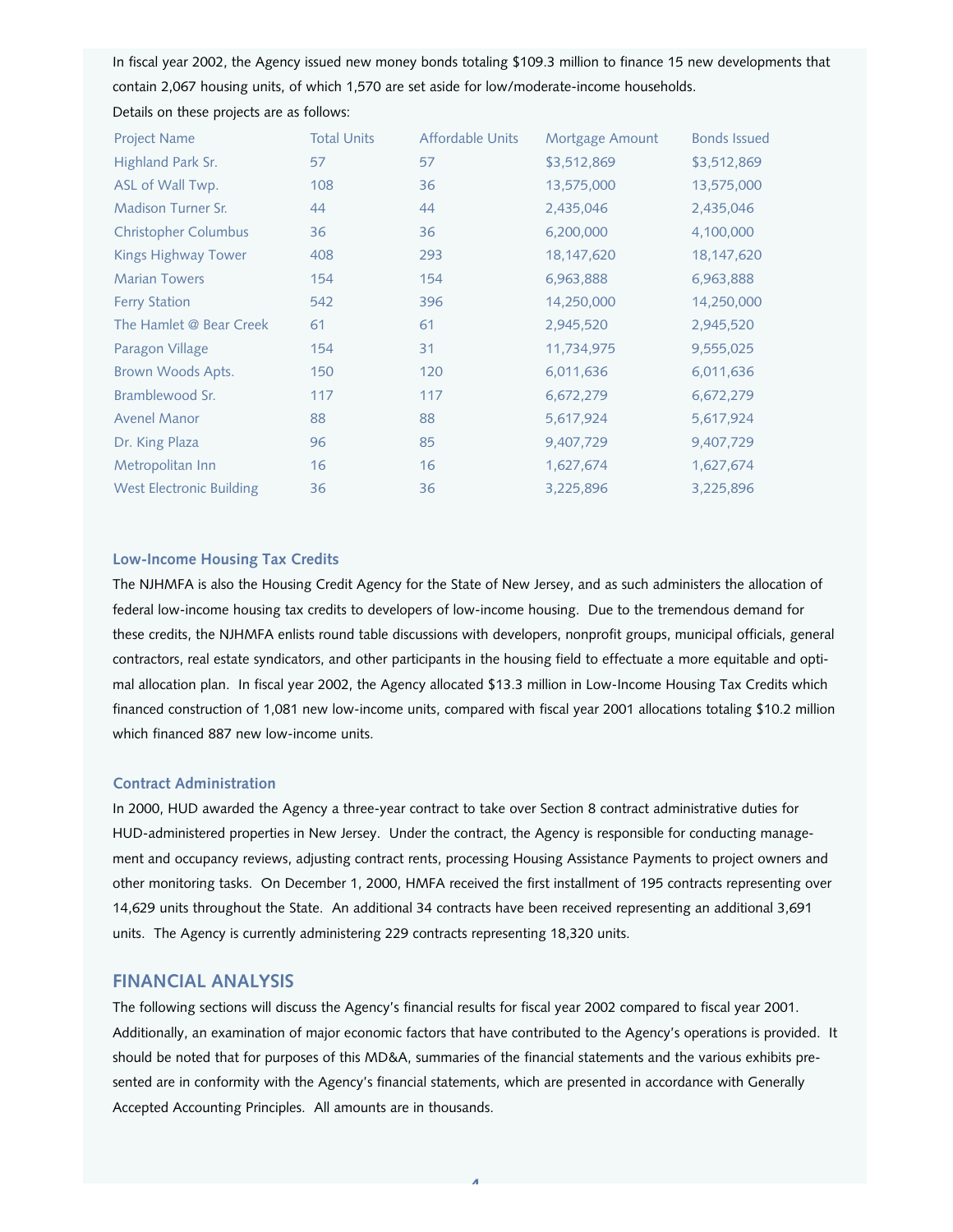In fiscal year 2002, the Agency issued new money bonds totaling \$109.3 million to finance 15 new developments that contain 2,067 housing units, of which 1,570 are set aside for low/moderate-income households. Details on these projects are as follows:

| <b>Project Name</b>             | <b>Total Units</b> | Affordable Units | Mortgage Amount | <b>Bonds Issued</b> |
|---------------------------------|--------------------|------------------|-----------------|---------------------|
| Highland Park Sr.               | 57                 | 57               | \$3,512,869     | \$3,512,869         |
| ASL of Wall Twp.                | 108                | 36               | 13,575,000      | 13,575,000          |
| <b>Madison Turner Sr.</b>       | 44                 | 44               | 2,435,046       | 2,435,046           |
| <b>Christopher Columbus</b>     | 36                 | 36               | 6,200,000       | 4,100,000           |
| <b>Kings Highway Tower</b>      | 408                | 293              | 18,147,620      | 18,147,620          |
| <b>Marian Towers</b>            | 154                | 154              | 6,963,888       | 6,963,888           |
| <b>Ferry Station</b>            | 542                | 396              | 14,250,000      | 14,250,000          |
| The Hamlet @ Bear Creek         | 61                 | 61               | 2,945,520       | 2,945,520           |
| Paragon Village                 | 154                | 31               | 11,734,975      | 9,555,025           |
| Brown Woods Apts.               | 150                | 120              | 6,011,636       | 6,011,636           |
| Bramblewood Sr.                 | 117                | 117              | 6,672,279       | 6,672,279           |
| <b>Avenel Manor</b>             | 88                 | 88               | 5,617,924       | 5,617,924           |
| Dr. King Plaza                  | 96                 | 85               | 9,407,729       | 9,407,729           |
| Metropolitan Inn                | 16                 | 16               | 1,627,674       | 1,627,674           |
| <b>West Electronic Building</b> | 36                 | 36               | 3,225,896       | 3,225,896           |

## **Low-Income Housing Tax Credits**

The NJHMFA is also the Housing Credit Agency for the State of New Jersey, and as such administers the allocation of federal low-income housing tax credits to developers of low-income housing. Due to the tremendous demand for these credits, the NJHMFA enlists round table discussions with developers, nonprofit groups, municipal officials, general contractors, real estate syndicators, and other participants in the housing field to effectuate a more equitable and optimal allocation plan. In fiscal year 2002, the Agency allocated \$13.3 million in Low-Income Housing Tax Credits which financed construction of 1,081 new low-income units, compared with fiscal year 2001 allocations totaling \$10.2 million which financed 887 new low-income units.

#### **Contract Administration**

In 2000, HUD awarded the Agency a three-year contract to take over Section 8 contract administrative duties for HUD-administered properties in New Jersey. Under the contract, the Agency is responsible for conducting management and occupancy reviews, adjusting contract rents, processing Housing Assistance Payments to project owners and other monitoring tasks. On December 1, 2000, HMFA received the first installment of 195 contracts representing over 14,629 units throughout the State. An additional 34 contracts have been received representing an additional 3,691 units. The Agency is currently administering 229 contracts representing 18,320 units.

## **FINANCIAL ANALYSIS**

The following sections will discuss the Agency's financial results for fiscal year 2002 compared to fiscal year 2001. Additionally, an examination of major economic factors that have contributed to the Agency's operations is provided. It should be noted that for purposes of this MD&A, summaries of the financial statements and the various exhibits presented are in conformity with the Agency's financial statements, which are presented in accordance with Generally Accepted Accounting Principles. All amounts are in thousands.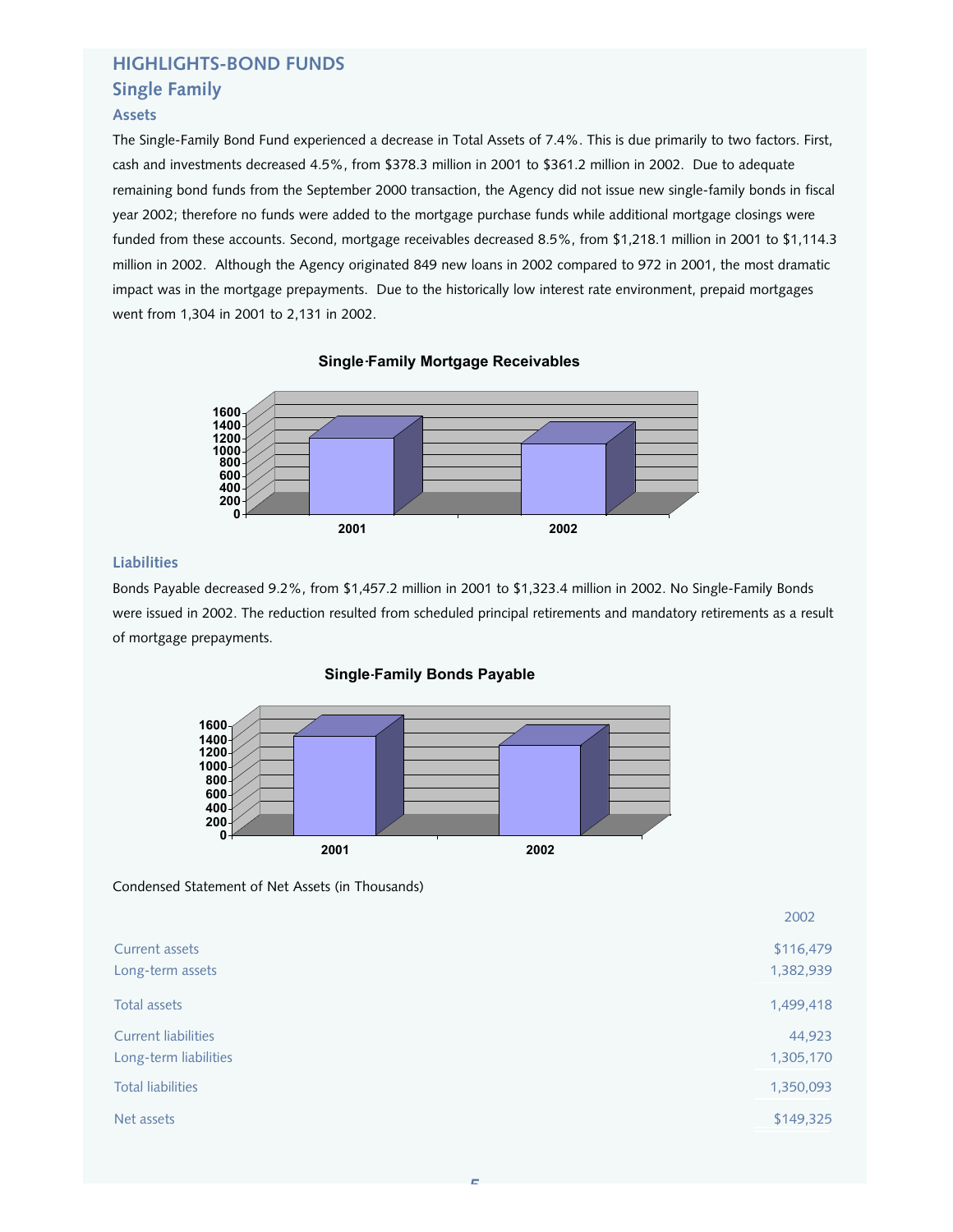## **HIGHLIGHTS-BOND FUNDS Single Family**

## **Assets**

The Single-Family Bond Fund experienced a decrease in Total Assets of 7.4%. This is due primarily to two factors. First, cash and investments decreased 4.5%, from \$378.3 million in 2001 to \$361.2 million in 2002. Due to adequate remaining bond funds from the September 2000 transaction, the Agency did not issue new single-family bonds in fiscal year 2002; therefore no funds were added to the mortgage purchase funds while additional mortgage closings were funded from these accounts. Second, mortgage receivables decreased 8.5%, from \$1,218.1 million in 2001 to \$1,114.3 million in 2002. Although the Agency originated 849 new loans in 2002 compared to 972 in 2001, the most dramatic impact was in the mortgage prepayments. Due to the historically low interest rate environment, prepaid mortgages went from 1,304 in 2001 to 2,131 in 2002.

## **Single Family Mortgage Receivables**



## **Liabilities**

Bonds Payable decreased 9.2%, from \$1,457.2 million in 2001 to \$1,323.4 million in 2002. No Single-Family Bonds were issued in 2002. The reduction resulted from scheduled principal retirements and mandatory retirements as a result of mortgage prepayments.

#### **Single Family Bonds Payable**



Condensed Statement of Net Assets (in Thousands)

|                                                     | 2002                   |
|-----------------------------------------------------|------------------------|
| Current assets<br>Long-term assets                  | \$116,479<br>1,382,939 |
| Total assets                                        | 1,499,418              |
| <b>Current liabilities</b><br>Long-term liabilities | 44,923<br>1,305,170    |
| <b>Total liabilities</b>                            | 1,350,093              |
| Net assets                                          | \$149,325              |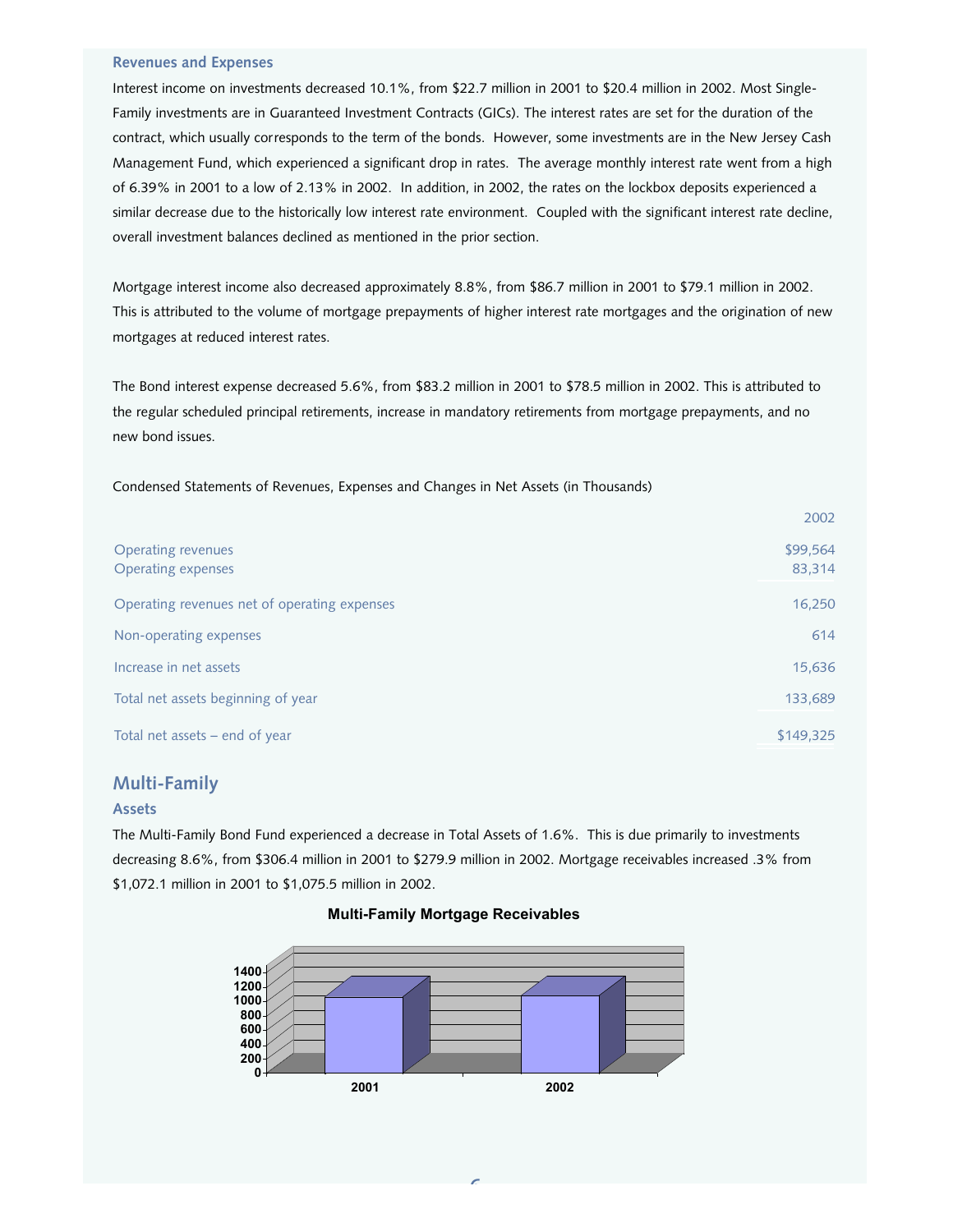#### **Revenues and Expenses**

Interest income on investments decreased 10.1%, from \$22.7 million in 2001 to \$20.4 million in 2002. Most Single-Family investments are in Guaranteed Investment Contracts (GICs). The interest rates are set for the duration of the contract, which usually corresponds to the term of the bonds. However, some investments are in the New Jersey Cash Management Fund, which experienced a significant drop in rates. The average monthly interest rate went from a high of 6.39% in 2001 to a low of 2.13% in 2002. In addition, in 2002, the rates on the lockbox deposits experienced a similar decrease due to the historically low interest rate environment. Coupled with the significant interest rate decline, overall investment balances declined as mentioned in the prior section.

Mortgage interest income also decreased approximately 8.8%, from \$86.7 million in 2001 to \$79.1 million in 2002. This is attributed to the volume of mortgage prepayments of higher interest rate mortgages and the origination of new mortgages at reduced interest rates.

The Bond interest expense decreased 5.6%, from \$83.2 million in 2001 to \$78.5 million in 2002. This is attributed to the regular scheduled principal retirements, increase in mandatory retirements from mortgage prepayments, and no new bond issues.

Condensed Statements of Revenues, Expenses and Changes in Net Assets (in Thousands)

|                                                        | 2002               |
|--------------------------------------------------------|--------------------|
| <b>Operating revenues</b><br><b>Operating expenses</b> | \$99,564<br>83,314 |
| Operating revenues net of operating expenses           | 16,250             |
| Non-operating expenses                                 | 614                |
| Increase in net assets                                 | 15,636             |
| Total net assets beginning of year                     | 133,689            |
| Total net assets - end of year                         | \$149,325          |

## **Multi-Family**

#### **Assets**

The Multi-Family Bond Fund experienced a decrease in Total Assets of 1.6%. This is due primarily to investments decreasing 8.6%, from \$306.4 million in 2001 to \$279.9 million in 2002. Mortgage receivables increased .3% from \$1,072.1 million in 2001 to \$1,075.5 million in 2002.

#### **Multi-Family Mortgage Receivables**

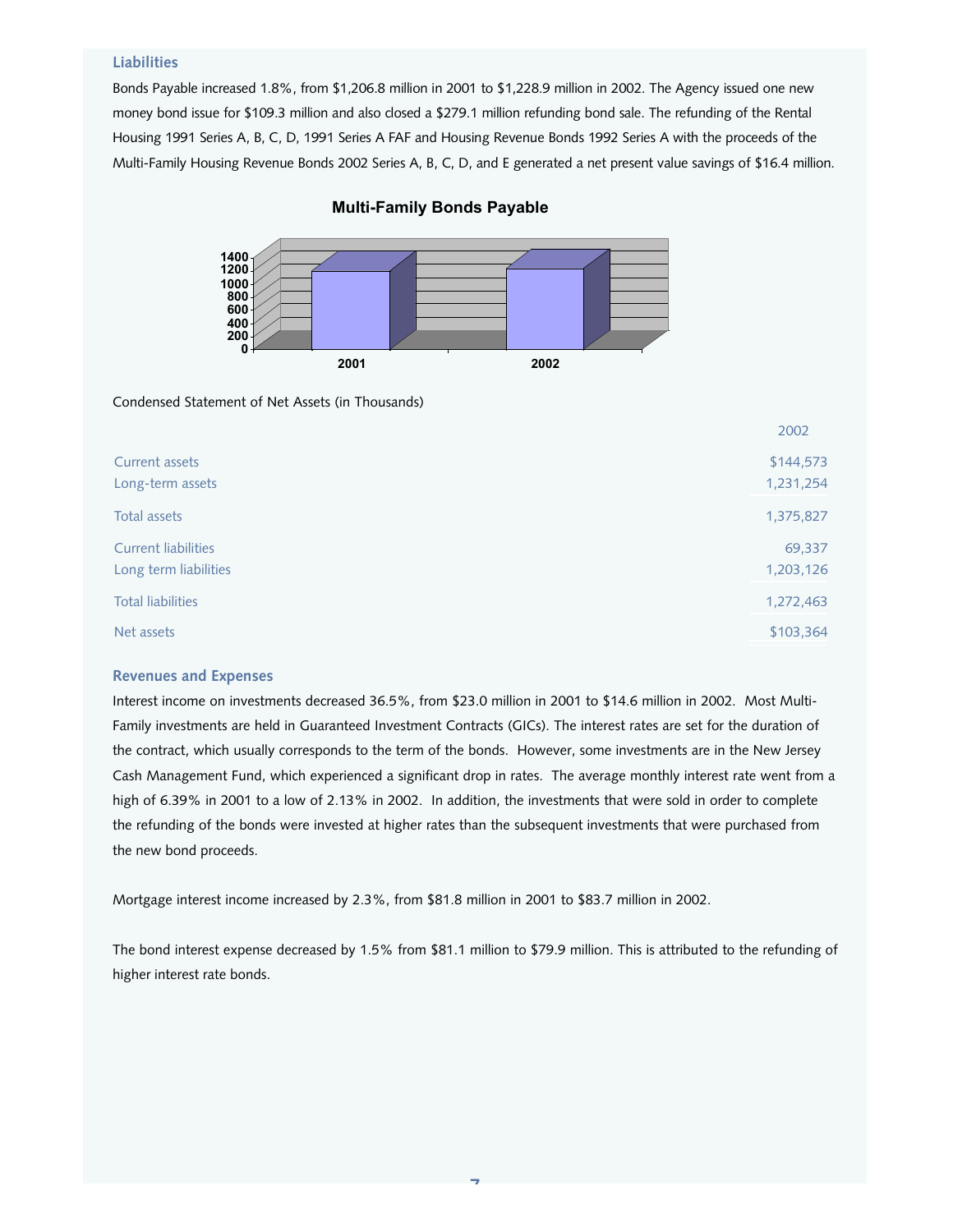#### **Liabilities**

Bonds Payable increased 1.8%, from \$1,206.8 million in 2001 to \$1,228.9 million in 2002. The Agency issued one new money bond issue for \$109.3 million and also closed a \$279.1 million refunding bond sale. The refunding of the Rental Housing 1991 Series A, B, C, D, 1991 Series A FAF and Housing Revenue Bonds 1992 Series A with the proceeds of the Multi-Family Housing Revenue Bonds 2002 Series A, B, C, D, and E generated a net present value savings of \$16.4 million.



#### **Multi-Family Bonds Payable**

Condensed Statement of Net Assets (in Thousands)

|                                                     | 2002                   |
|-----------------------------------------------------|------------------------|
| Current assets<br>Long-term assets                  | \$144,573<br>1,231,254 |
| Total assets                                        | 1,375,827              |
| <b>Current liabilities</b><br>Long term liabilities | 69,337<br>1,203,126    |
| <b>Total liabilities</b>                            | 1,272,463              |
| Net assets                                          | \$103,364              |

#### **Revenues and Expenses**

Interest income on investments decreased 36.5%, from \$23.0 million in 2001 to \$14.6 million in 2002. Most Multi-Family investments are held in Guaranteed Investment Contracts (GICs). The interest rates are set for the duration of the contract, which usually corresponds to the term of the bonds. However, some investments are in the New Jersey Cash Management Fund, which experienced a significant drop in rates. The average monthly interest rate went from a high of 6.39% in 2001 to a low of 2.13% in 2002. In addition, the investments that were sold in order to complete the refunding of the bonds were invested at higher rates than the subsequent investments that were purchased from the new bond proceeds.

Mortgage interest income increased by 2.3%, from \$81.8 million in 2001 to \$83.7 million in 2002.

The bond interest expense decreased by 1.5% from \$81.1 million to \$79.9 million. This is attributed to the refunding of higher interest rate bonds.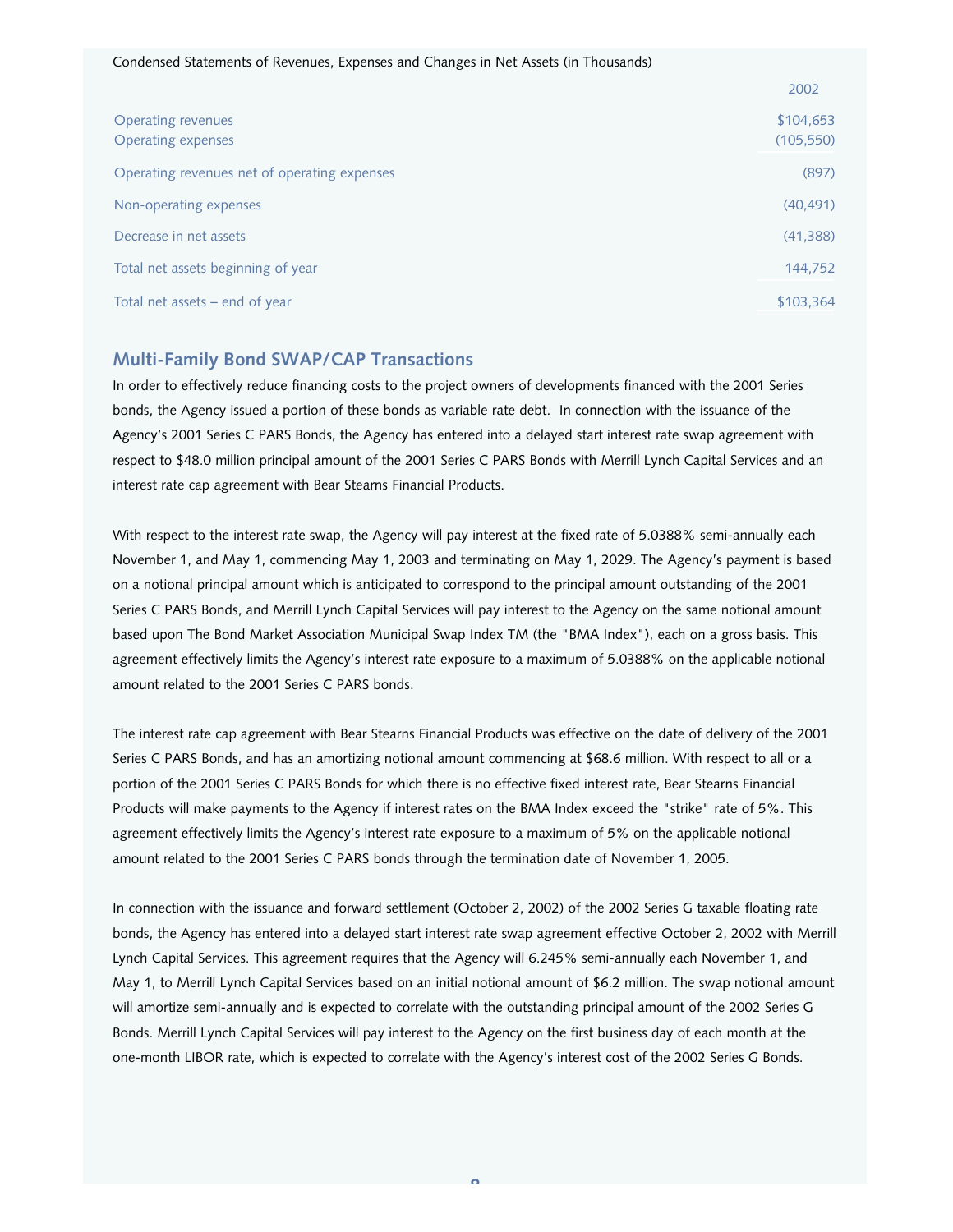|                                                        | 2002                    |
|--------------------------------------------------------|-------------------------|
| <b>Operating revenues</b><br><b>Operating expenses</b> | \$104,653<br>(105, 550) |
| Operating revenues net of operating expenses           | (897)                   |
| Non-operating expenses                                 | (40, 491)               |
| Decrease in net assets                                 | (41, 388)               |
| Total net assets beginning of year                     | 144,752                 |
| Total net assets $-$ end of year                       | \$103,364               |

## **Multi-Family Bond SWAP/CAP Transactions**

In order to effectively reduce financing costs to the project owners of developments financed with the 2001 Series bonds, the Agency issued a portion of these bonds as variable rate debt. In connection with the issuance of the Agency's 2001 Series C PARS Bonds, the Agency has entered into a delayed start interest rate swap agreement with respect to \$48.0 million principal amount of the 2001 Series C PARS Bonds with Merrill Lynch Capital Services and an interest rate cap agreement with Bear Stearns Financial Products.

With respect to the interest rate swap, the Agency will pay interest at the fixed rate of 5.0388% semi-annually each November 1, and May 1, commencing May 1, 2003 and terminating on May 1, 2029. The Agency's payment is based on a notional principal amount which is anticipated to correspond to the principal amount outstanding of the 2001 Series C PARS Bonds, and Merrill Lynch Capital Services will pay interest to the Agency on the same notional amount based upon The Bond Market Association Municipal Swap Index TM (the "BMA Index"), each on a gross basis. This agreement effectively limits the Agency's interest rate exposure to a maximum of 5.0388% on the applicable notional amount related to the 2001 Series C PARS bonds.

The interest rate cap agreement with Bear Stearns Financial Products was effective on the date of delivery of the 2001 Series C PARS Bonds, and has an amortizing notional amount commencing at \$68.6 million. With respect to all or a portion of the 2001 Series C PARS Bonds for which there is no effective fixed interest rate, Bear Stearns Financial Products will make payments to the Agency if interest rates on the BMA Index exceed the "strike" rate of 5%. This agreement effectively limits the Agency's interest rate exposure to a maximum of 5% on the applicable notional amount related to the 2001 Series C PARS bonds through the termination date of November 1, 2005.

In connection with the issuance and forward settlement (October 2, 2002) of the 2002 Series G taxable floating rate bonds, the Agency has entered into a delayed start interest rate swap agreement effective October 2, 2002 with Merrill Lynch Capital Services. This agreement requires that the Agency will 6.245% semi-annually each November 1, and May 1, to Merrill Lynch Capital Services based on an initial notional amount of \$6.2 million. The swap notional amount will amortize semi-annually and is expected to correlate with the outstanding principal amount of the 2002 Series G Bonds. Merrill Lynch Capital Services will pay interest to the Agency on the first business day of each month at the one-month LIBOR rate, which is expected to correlate with the Agency's interest cost of the 2002 Series G Bonds.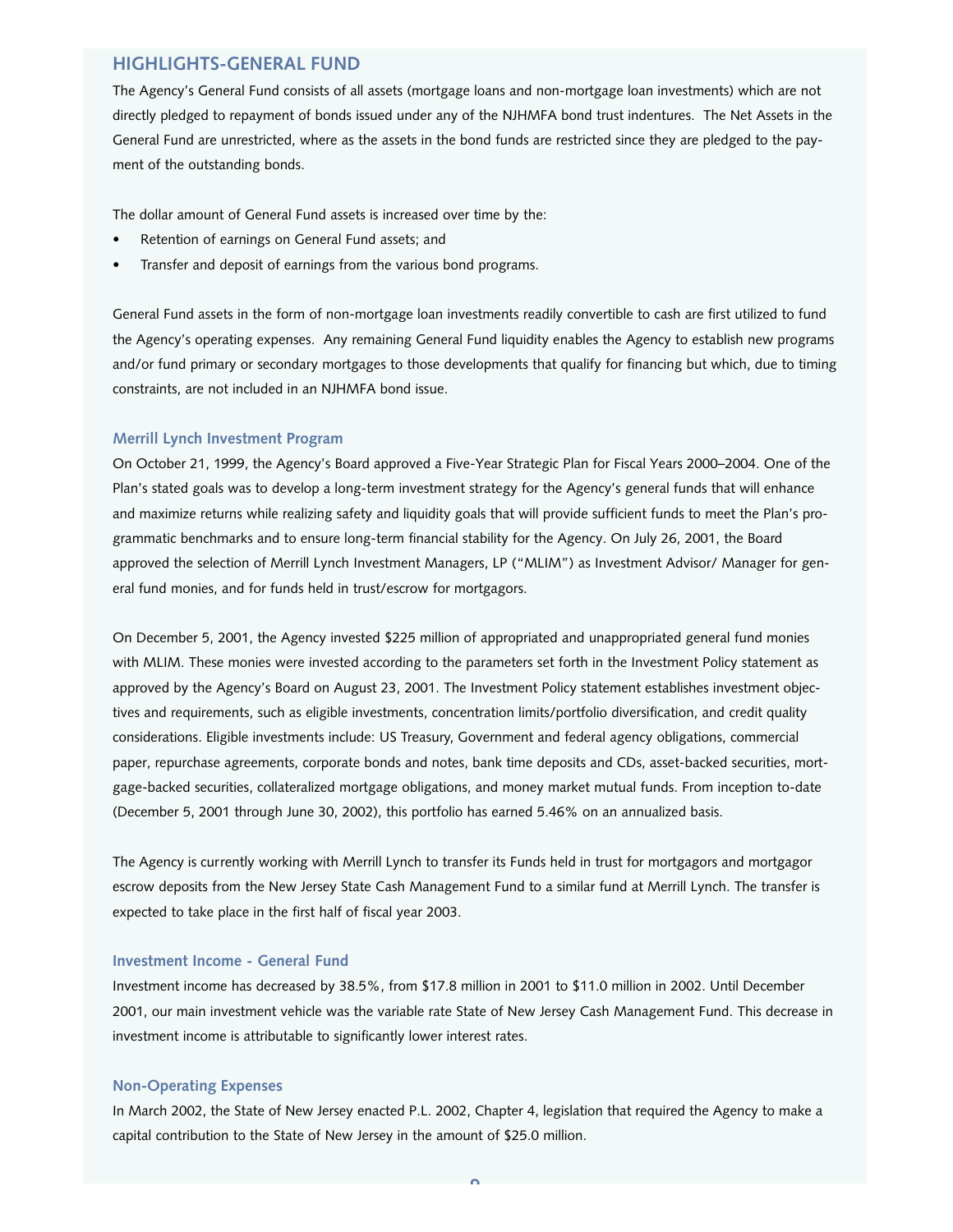## **HIGHLIGHTS-GENERAL FUND**

The Agency's General Fund consists of all assets (mortgage loans and non-mortgage loan investments) which are not directly pledged to repayment of bonds issued under any of the NJHMFA bond trust indentures. The Net Assets in the General Fund are unrestricted, where as the assets in the bond funds are restricted since they are pledged to the payment of the outstanding bonds.

The dollar amount of General Fund assets is increased over time by the:

- Retention of earnings on General Fund assets; and
- Transfer and deposit of earnings from the various bond programs.

General Fund assets in the form of non-mortgage loan investments readily convertible to cash are first utilized to fund the Agency's operating expenses. Any remaining General Fund liquidity enables the Agency to establish new programs and/or fund primary or secondary mortgages to those developments that qualify for financing but which, due to timing constraints, are not included in an NJHMFA bond issue.

#### **Merrill Lynch Investment Program**

On October 21, 1999, the Agency's Board approved a Five-Year Strategic Plan for Fiscal Years 2000–2004. One of the Plan's stated goals was to develop a long-term investment strategy for the Agency's general funds that will enhance and maximize returns while realizing safety and liquidity goals that will provide sufficient funds to meet the Plan's programmatic benchmarks and to ensure long-term financial stability for the Agency. On July 26, 2001, the Board approved the selection of Merrill Lynch Investment Managers, LP ("MLIM") as Investment Advisor/ Manager for general fund monies, and for funds held in trust/escrow for mortgagors.

On December 5, 2001, the Agency invested \$225 million of appropriated and unappropriated general fund monies with MLIM. These monies were invested according to the parameters set forth in the Investment Policy statement as approved by the Agency's Board on August 23, 2001. The Investment Policy statement establishes investment objectives and requirements, such as eligible investments, concentration limits/portfolio diversification, and credit quality considerations. Eligible investments include: US Treasury, Government and federal agency obligations, commercial paper, repurchase agreements, corporate bonds and notes, bank time deposits and CDs, asset-backed securities, mortgage-backed securities, collateralized mortgage obligations, and money market mutual funds. From inception to-date (December 5, 2001 through June 30, 2002), this portfolio has earned 5.46% on an annualized basis.

The Agency is currently working with Merrill Lynch to transfer its Funds held in trust for mortgagors and mortgagor escrow deposits from the New Jersey State Cash Management Fund to a similar fund at Merrill Lynch. The transfer is expected to take place in the first half of fiscal year 2003.

#### **Investment Income - General Fund**

Investment income has decreased by 38.5%, from \$17.8 million in 2001 to \$11.0 million in 2002. Until December 2001, our main investment vehicle was the variable rate State of New Jersey Cash Management Fund. This decrease in investment income is attributable to significantly lower interest rates.

#### **Non-Operating Expenses**

In March 2002, the State of New Jersey enacted P.L. 2002, Chapter 4, legislation that required the Agency to make a capital contribution to the State of New Jersey in the amount of \$25.0 million.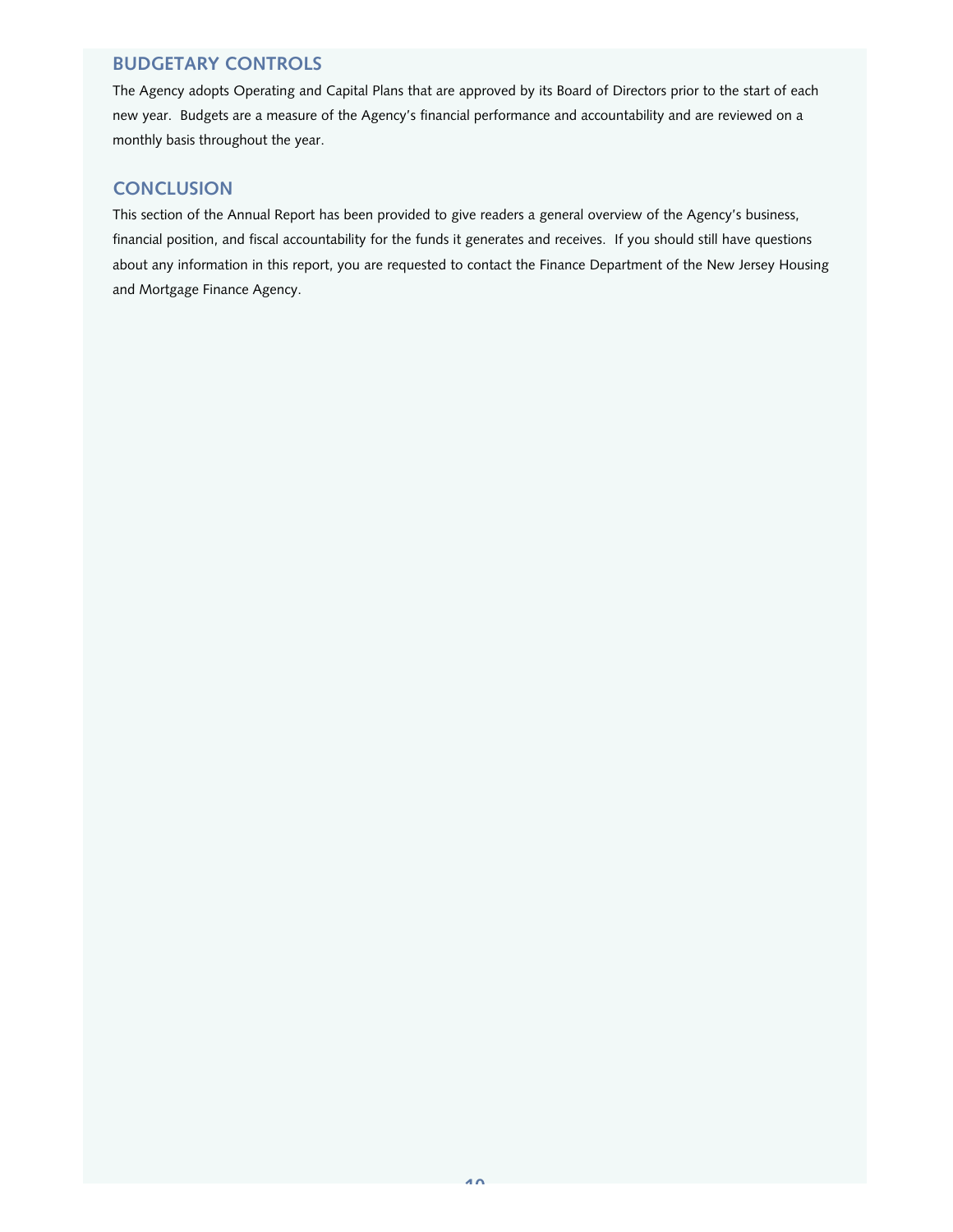## **BUDGETARY CONTROLS**

The Agency adopts Operating and Capital Plans that are approved by its Board of Directors prior to the start of each new year. Budgets are a measure of the Agency's financial performance and accountability and are reviewed on a monthly basis throughout the year.

## **CONCLUSION**

This section of the Annual Report has been provided to give readers a general overview of the Agency's business, financial position, and fiscal accountability for the funds it generates and receives. If you should still have questions about any information in this report, you are requested to contact the Finance Department of the New Jersey Housing and Mortgage Finance Agency.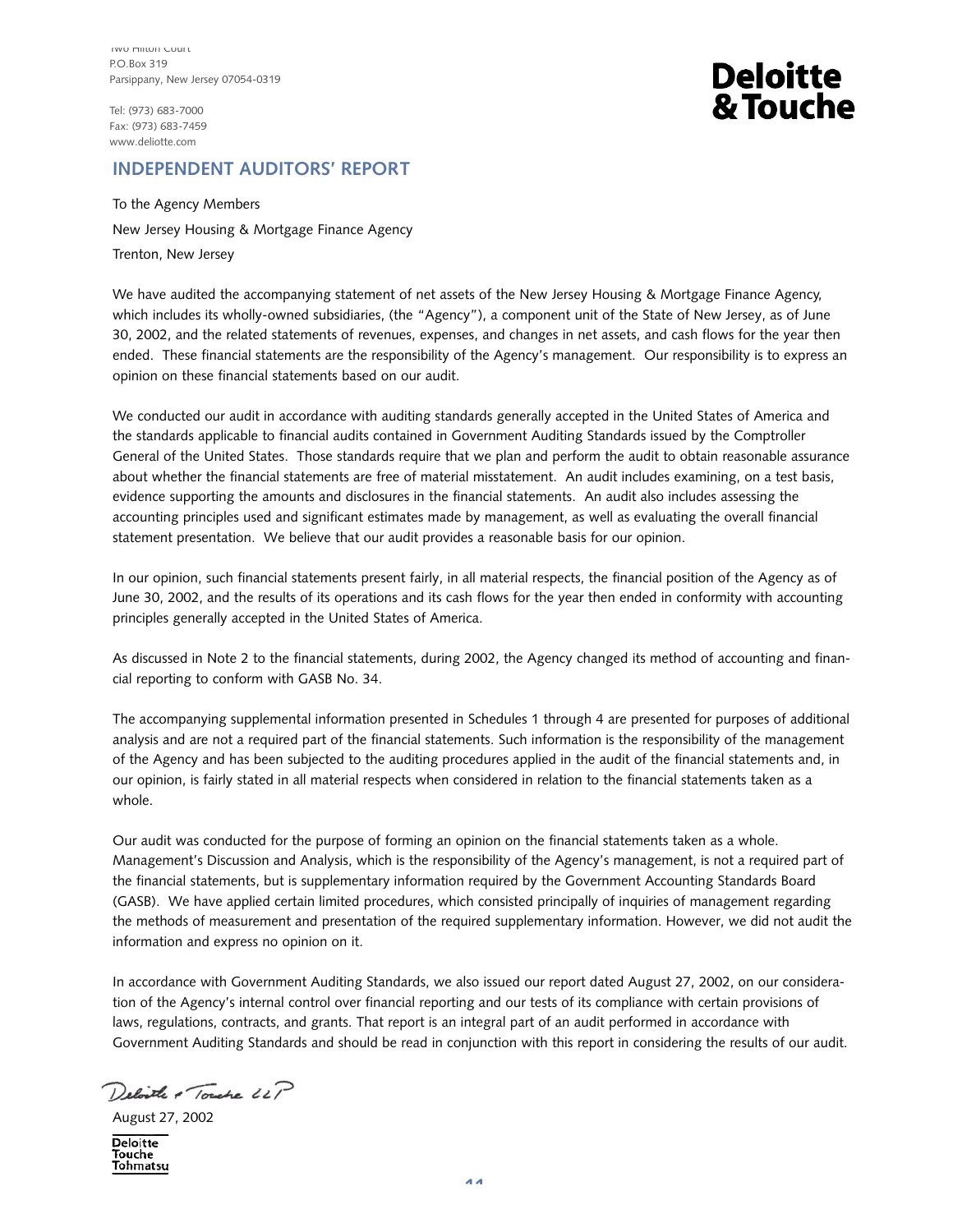Tel: (973) 683-7000 Fax: (973) 683-7459 www.deliotte.com

# **Deloitte** & Touche

## **INDEPENDENT AUDITORS' REPORT**

To the Agency Members New Jersey Housing & Mortgage Finance Agency Trenton, New Jersey

We have audited the accompanying statement of net assets of the New Jersey Housing & Mortgage Finance Agency, which includes its wholly-owned subsidiaries, (the "Agency"), a component unit of the State of New Jersey, as of June 30, 2002, and the related statements of revenues, expenses, and changes in net assets, and cash flows for the year then ended. These financial statements are the responsibility of the Agency's management. Our responsibility is to express an opinion on these financial statements based on our audit.

We conducted our audit in accordance with auditing standards generally accepted in the United States of America and the standards applicable to financial audits contained in Government Auditing Standards issued by the Comptroller General of the United States. Those standards require that we plan and perform the audit to obtain reasonable assurance about whether the financial statements are free of material misstatement. An audit includes examining, on a test basis, evidence supporting the amounts and disclosures in the financial statements. An audit also includes assessing the accounting principles used and significant estimates made by management, as well as evaluating the overall financial statement presentation. We believe that our audit provides a reasonable basis for our opinion.

In our opinion, such financial statements present fairly, in all material respects, the financial position of the Agency as of June 30, 2002, and the results of its operations and its cash flows for the year then ended in conformity with accounting principles generally accepted in the United States of America.

As discussed in Note 2 to the financial statements, during 2002, the Agency changed its method of accounting and financial reporting to conform with GASB No. 34.

The accompanying supplemental information presented in Schedules 1 through 4 are presented for purposes of additional analysis and are not a required part of the financial statements. Such information is the responsibility of the management of the Agency and has been subjected to the auditing procedures applied in the audit of the financial statements and, in our opinion, is fairly stated in all material respects when considered in relation to the financial statements taken as a whole.

Our audit was conducted for the purpose of forming an opinion on the financial statements taken as a whole. Management's Discussion and Analysis, which is the responsibility of the Agency's management, is not a required part of the financial statements, but is supplementary information required by the Government Accounting Standards Board (GASB). We have applied certain limited procedures, which consisted principally of inquiries of management regarding the methods of measurement and presentation of the required supplementary information. However, we did not audit the information and express no opinion on it.

In accordance with Government Auditing Standards, we also issued our report dated August 27, 2002, on our consideration of the Agency's internal control over financial reporting and our tests of its compliance with certain provisions of laws, regulations, contracts, and grants. That report is an integral part of an audit performed in accordance with Government Auditing Standards and should be read in conjunction with this report in considering the results of our audit.

Deloite & Touche LLP

August 27, 2002

**Deloitte Touche** Tohmatsu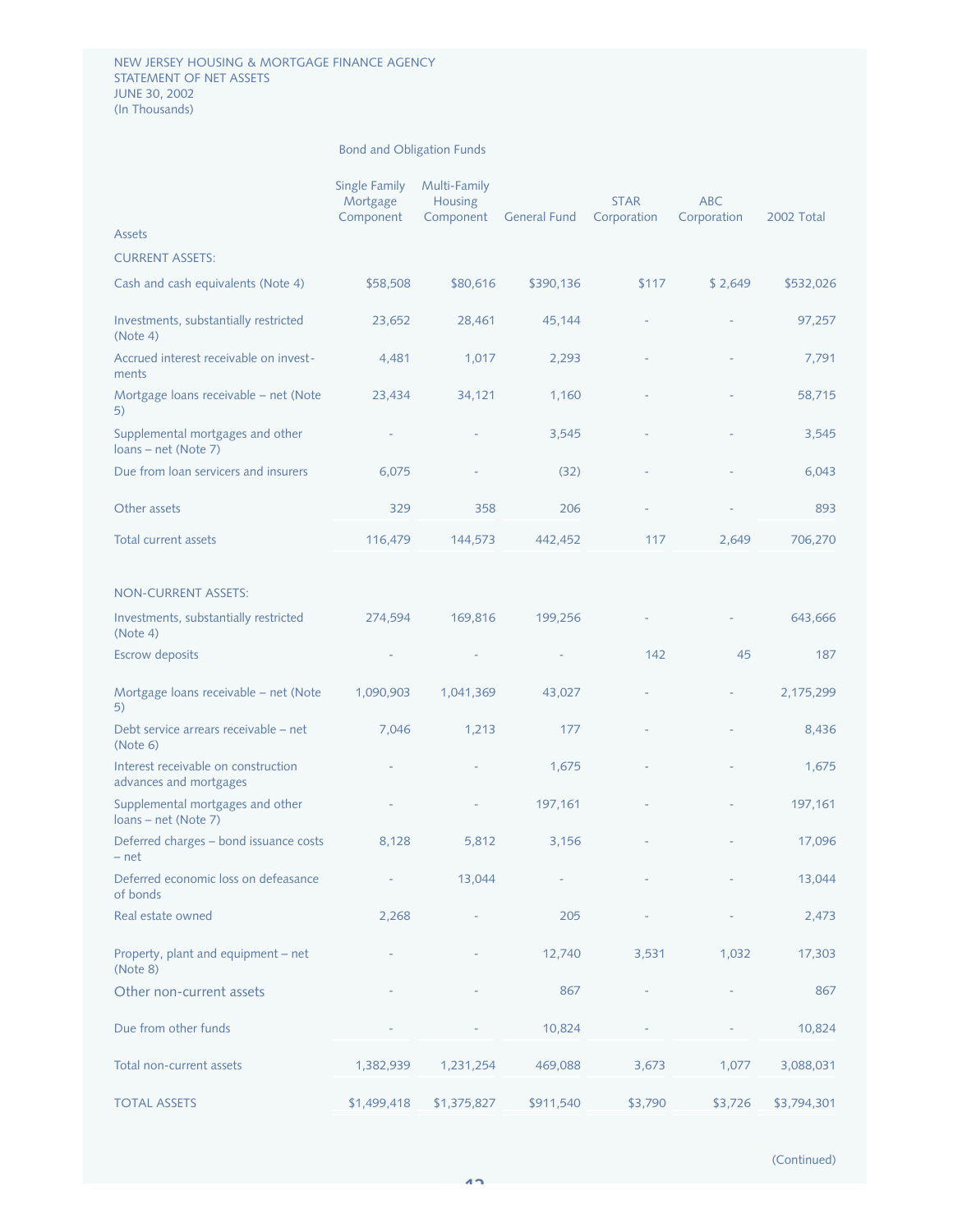|                                                               | <b>Single Family</b><br>Mortgage<br>Component | Multi-Family<br>Housing<br>Component | <b>General Fund</b> | <b>STAR</b><br>Corporation | <b>ABC</b><br>Corporation | 2002 Total  |
|---------------------------------------------------------------|-----------------------------------------------|--------------------------------------|---------------------|----------------------------|---------------------------|-------------|
| Assets                                                        |                                               |                                      |                     |                            |                           |             |
| <b>CURRENT ASSETS:</b>                                        |                                               |                                      |                     |                            |                           |             |
| Cash and cash equivalents (Note 4)                            | \$58,508                                      | \$80,616                             | \$390,136           | \$117                      | \$2,649                   | \$532,026   |
| Investments, substantially restricted<br>(Note 4)             | 23,652                                        | 28,461                               | 45,144              |                            |                           | 97,257      |
| Accrued interest receivable on invest-<br>ments               | 4,481                                         | 1,017                                | 2,293               |                            |                           | 7,791       |
| Mortgage loans receivable - net (Note<br>5)                   | 23,434                                        | 34,121                               | 1,160               |                            |                           | 58,715      |
| Supplemental mortgages and other<br>loans - net (Note 7)      |                                               |                                      | 3,545               |                            |                           | 3,545       |
| Due from loan servicers and insurers                          | 6,075                                         |                                      | (32)                |                            |                           | 6,043       |
| Other assets                                                  | 329                                           | 358                                  | 206                 |                            |                           | 893         |
| <b>Total current assets</b>                                   | 116,479                                       | 144,573                              | 442,452             | 117                        | 2,649                     | 706,270     |
| <b>NON-CURRENT ASSETS:</b>                                    |                                               |                                      |                     |                            |                           |             |
| Investments, substantially restricted<br>(Note 4)             | 274,594                                       | 169,816                              | 199,256             |                            |                           | 643,666     |
| <b>Escrow deposits</b>                                        |                                               |                                      |                     | 142                        | 45                        | 187         |
| Mortgage loans receivable - net (Note<br>5)                   | 1,090,903                                     | 1,041,369                            | 43,027              |                            |                           | 2,175,299   |
| Debt service arrears receivable – net<br>(Note 6)             | 7,046                                         | 1,213                                | 177                 |                            |                           | 8,436       |
| Interest receivable on construction<br>advances and mortgages |                                               |                                      | 1,675               |                            |                           | 1,675       |
| Supplemental mortgages and other<br>loans – net (Note 7)      |                                               |                                      | 197,161             |                            |                           | 197,161     |
| Deferred charges - bond issuance costs<br>– net               | 8,128                                         | 5,812                                | 3,156               |                            |                           | 17,096      |
| Deferred economic loss on defeasance<br>of bonds              |                                               | 13,044                               |                     |                            |                           | 13,044      |
| Real estate owned                                             | 2,268                                         |                                      | 205                 |                            |                           | 2,473       |
| Property, plant and equipment - net<br>(Note 8)               |                                               |                                      | 12,740              | 3,531                      | 1,032                     | 17,303      |
| Other non-current assets                                      |                                               |                                      | 867                 |                            |                           | 867         |
| Due from other funds                                          |                                               |                                      | 10,824              |                            |                           | 10,824      |
| Total non-current assets                                      | 1,382,939                                     | 1,231,254                            | 469,088             | 3,673                      | 1,077                     | 3,088,031   |
| <b>TOTAL ASSETS</b>                                           | \$1,499,418                                   | \$1,375,827                          | \$911,540           | \$3,790                    | \$3,726                   | \$3,794,301 |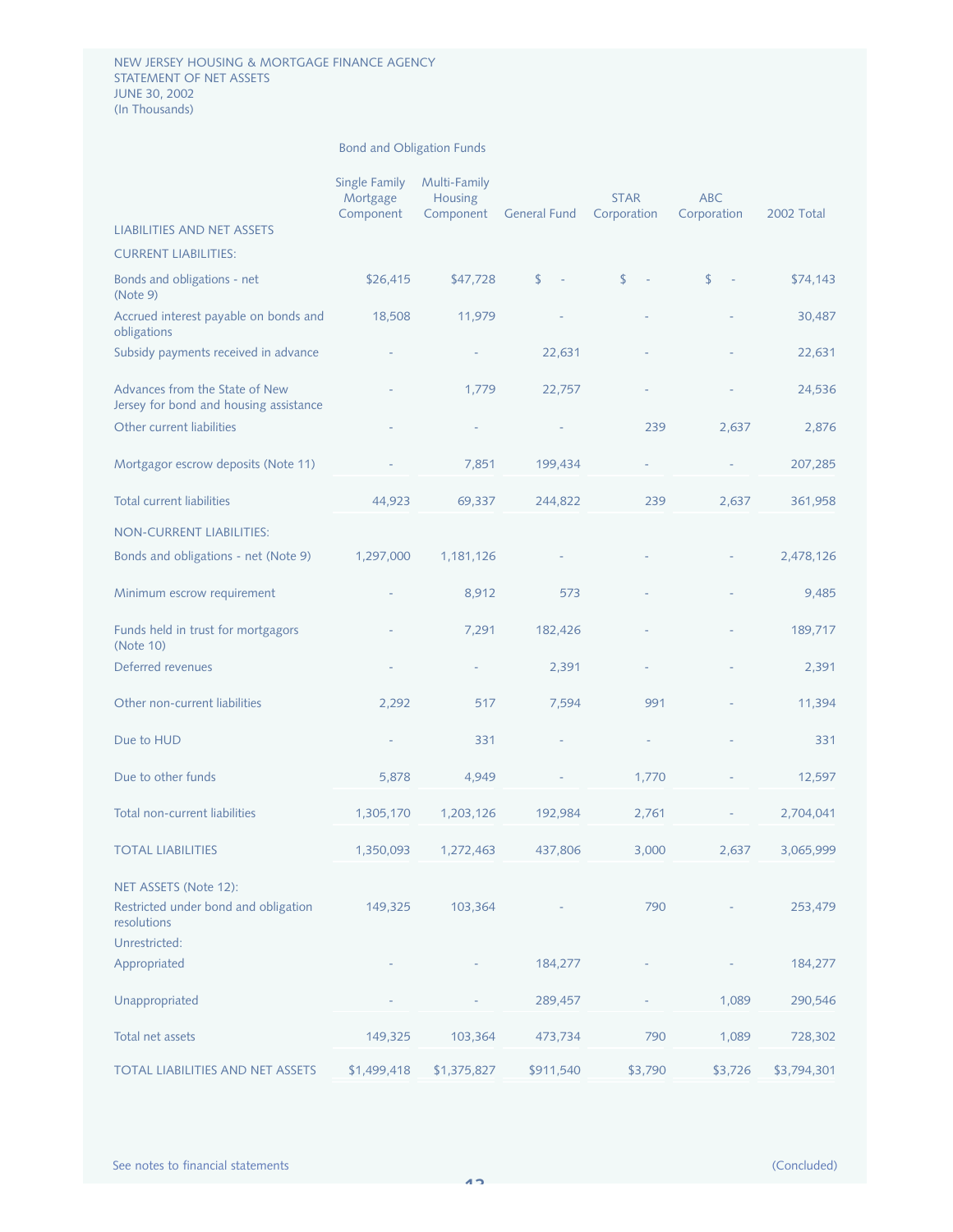#### NEW JERSEY HOUSING & MORTGAGE FINANCE AGENCY STATEMENT OF NET ASSETS JUNE 30, 2002 (In Thousands)

|                                                                          | Single Family<br>Mortgage<br>Component | Multi-Family<br><b>Housing</b><br>Component | <b>General Fund</b> | <b>STAR</b><br>Corporation | <b>ABC</b><br>Corporation | 2002 Total  |
|--------------------------------------------------------------------------|----------------------------------------|---------------------------------------------|---------------------|----------------------------|---------------------------|-------------|
| <b>LIABILITIES AND NET ASSETS</b>                                        |                                        |                                             |                     |                            |                           |             |
| <b>CURRENT LIABILITIES:</b>                                              |                                        |                                             |                     |                            |                           |             |
| Bonds and obligations - net<br>(Note 9)                                  | \$26,415                               | \$47,728                                    | \$                  | \$                         | \$                        | \$74,143    |
| Accrued interest payable on bonds and<br>obligations                     | 18,508                                 | 11,979                                      |                     |                            |                           | 30,487      |
| Subsidy payments received in advance                                     |                                        |                                             | 22,631              |                            |                           | 22,631      |
| Advances from the State of New<br>Jersey for bond and housing assistance |                                        | 1,779                                       | 22,757              |                            |                           | 24,536      |
| Other current liabilities                                                |                                        |                                             |                     | 239                        | 2,637                     | 2,876       |
| Mortgagor escrow deposits (Note 11)                                      |                                        | 7,851                                       | 199,434             |                            |                           | 207,285     |
| <b>Total current liabilities</b>                                         | 44,923                                 | 69,337                                      | 244,822             | 239                        | 2,637                     | 361,958     |
| <b>NON-CURRENT LIABILITIES:</b>                                          |                                        |                                             |                     |                            |                           |             |
| Bonds and obligations - net (Note 9)                                     | 1,297,000                              | 1,181,126                                   |                     |                            |                           | 2,478,126   |
| Minimum escrow requirement                                               |                                        | 8,912                                       | 573                 |                            |                           | 9,485       |
| Funds held in trust for mortgagors<br>(Note 10)                          |                                        | 7,291                                       | 182,426             |                            |                           | 189,717     |
| Deferred revenues                                                        |                                        |                                             | 2,391               |                            |                           | 2,391       |
| Other non-current liabilities                                            | 2,292                                  | 517                                         | 7,594               | 991                        |                           | 11,394      |
| Due to HUD                                                               |                                        | 331                                         |                     |                            |                           | 331         |
| Due to other funds                                                       | 5,878                                  | 4,949                                       |                     | 1,770                      |                           | 12,597      |
| Total non-current liabilities                                            | 1,305,170                              | 1,203,126                                   | 192,984             | 2,761                      |                           | 2,704,041   |
| <b>TOTAL LIABILITIES</b>                                                 | 1,350,093                              | 1,272,463                                   | 437,806             | 3,000                      | 2,637                     | 3,065,999   |
| NET ASSETS (Note 12):                                                    |                                        |                                             |                     |                            |                           |             |
| Restricted under bond and obligation<br>resolutions                      | 149,325                                | 103,364                                     |                     | 790                        |                           | 253,479     |
| Unrestricted:                                                            |                                        |                                             |                     |                            |                           |             |
| Appropriated                                                             |                                        |                                             | 184,277             |                            |                           | 184,277     |
| Unappropriated                                                           |                                        |                                             | 289,457             |                            | 1,089                     | 290,546     |
| Total net assets                                                         | 149,325                                | 103,364                                     | 473,734             | 790                        | 1,089                     | 728,302     |
| TOTAL LIABILITIES AND NET ASSETS                                         | \$1,499,418                            | \$1,375,827                                 | \$911,540           | \$3,790                    | \$3,726                   | \$3,794,301 |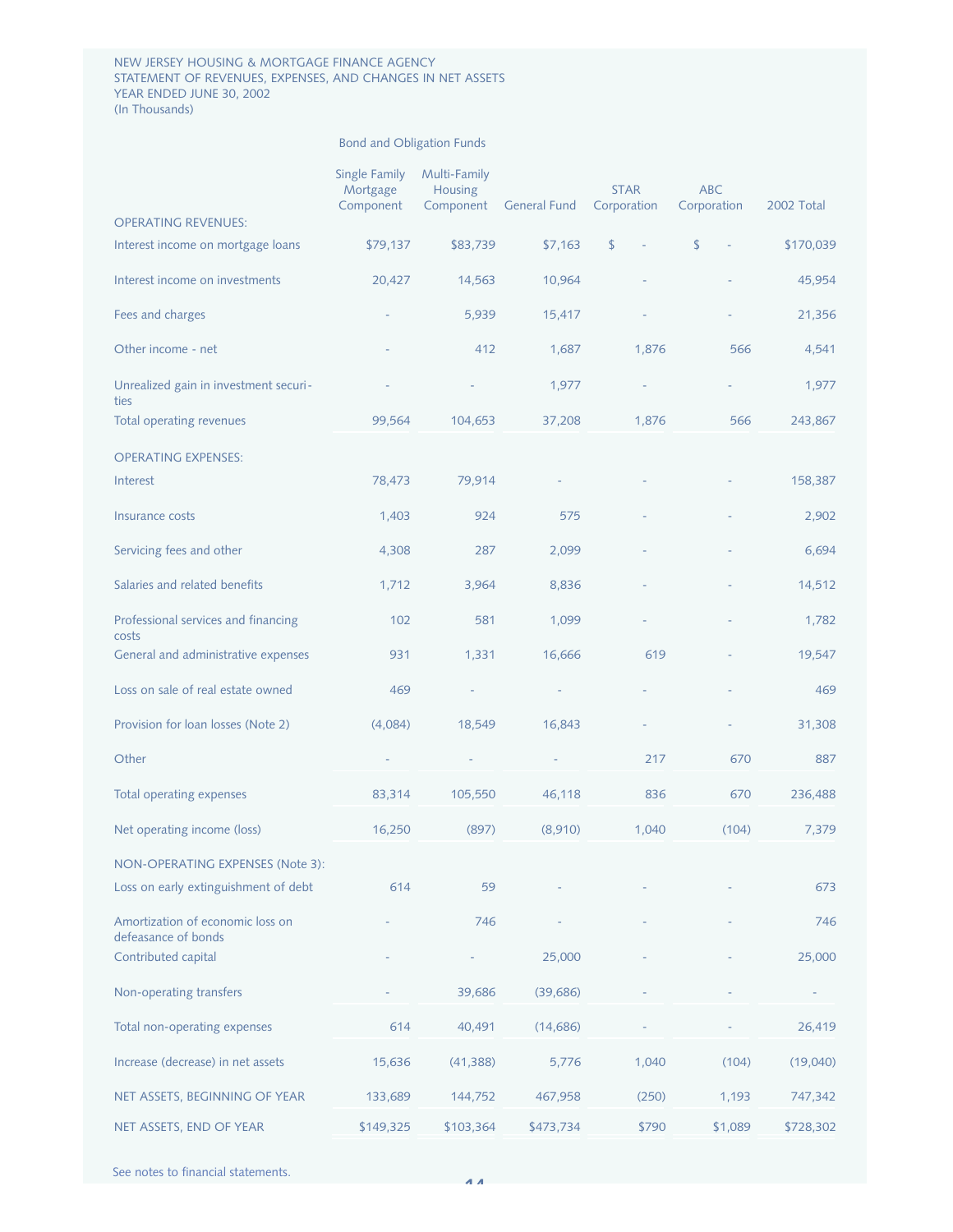#### NEW JERSEY HOUSING & MORTGAGE FINANCE AGENCY STATEMENT OF REVENUES, EXPENSES, AND CHANGES IN NET ASSETS YEAR ENDED JUNE 30, 2002 (In Thousands)

|                                                         | Single Family<br>Mortgage<br>Component | Multi-Family<br><b>Housing</b><br>Component | <b>General Fund</b> | <b>STAR</b><br>Corporation | <b>ABC</b><br>Corporation | 2002 Total |
|---------------------------------------------------------|----------------------------------------|---------------------------------------------|---------------------|----------------------------|---------------------------|------------|
| <b>OPERATING REVENUES:</b>                              |                                        |                                             |                     |                            |                           |            |
| Interest income on mortgage loans                       | \$79,137                               | \$83,739                                    | \$7,163             | \$                         | \$                        | \$170,039  |
| Interest income on investments                          | 20,427                                 | 14,563                                      | 10,964              |                            |                           | 45,954     |
| Fees and charges                                        |                                        | 5,939                                       | 15,417              |                            |                           | 21,356     |
| Other income - net                                      |                                        | 412                                         | 1,687               | 1,876                      | 566                       | 4,541      |
| Unrealized gain in investment securi-<br>ties           |                                        |                                             | 1,977               |                            |                           | 1,977      |
| Total operating revenues                                | 99,564                                 | 104,653                                     | 37,208              | 1,876                      | 566                       | 243,867    |
| <b>OPERATING EXPENSES:</b>                              |                                        |                                             |                     |                            |                           |            |
| Interest                                                | 78,473                                 | 79,914                                      |                     |                            |                           | 158,387    |
| Insurance costs                                         | 1,403                                  | 924                                         | 575                 |                            |                           | 2,902      |
| Servicing fees and other                                | 4,308                                  | 287                                         | 2,099               |                            |                           | 6,694      |
| Salaries and related benefits                           | 1,712                                  | 3,964                                       | 8,836               |                            |                           | 14,512     |
| Professional services and financing<br>costs            | 102                                    | 581                                         | 1,099               |                            |                           | 1,782      |
| General and administrative expenses                     | 931                                    | 1,331                                       | 16,666              | 619                        |                           | 19,547     |
| Loss on sale of real estate owned                       | 469                                    |                                             |                     |                            |                           | 469        |
| Provision for loan losses (Note 2)                      | (4,084)                                | 18,549                                      | 16,843              |                            |                           | 31,308     |
| Other                                                   |                                        |                                             |                     | 217                        | 670                       | 887        |
| Total operating expenses                                | 83,314                                 | 105,550                                     | 46,118              | 836                        | 670                       | 236,488    |
| Net operating income (loss)                             | 16,250                                 | (897)                                       | (8,910)             | 1,040                      | (104)                     | 7,379      |
| NON-OPERATING EXPENSES (Note 3):                        |                                        |                                             |                     |                            |                           |            |
| Loss on early extinguishment of debt                    | 614                                    | 59                                          |                     |                            |                           | 673        |
| Amortization of economic loss on<br>defeasance of bonds |                                        | 746                                         |                     |                            |                           | 746        |
| Contributed capital                                     |                                        |                                             | 25,000              |                            |                           | 25,000     |
| Non-operating transfers                                 |                                        | 39,686                                      | (39, 686)           |                            |                           |            |
| Total non-operating expenses                            | 614                                    | 40,491                                      | (14, 686)           |                            |                           | 26,419     |
| Increase (decrease) in net assets                       | 15,636                                 | (41, 388)                                   | 5,776               | 1,040                      | (104)                     | (19,040)   |
| NET ASSETS, BEGINNING OF YEAR                           | 133,689                                | 144,752                                     | 467,958             | (250)                      | 1,193                     | 747,342    |
| NET ASSETS, END OF YEAR                                 | \$149,325                              | \$103,364                                   | \$473,734           | \$790                      | \$1,089                   | \$728,302  |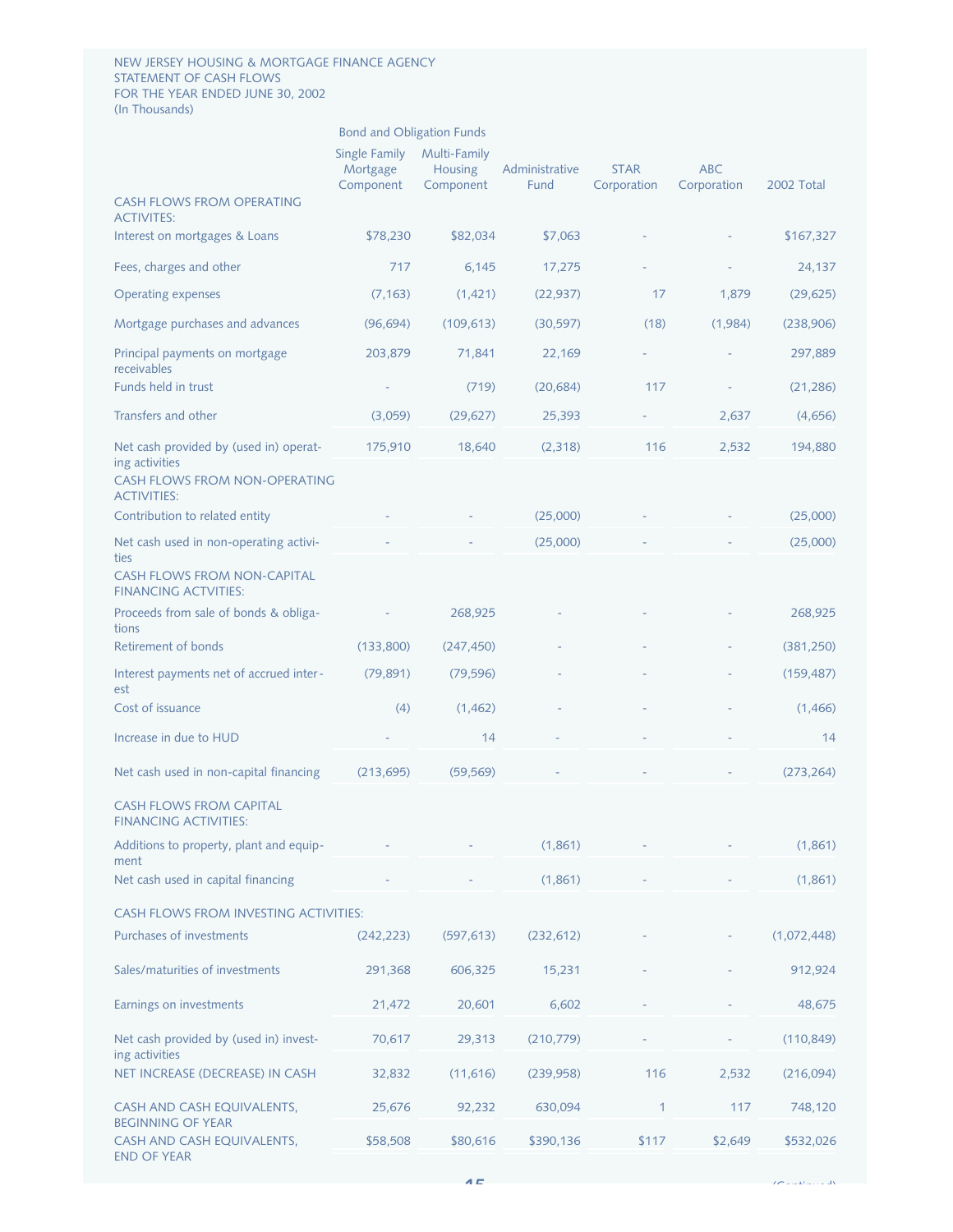#### NEW JERSEY HOUSING & MORTGAGE FINANCE AGENCY STATEMENT OF CASH FLOWS FOR THE YEAR ENDED JUNE 30, 2002 (In Thousands)

## Bond and Obligation Funds

|                                                                   | Single Family<br>Mortgage<br>Component | Multi-Family<br><b>Housing</b><br>Component | Administrative<br>Fund | <b>STAR</b><br>Corporation | <b>ABC</b><br>Corporation | 2002 Total  |
|-------------------------------------------------------------------|----------------------------------------|---------------------------------------------|------------------------|----------------------------|---------------------------|-------------|
| <b>CASH FLOWS FROM OPERATING</b><br><b>ACTIVITES:</b>             |                                        |                                             |                        |                            |                           |             |
| Interest on mortgages & Loans                                     | \$78,230                               | \$82,034                                    | \$7,063                |                            |                           | \$167,327   |
| Fees, charges and other                                           | 717                                    | 6,145                                       | 17,275                 |                            |                           | 24,137      |
| <b>Operating expenses</b>                                         | (7, 163)                               | (1, 421)                                    | (22, 937)              | 17                         | 1,879                     | (29, 625)   |
| Mortgage purchases and advances                                   | (96, 694)                              | (109, 613)                                  | (30, 597)              | (18)                       | (1,984)                   | (238,906)   |
| Principal payments on mortgage<br>receivables                     | 203,879                                | 71,841                                      | 22,169                 |                            |                           | 297,889     |
| Funds held in trust                                               |                                        | (719)                                       | (20, 684)              | 117                        |                           | (21, 286)   |
| Transfers and other                                               | (3,059)                                | (29, 627)                                   | 25,393                 |                            | 2,637                     | (4,656)     |
| Net cash provided by (used in) operat-<br>ing activities          | 175,910                                | 18,640                                      | (2,318)                | 116                        | 2,532                     | 194,880     |
| <b>CASH FLOWS FROM NON-OPERATING</b><br><b>ACTIVITIES:</b>        |                                        |                                             |                        |                            |                           |             |
| Contribution to related entity                                    |                                        |                                             | (25,000)               |                            |                           | (25,000)    |
| Net cash used in non-operating activi-<br>ties                    |                                        |                                             | (25,000)               |                            |                           | (25,000)    |
| <b>CASH FLOWS FROM NON-CAPITAL</b><br><b>FINANCING ACTVITIES:</b> |                                        |                                             |                        |                            |                           |             |
| Proceeds from sale of bonds & obliga-<br>tions                    |                                        | 268,925                                     |                        |                            |                           | 268,925     |
| Retirement of bonds                                               | (133,800)                              | (247, 450)                                  |                        |                            |                           | (381, 250)  |
| Interest payments net of accrued inter-<br>est                    | (79, 891)                              | (79, 596)                                   |                        |                            |                           | (159, 487)  |
| Cost of issuance                                                  | (4)                                    | (1,462)                                     |                        |                            |                           | (1,466)     |
| Increase in due to HUD                                            |                                        | 14                                          |                        |                            |                           | 14          |
| Net cash used in non-capital financing                            | (213, 695)                             | (59, 569)                                   |                        |                            |                           | (273, 264)  |
| <b>CASH FLOWS FROM CAPITAL</b><br><b>FINANCING ACTIVITIES:</b>    |                                        |                                             |                        |                            |                           |             |
| Additions to property, plant and equip-<br>ment                   |                                        |                                             | (1,861)                |                            |                           | (1,861)     |
| Net cash used in capital financing                                |                                        |                                             | (1,861)                |                            |                           | (1,861)     |
| CASH FLOWS FROM INVESTING ACTIVITIES:                             |                                        |                                             |                        |                            |                           |             |
| Purchases of investments                                          | (242, 223)                             | (597, 613)                                  | (232, 612)             |                            |                           | (1,072,448) |
| Sales/maturities of investments                                   | 291,368                                | 606,325                                     | 15,231                 |                            |                           | 912,924     |
| Earnings on investments                                           | 21,472                                 | 20,601                                      | 6,602                  |                            |                           | 48,675      |
| Net cash provided by (used in) invest-<br>ing activities          | 70,617                                 | 29,313                                      | (210,779)              |                            |                           | (110, 849)  |
| NET INCREASE (DECREASE) IN CASH                                   | 32,832                                 | (11,616)                                    | (239,958)              | 116                        | 2,532                     | (216,094)   |
| CASH AND CASH EQUIVALENTS,<br><b>BEGINNING OF YEAR</b>            | 25,676                                 | 92,232                                      | 630,094                | 1                          | 117                       | 748,120     |
| CASH AND CASH EQUIVALENTS,<br><b>END OF YEAR</b>                  | \$58,508                               | \$80,616                                    | \$390,136              | \$117                      | \$2,649                   | \$532,026   |

 $\mathcal{L}$  is the set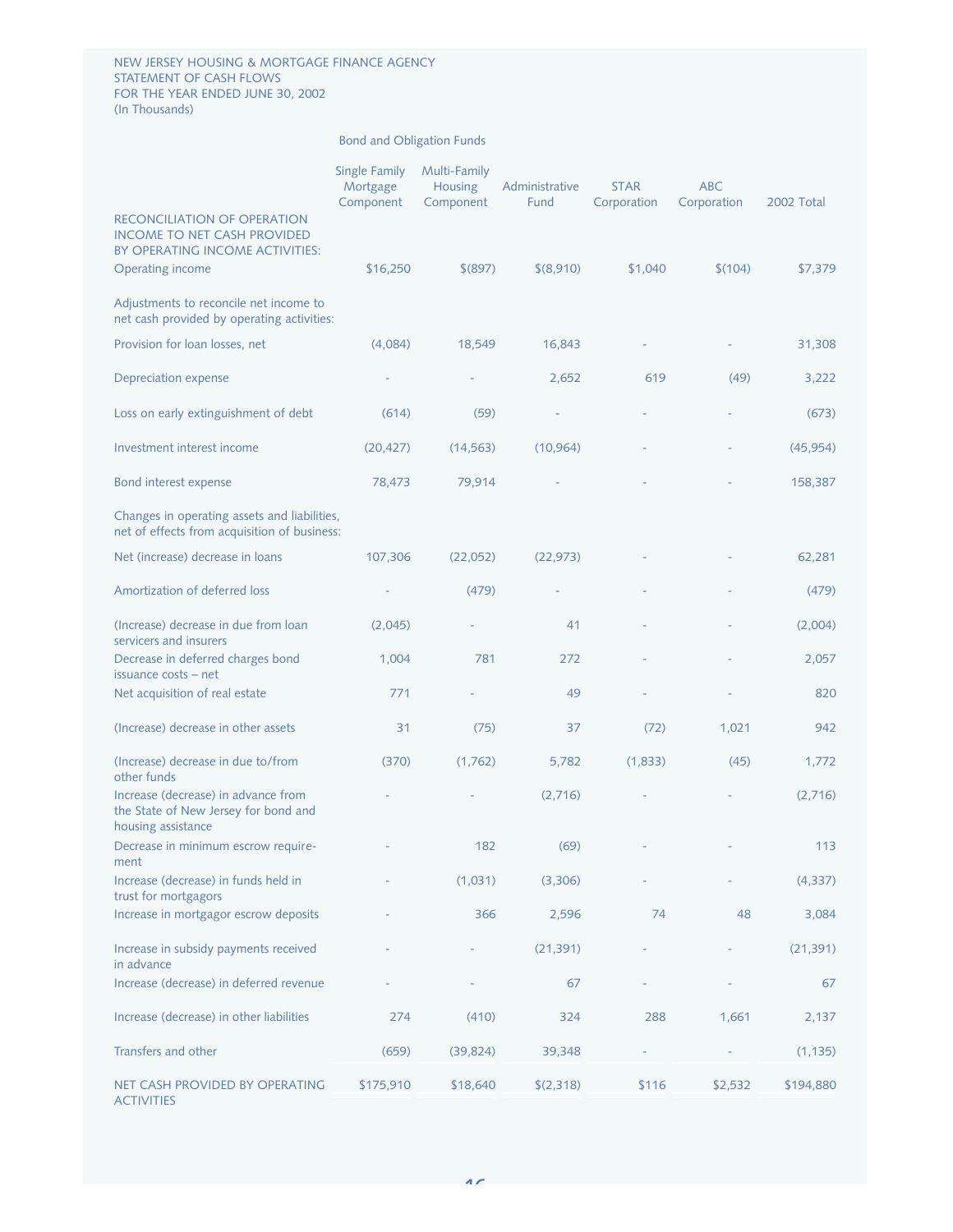#### NEW JERSEY HOUSING & MORTGAGE FINANCE AGENCY STATEMENT OF CASH FLOWS FOR THE YEAR ENDED JUNE 30, 2002 (In Thousands)

|                                                                                                             | Single Family<br>Mortgage<br>Component | Multi-Family<br><b>Housing</b><br>Component | Administrative<br>Fund | <b>STAR</b><br>Corporation | <b>ABC</b><br>Corporation | 2002 Total |
|-------------------------------------------------------------------------------------------------------------|----------------------------------------|---------------------------------------------|------------------------|----------------------------|---------------------------|------------|
| <b>RECONCILIATION OF OPERATION</b><br><b>INCOME TO NET CASH PROVIDED</b><br>BY OPERATING INCOME ACTIVITIES: |                                        |                                             |                        |                            |                           |            |
| Operating income                                                                                            | \$16,250                               | \$(897)                                     | \$ (8,910)             | \$1,040                    | \$(104)                   | \$7,379    |
| Adjustments to reconcile net income to<br>net cash provided by operating activities:                        |                                        |                                             |                        |                            |                           |            |
| Provision for loan losses, net                                                                              | (4,084)                                | 18,549                                      | 16,843                 |                            |                           | 31,308     |
| Depreciation expense                                                                                        |                                        |                                             | 2,652                  | 619                        | (49)                      | 3,222      |
| Loss on early extinguishment of debt                                                                        | (614)                                  | (59)                                        |                        |                            |                           | (673)      |
| Investment interest income                                                                                  | (20, 427)                              | (14, 563)                                   | (10, 964)              |                            |                           | (45, 954)  |
| Bond interest expense                                                                                       | 78,473                                 | 79,914                                      |                        |                            |                           | 158,387    |
| Changes in operating assets and liabilities,<br>net of effects from acquisition of business:                |                                        |                                             |                        |                            |                           |            |
| Net (increase) decrease in loans                                                                            | 107,306                                | (22,052)                                    | (22, 973)              |                            |                           | 62,281     |
| Amortization of deferred loss                                                                               |                                        | (479)                                       |                        |                            |                           | (479)      |
| (Increase) decrease in due from loan<br>servicers and insurers                                              | (2,045)                                |                                             | 41                     |                            |                           | (2,004)    |
| Decrease in deferred charges bond<br>issuance costs - net                                                   | 1,004                                  | 781                                         | 272                    |                            |                           | 2,057      |
| Net acquisition of real estate                                                                              | 771                                    |                                             | 49                     |                            |                           | 820        |
| (Increase) decrease in other assets                                                                         | 31                                     | (75)                                        | 37                     | (72)                       | 1,021                     | 942        |
| (Increase) decrease in due to/from<br>other funds                                                           | (370)                                  | (1,762)                                     | 5,782                  | (1,833)                    | (45)                      | 1,772      |
| Increase (decrease) in advance from<br>the State of New Jersey for bond and<br>housing assistance           |                                        |                                             | (2,716)                |                            |                           | (2,716)    |
| Decrease in minimum escrow require-<br>ment                                                                 |                                        | 182                                         | (69)                   |                            |                           | 113        |
| Increase (decrease) in funds held in<br>trust for mortgagors                                                |                                        | (1,031)                                     | (3,306)                |                            |                           | (4, 337)   |
| Increase in mortgagor escrow deposits                                                                       |                                        | 366                                         | 2,596                  | 74                         | 48                        | 3,084      |
| Increase in subsidy payments received<br>in advance                                                         |                                        |                                             | (21, 391)              |                            |                           | (21, 391)  |
| Increase (decrease) in deferred revenue                                                                     |                                        |                                             | 67                     |                            |                           | 67         |
| Increase (decrease) in other liabilities                                                                    | 274                                    | (410)                                       | 324                    | 288                        | 1,661                     | 2,137      |
| Transfers and other                                                                                         | (659)                                  | (39, 824)                                   | 39,348                 |                            |                           | (1, 135)   |
| NET CASH PROVIDED BY OPERATING<br><b>ACTIVITIES</b>                                                         | \$175,910                              | \$18,640                                    | \$(2,318)              | \$116                      | \$2,532                   | \$194,880  |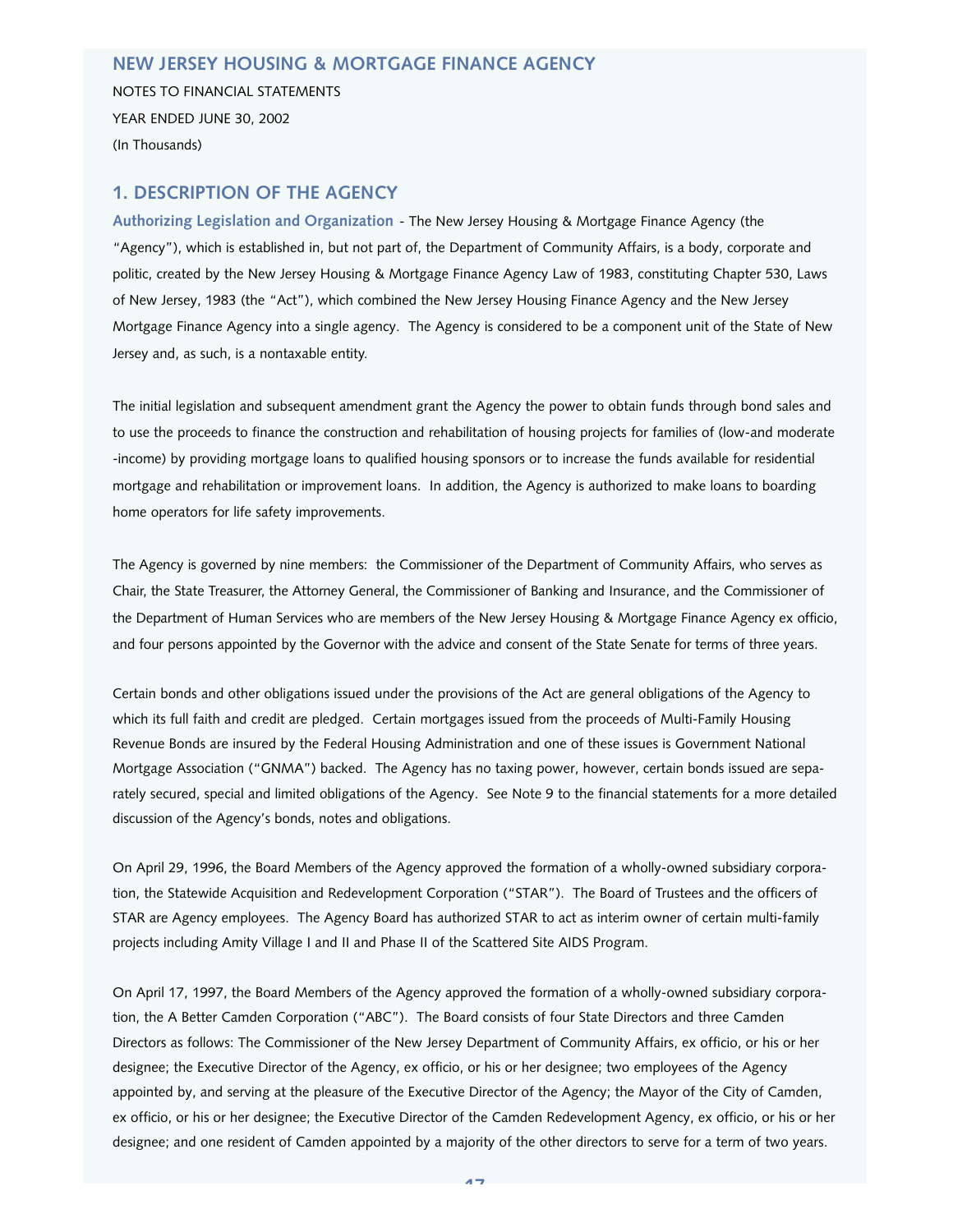## **NEW JERSEY HOUSING & MORTGAGE FINANCE AGENCY**

NOTES TO FINANCIAL STATEMENTS YEAR ENDED JUNE 30, 2002 (In Thousands)

## **1. DESCRIPTION OF THE AGENCY**

**Authorizing Legislation and Organization** - The New Jersey Housing & Mortgage Finance Agency (the "Agency"), which is established in, but not part of, the Department of Community Affairs, is a body, corporate and politic, created by the New Jersey Housing & Mortgage Finance Agency Law of 1983, constituting Chapter 530, Laws of New Jersey, 1983 (the "Act"), which combined the New Jersey Housing Finance Agency and the New Jersey Mortgage Finance Agency into a single agency. The Agency is considered to be a component unit of the State of New Jersey and, as such, is a nontaxable entity.

The initial legislation and subsequent amendment grant the Agency the power to obtain funds through bond sales and to use the proceeds to finance the construction and rehabilitation of housing projects for families of (low-and moderate -income) by providing mortgage loans to qualified housing sponsors or to increase the funds available for residential mortgage and rehabilitation or improvement loans. In addition, the Agency is authorized to make loans to boarding home operators for life safety improvements.

The Agency is governed by nine members: the Commissioner of the Department of Community Affairs, who serves as Chair, the State Treasurer, the Attorney General, the Commissioner of Banking and Insurance, and the Commissioner of the Department of Human Services who are members of the New Jersey Housing & Mortgage Finance Agency ex officio, and four persons appointed by the Governor with the advice and consent of the State Senate for terms of three years.

Certain bonds and other obligations issued under the provisions of the Act are general obligations of the Agency to which its full faith and credit are pledged. Certain mortgages issued from the proceeds of Multi-Family Housing Revenue Bonds are insured by the Federal Housing Administration and one of these issues is Government National Mortgage Association ("GNMA") backed. The Agency has no taxing power, however, certain bonds issued are separately secured, special and limited obligations of the Agency. See Note 9 to the financial statements for a more detailed discussion of the Agency's bonds, notes and obligations.

On April 29, 1996, the Board Members of the Agency approved the formation of a wholly-owned subsidiary corporation, the Statewide Acquisition and Redevelopment Corporation ("STAR"). The Board of Trustees and the officers of STAR are Agency employees. The Agency Board has authorized STAR to act as interim owner of certain multi-family projects including Amity Village I and II and Phase II of the Scattered Site AIDS Program.

On April 17, 1997, the Board Members of the Agency approved the formation of a wholly-owned subsidiary corporation, the A Better Camden Corporation ("ABC"). The Board consists of four State Directors and three Camden Directors as follows: The Commissioner of the New Jersey Department of Community Affairs, ex officio, or his or her designee; the Executive Director of the Agency, ex officio, or his or her designee; two employees of the Agency appointed by, and serving at the pleasure of the Executive Director of the Agency; the Mayor of the City of Camden, ex officio, or his or her designee; the Executive Director of the Camden Redevelopment Agency, ex officio, or his or her designee; and one resident of Camden appointed by a majority of the other directors to serve for a term of two years.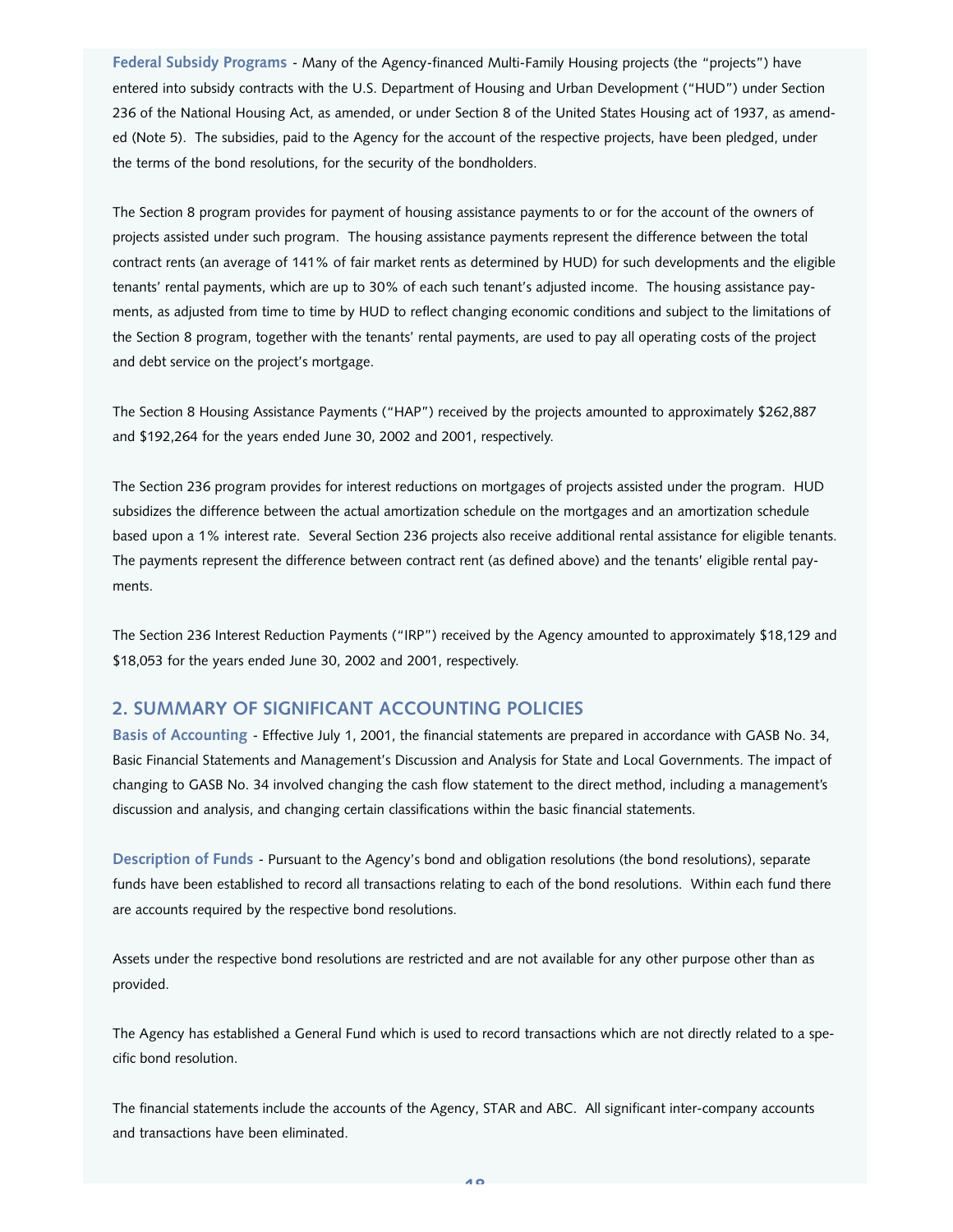**Federal Subsidy Programs** - Many of the Agency-financed Multi-Family Housing projects (the "projects") have entered into subsidy contracts with the U.S. Department of Housing and Urban Development ("HUD") under Section 236 of the National Housing Act, as amended, or under Section 8 of the United States Housing act of 1937, as amended (Note 5). The subsidies, paid to the Agency for the account of the respective projects, have been pledged, under the terms of the bond resolutions, for the security of the bondholders.

The Section 8 program provides for payment of housing assistance payments to or for the account of the owners of projects assisted under such program. The housing assistance payments represent the difference between the total contract rents (an average of 141% of fair market rents as determined by HUD) for such developments and the eligible tenants' rental payments, which are up to 30% of each such tenant's adjusted income. The housing assistance payments, as adjusted from time to time by HUD to reflect changing economic conditions and subject to the limitations of the Section 8 program, together with the tenants' rental payments, are used to pay all operating costs of the project and debt service on the project's mortgage.

The Section 8 Housing Assistance Payments ("HAP") received by the projects amounted to approximately \$262,887 and \$192,264 for the years ended June 30, 2002 and 2001, respectively.

The Section 236 program provides for interest reductions on mortgages of projects assisted under the program. HUD subsidizes the difference between the actual amortization schedule on the mortgages and an amortization schedule based upon a 1% interest rate. Several Section 236 projects also receive additional rental assistance for eligible tenants. The payments represent the difference between contract rent (as defined above) and the tenants' eligible rental payments.

The Section 236 Interest Reduction Payments ("IRP") received by the Agency amounted to approximately \$18,129 and \$18,053 for the years ended June 30, 2002 and 2001, respectively.

## **2. SUMMARY OF SIGNIFICANT ACCOUNTING POLICIES**

**Basis of Accounting** - Effective July 1, 2001, the financial statements are prepared in accordance with GASB No. 34, Basic Financial Statements and Management's Discussion and Analysis for State and Local Governments. The impact of changing to GASB No. 34 involved changing the cash flow statement to the direct method, including a management's discussion and analysis, and changing certain classifications within the basic financial statements.

**Description of Funds** - Pursuant to the Agency's bond and obligation resolutions (the bond resolutions), separate funds have been established to record all transactions relating to each of the bond resolutions. Within each fund there are accounts required by the respective bond resolutions.

Assets under the respective bond resolutions are restricted and are not available for any other purpose other than as provided.

The Agency has established a General Fund which is used to record transactions which are not directly related to a specific bond resolution.

The financial statements include the accounts of the Agency, STAR and ABC. All significant inter-company accounts and transactions have been eliminated.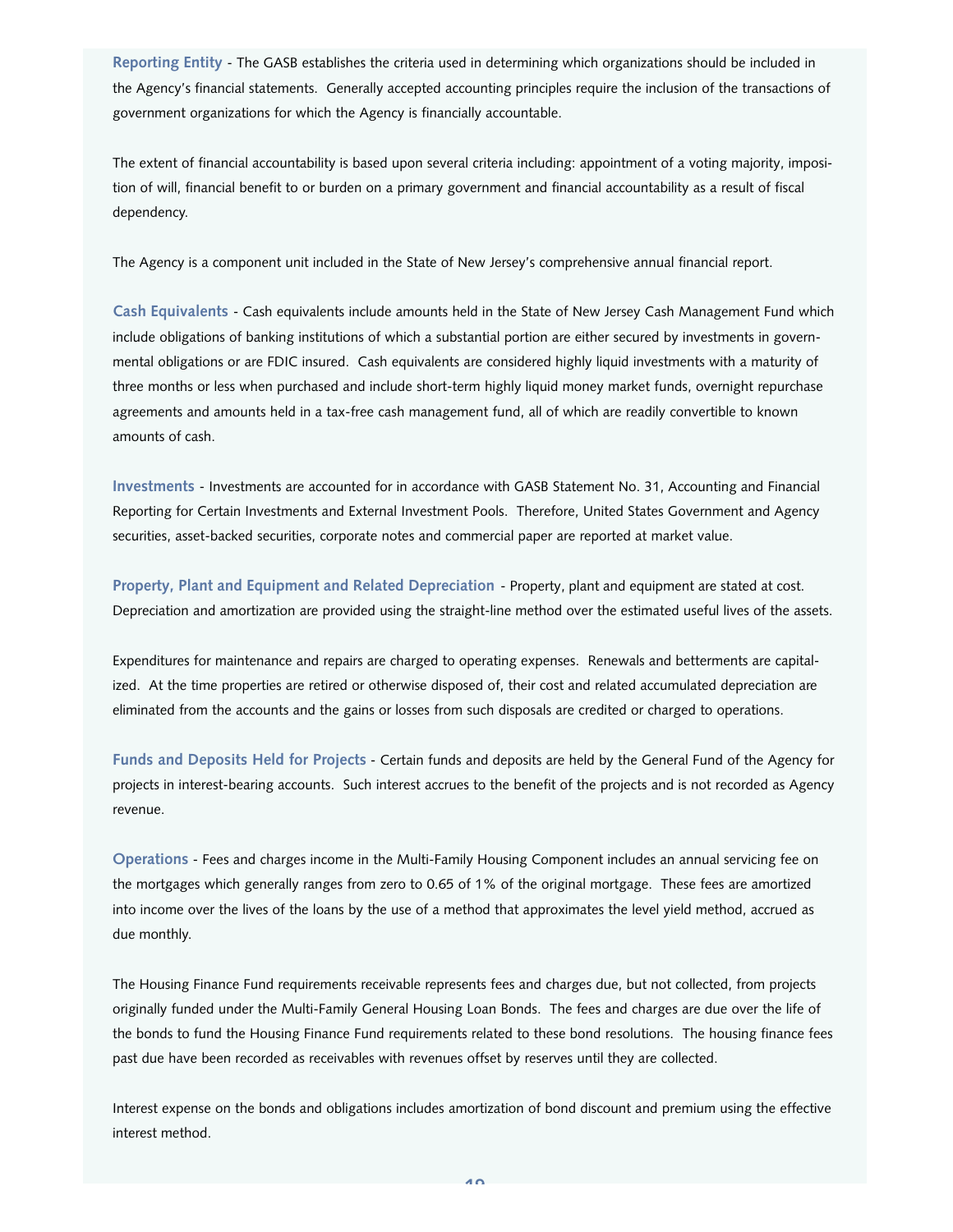**Reporting Entity** - The GASB establishes the criteria used in determining which organizations should be included in the Agency's financial statements. Generally accepted accounting principles require the inclusion of the transactions of government organizations for which the Agency is financially accountable.

The extent of financial accountability is based upon several criteria including: appointment of a voting majority, imposition of will, financial benefit to or burden on a primary government and financial accountability as a result of fiscal dependency.

The Agency is a component unit included in the State of New Jersey's comprehensive annual financial report.

**Cash Equivalents** - Cash equivalents include amounts held in the State of New Jersey Cash Management Fund which include obligations of banking institutions of which a substantial portion are either secured by investments in governmental obligations or are FDIC insured. Cash equivalents are considered highly liquid investments with a maturity of three months or less when purchased and include short-term highly liquid money market funds, overnight repurchase agreements and amounts held in a tax-free cash management fund, all of which are readily convertible to known amounts of cash.

**Investments** - Investments are accounted for in accordance with GASB Statement No. 31, Accounting and Financial Reporting for Certain Investments and External Investment Pools. Therefore, United States Government and Agency securities, asset-backed securities, corporate notes and commercial paper are reported at market value.

**Property, Plant and Equipment and Related Depreciation** - Property, plant and equipment are stated at cost. Depreciation and amortization are provided using the straight-line method over the estimated useful lives of the assets.

Expenditures for maintenance and repairs are charged to operating expenses. Renewals and betterments are capitalized. At the time properties are retired or otherwise disposed of, their cost and related accumulated depreciation are eliminated from the accounts and the gains or losses from such disposals are credited or charged to operations.

**Funds and Deposits Held for Projects** - Certain funds and deposits are held by the General Fund of the Agency for projects in interest-bearing accounts. Such interest accrues to the benefit of the projects and is not recorded as Agency revenue.

**Operations** - Fees and charges income in the Multi-Family Housing Component includes an annual servicing fee on the mortgages which generally ranges from zero to 0.65 of 1% of the original mortgage. These fees are amortized into income over the lives of the loans by the use of a method that approximates the level yield method, accrued as due monthly.

The Housing Finance Fund requirements receivable represents fees and charges due, but not collected, from projects originally funded under the Multi-Family General Housing Loan Bonds. The fees and charges are due over the life of the bonds to fund the Housing Finance Fund requirements related to these bond resolutions. The housing finance fees past due have been recorded as receivables with revenues offset by reserves until they are collected.

Interest expense on the bonds and obligations includes amortization of bond discount and premium using the effective interest method.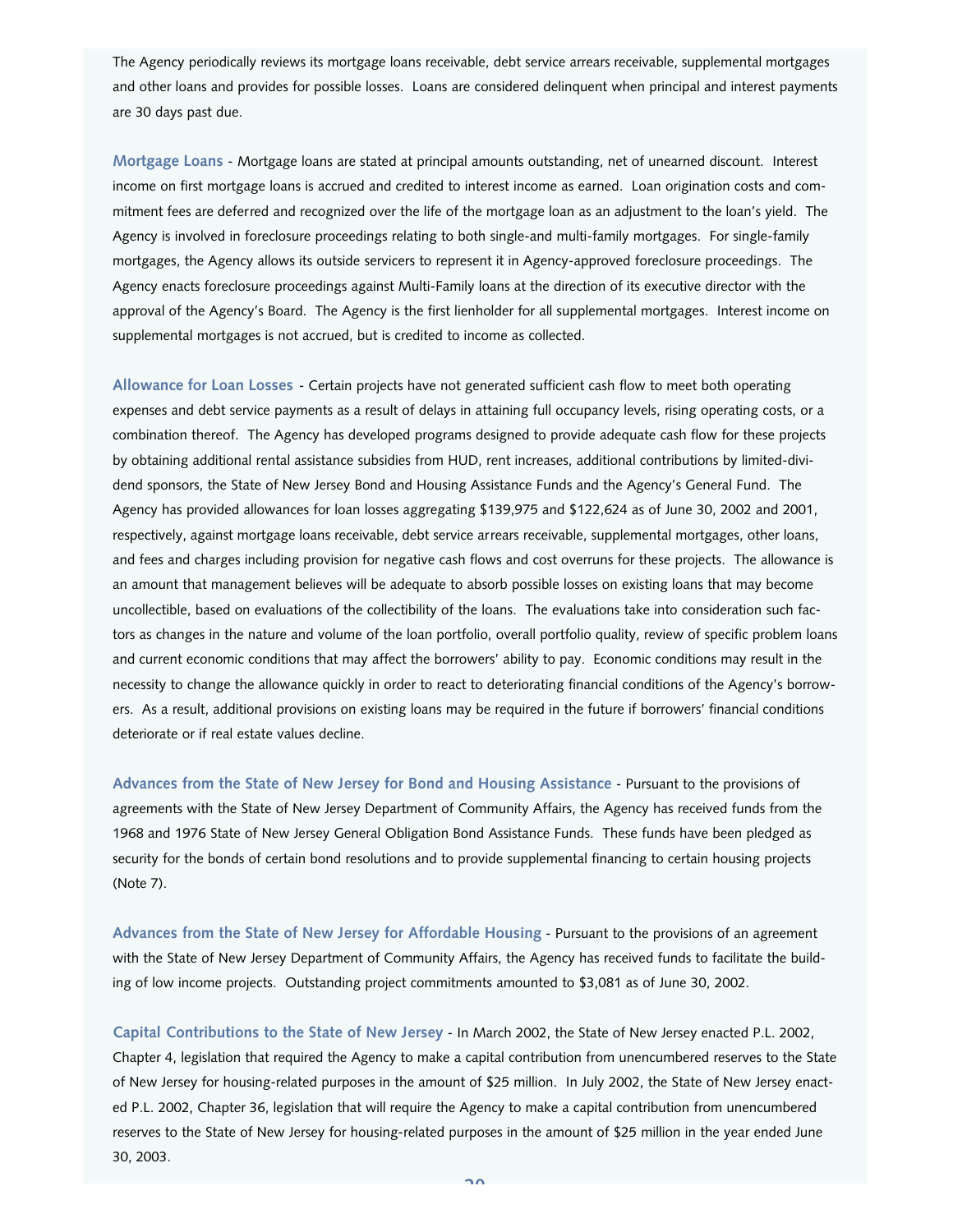The Agency periodically reviews its mortgage loans receivable, debt service arrears receivable, supplemental mortgages and other loans and provides for possible losses. Loans are considered delinquent when principal and interest payments are 30 days past due.

**Mortgage Loans** - Mortgage loans are stated at principal amounts outstanding, net of unearned discount. Interest income on first mortgage loans is accrued and credited to interest income as earned. Loan origination costs and commitment fees are deferred and recognized over the life of the mortgage loan as an adjustment to the loan's yield. The Agency is involved in foreclosure proceedings relating to both single-and multi-family mortgages. For single-family mortgages, the Agency allows its outside servicers to represent it in Agency-approved foreclosure proceedings. The Agency enacts foreclosure proceedings against Multi-Family loans at the direction of its executive director with the approval of the Agency's Board. The Agency is the first lienholder for all supplemental mortgages. Interest income on supplemental mortgages is not accrued, but is credited to income as collected.

**Allowance for Loan Losses** - Certain projects have not generated sufficient cash flow to meet both operating expenses and debt service payments as a result of delays in attaining full occupancy levels, rising operating costs, or a combination thereof. The Agency has developed programs designed to provide adequate cash flow for these projects by obtaining additional rental assistance subsidies from HUD, rent increases, additional contributions by limited-dividend sponsors, the State of New Jersey Bond and Housing Assistance Funds and the Agency's General Fund. The Agency has provided allowances for loan losses aggregating \$139,975 and \$122,624 as of June 30, 2002 and 2001, respectively, against mortgage loans receivable, debt service arrears receivable, supplemental mortgages, other loans, and fees and charges including provision for negative cash flows and cost overruns for these projects. The allowance is an amount that management believes will be adequate to absorb possible losses on existing loans that may become uncollectible, based on evaluations of the collectibility of the loans. The evaluations take into consideration such factors as changes in the nature and volume of the loan portfolio, overall portfolio quality, review of specific problem loans and current economic conditions that may affect the borrowers' ability to pay. Economic conditions may result in the necessity to change the allowance quickly in order to react to deteriorating financial conditions of the Agency's borrowers. As a result, additional provisions on existing loans may be required in the future if borrowers' financial conditions deteriorate or if real estate values decline.

**Advances from the State of New Jersey for Bond and Housing Assistance** - Pursuant to the provisions of agreements with the State of New Jersey Department of Community Affairs, the Agency has received funds from the 1968 and 1976 State of New Jersey General Obligation Bond Assistance Funds. These funds have been pledged as security for the bonds of certain bond resolutions and to provide supplemental financing to certain housing projects (Note 7).

**Advances from the State of New Jersey for Affordable Housing** - Pursuant to the provisions of an agreement with the State of New Jersey Department of Community Affairs, the Agency has received funds to facilitate the building of low income projects. Outstanding project commitments amounted to \$3,081 as of June 30, 2002.

**Capital Contributions to the State of New Jersey** - In March 2002, the State of New Jersey enacted P.L. 2002, Chapter 4, legislation that required the Agency to make a capital contribution from unencumbered reserves to the State of New Jersey for housing-related purposes in the amount of \$25 million. In July 2002, the State of New Jersey enacted P.L. 2002, Chapter 36, legislation that will require the Agency to make a capital contribution from unencumbered reserves to the State of New Jersey for housing-related purposes in the amount of \$25 million in the year ended June 30, 2003.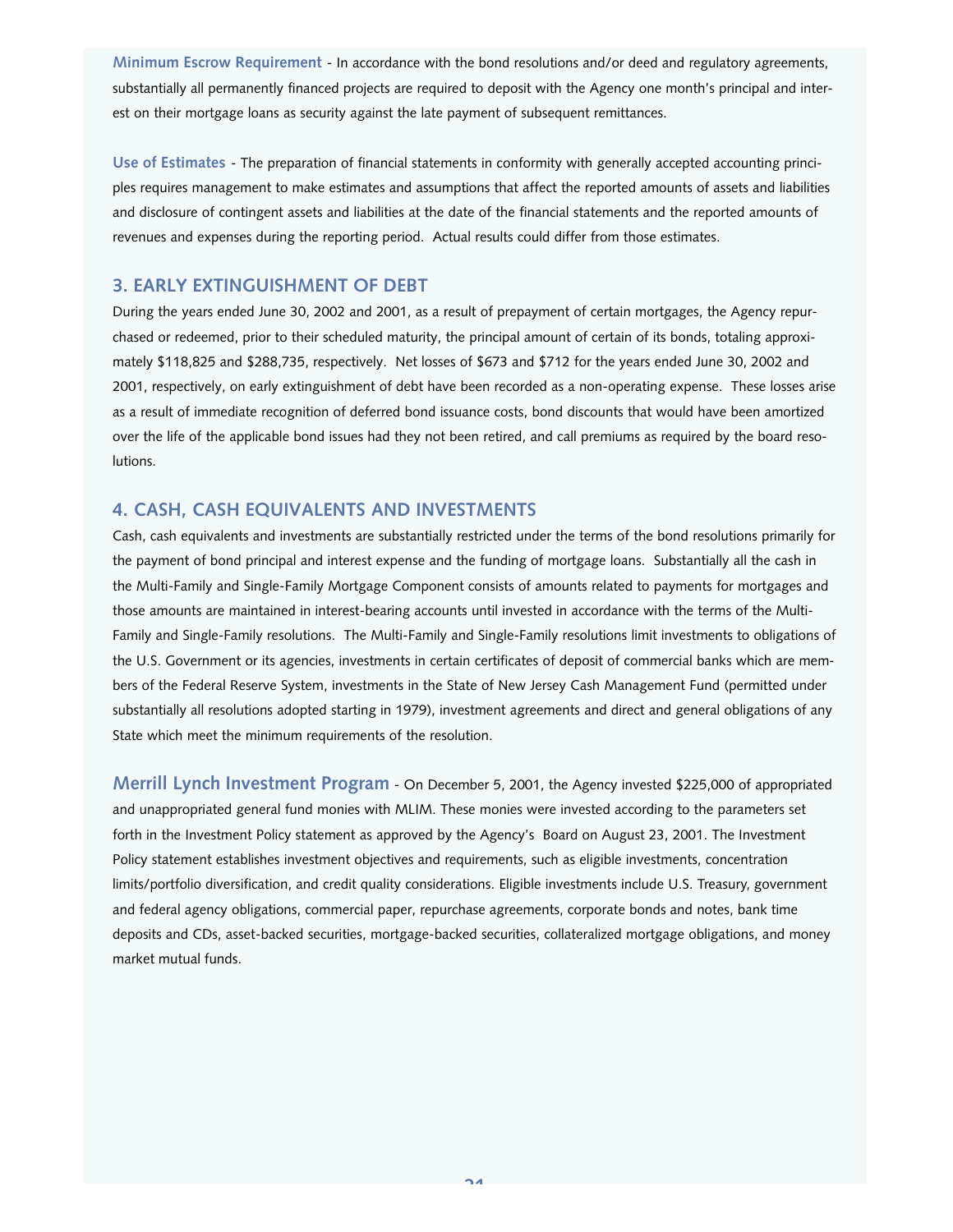**Minimum Escrow Requirement** - In accordance with the bond resolutions and/or deed and regulatory agreements, substantially all permanently financed projects are required to deposit with the Agency one month's principal and interest on their mortgage loans as security against the late payment of subsequent remittances.

**Use of Estimates** - The preparation of financial statements in conformity with generally accepted accounting principles requires management to make estimates and assumptions that affect the reported amounts of assets and liabilities and disclosure of contingent assets and liabilities at the date of the financial statements and the reported amounts of revenues and expenses during the reporting period. Actual results could differ from those estimates.

## **3. EARLY EXTINGUISHMENT OF DEBT**

During the years ended June 30, 2002 and 2001, as a result of prepayment of certain mortgages, the Agency repurchased or redeemed, prior to their scheduled maturity, the principal amount of certain of its bonds, totaling approximately \$118,825 and \$288,735, respectively. Net losses of \$673 and \$712 for the years ended June 30, 2002 and 2001, respectively, on early extinguishment of debt have been recorded as a non-operating expense. These losses arise as a result of immediate recognition of deferred bond issuance costs, bond discounts that would have been amortized over the life of the applicable bond issues had they not been retired, and call premiums as required by the board resolutions.

## **4. CASH, CASH EQUIVALENTS AND INVESTMENTS**

Cash, cash equivalents and investments are substantially restricted under the terms of the bond resolutions primarily for the payment of bond principal and interest expense and the funding of mortgage loans. Substantially all the cash in the Multi-Family and Single-Family Mortgage Component consists of amounts related to payments for mortgages and those amounts are maintained in interest-bearing accounts until invested in accordance with the terms of the Multi-Family and Single-Family resolutions. The Multi-Family and Single-Family resolutions limit investments to obligations of the U.S. Government or its agencies, investments in certain certificates of deposit of commercial banks which are members of the Federal Reserve System, investments in the State of New Jersey Cash Management Fund (permitted under substantially all resolutions adopted starting in 1979), investment agreements and direct and general obligations of any State which meet the minimum requirements of the resolution.

**Merrill Lynch Investment Program** - On December 5, 2001, the Agency invested \$225,000 of appropriated and unappropriated general fund monies with MLIM. These monies were invested according to the parameters set forth in the Investment Policy statement as approved by the Agency's Board on August 23, 2001. The Investment Policy statement establishes investment objectives and requirements, such as eligible investments, concentration limits/portfolio diversification, and credit quality considerations. Eligible investments include U.S. Treasury, government and federal agency obligations, commercial paper, repurchase agreements, corporate bonds and notes, bank time deposits and CDs, asset-backed securities, mortgage-backed securities, collateralized mortgage obligations, and money market mutual funds.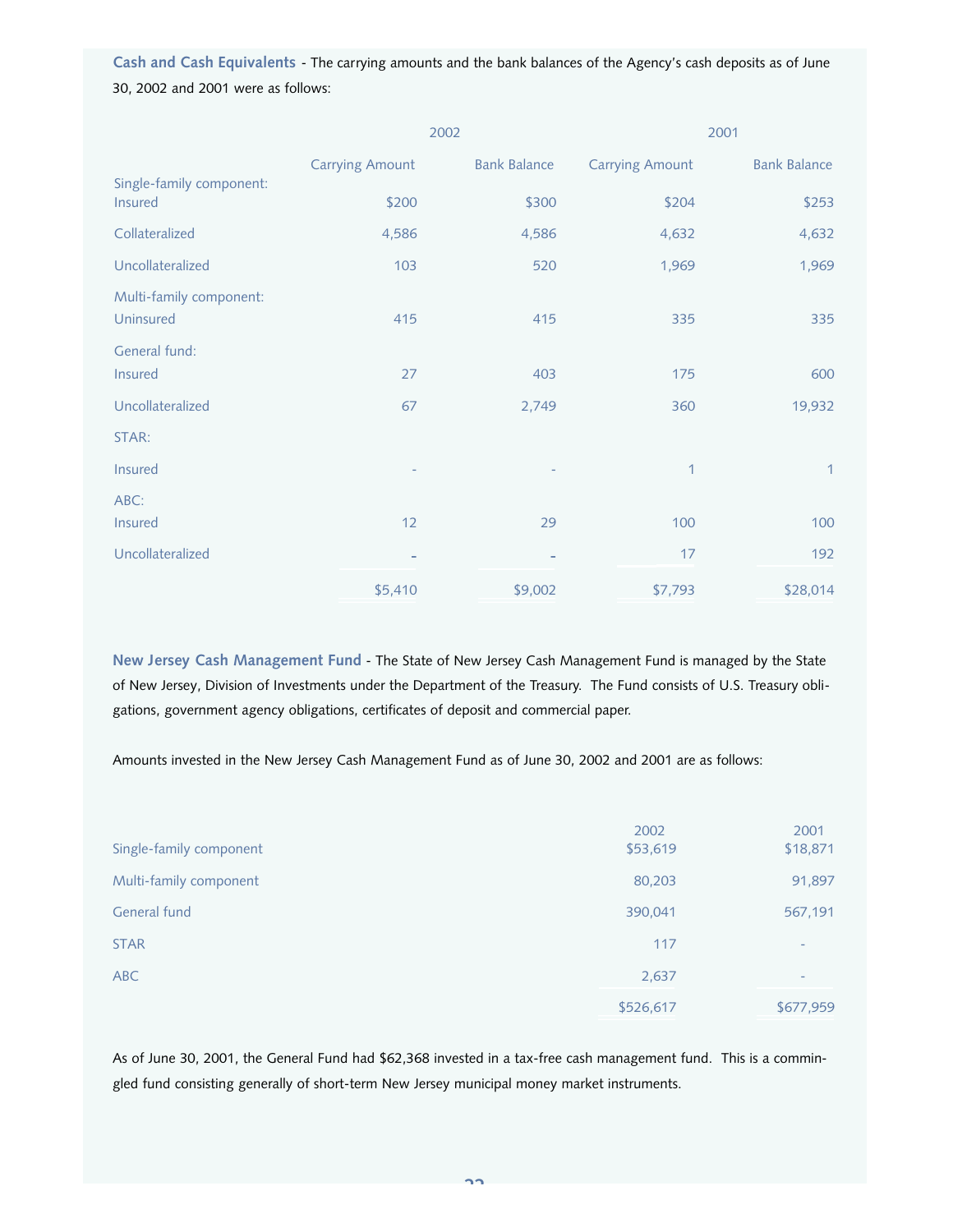**Cash and Cash Equivalents** - The carrying amounts and the bank balances of the Agency's cash deposits as of June 30, 2002 and 2001 were as follows:

|                                      |                        | 2002                |                        | 2001                |
|--------------------------------------|------------------------|---------------------|------------------------|---------------------|
|                                      | <b>Carrying Amount</b> | <b>Bank Balance</b> | <b>Carrying Amount</b> | <b>Bank Balance</b> |
| Single-family component:<br>Insured  | \$200                  | \$300               | \$204                  | \$253               |
| Collateralized                       | 4,586                  | 4,586               | 4,632                  | 4,632               |
| Uncollateralized                     | 103                    | 520                 | 1,969                  | 1,969               |
| Multi-family component:<br>Uninsured | 415                    | 415                 | 335                    | 335                 |
| General fund:<br>Insured             | 27                     | 403                 | 175                    | 600                 |
| Uncollateralized                     | 67                     | 2,749               | 360                    | 19,932              |
| STAR:                                |                        |                     |                        |                     |
| Insured                              |                        |                     | $\mathbf{1}$           | $\mathbf{1}$        |
| ABC:                                 |                        |                     |                        |                     |
| <b>Insured</b>                       | 12                     | 29                  | 100                    | 100                 |
| Uncollateralized                     |                        |                     | 17                     | 192                 |
|                                      | \$5,410                | \$9,002             | \$7,793                | \$28,014            |

**New Jersey Cash Management Fund** - The State of New Jersey Cash Management Fund is managed by the State of New Jersey, Division of Investments under the Department of the Treasury. The Fund consists of U.S. Treasury obligations, government agency obligations, certificates of deposit and commercial paper.

Amounts invested in the New Jersey Cash Management Fund as of June 30, 2002 and 2001 are as follows:

|                         | 2002      | 2001      |
|-------------------------|-----------|-----------|
| Single-family component | \$53,619  | \$18,871  |
| Multi-family component  | 80,203    | 91,897    |
| General fund            | 390,041   | 567,191   |
| <b>STAR</b>             | 117       | ٠         |
| <b>ABC</b>              | 2,637     |           |
|                         | \$526,617 | \$677,959 |

As of June 30, 2001, the General Fund had \$62,368 invested in a tax-free cash management fund. This is a commingled fund consisting generally of short-term New Jersey municipal money market instruments.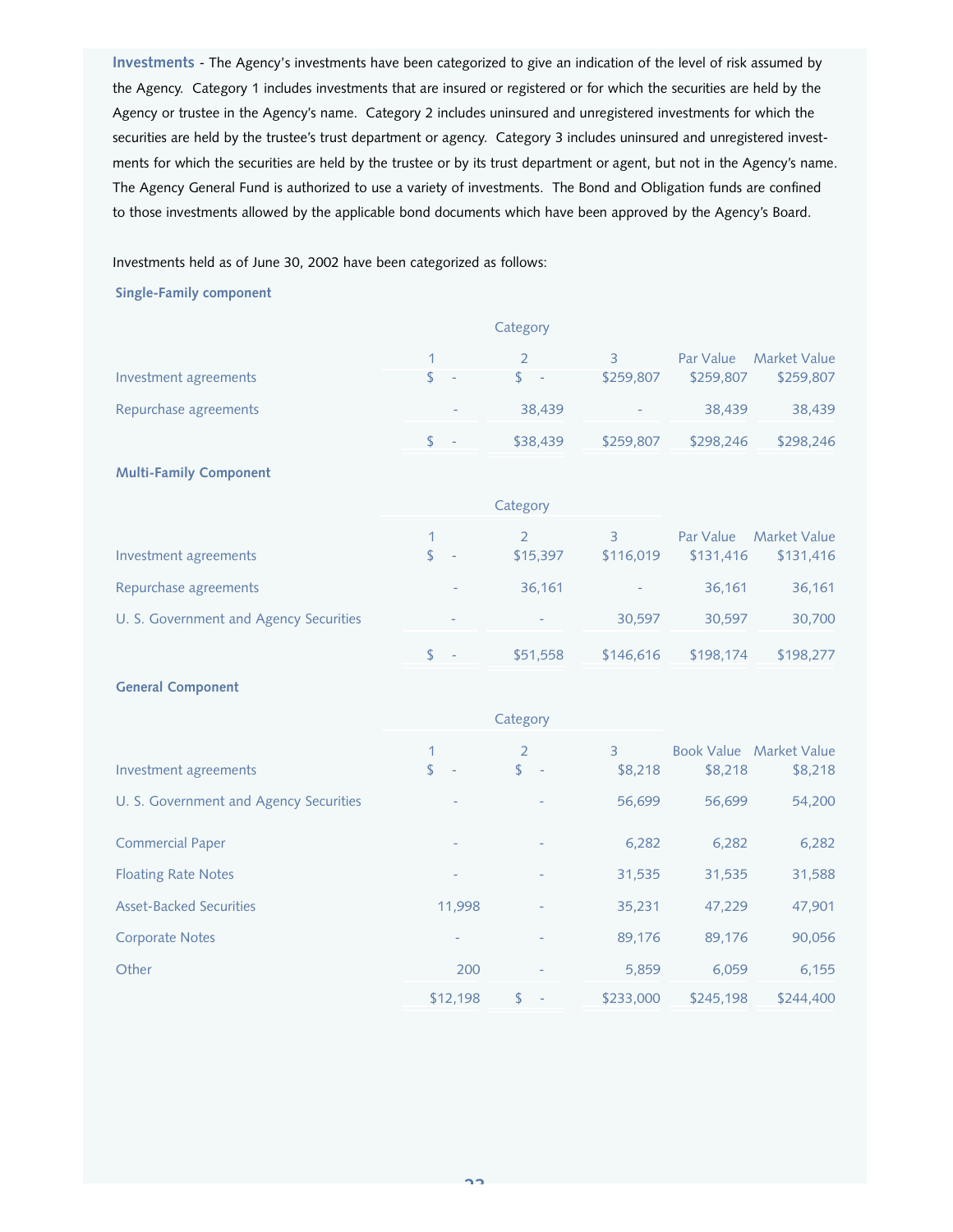**Investments** - The Agency's investments have been categorized to give an indication of the level of risk assumed by the Agency. Category 1 includes investments that are insured or registered or for which the securities are held by the Agency or trustee in the Agency's name. Category 2 includes uninsured and unregistered investments for which the securities are held by the trustee's trust department or agency. Category 3 includes uninsured and unregistered investments for which the securities are held by the trustee or by its trust department or agent, but not in the Agency's name. The Agency General Fund is authorized to use a variety of investments. The Bond and Obligation funds are confined to those investments allowed by the applicable bond documents which have been approved by the Agency's Board.

Investments held as of June 30, 2002 have been categorized as follows:

#### **Single-Family component**

|                                        |                                | Category        |                          |           |                     |
|----------------------------------------|--------------------------------|-----------------|--------------------------|-----------|---------------------|
|                                        | 1                              | $\overline{2}$  | $\overline{3}$           | Par Value | <b>Market Value</b> |
| Investment agreements                  | \$<br>$\overline{\phantom{a}}$ | $\frac{1}{2}$ - | \$259,807                | \$259,807 | \$259,807           |
| Repurchase agreements                  |                                | 38,439          | $\overline{\phantom{a}}$ | 38,439    | 38,439              |
|                                        | $\mathsf{\$}$                  | \$38,439        | \$259,807                | \$298,246 | \$298,246           |
| <b>Multi-Family Component</b>          |                                |                 |                          |           |                     |
|                                        |                                | Category        |                          |           |                     |
|                                        |                                | $\overline{2}$  | $\overline{3}$           | Par Value | <b>Market Value</b> |
| Investment agreements                  | $\mathsf{\$}$                  | \$15,397        | \$116,019                | \$131,416 | \$131,416           |
| Repurchase agreements                  |                                | 36,161          |                          | 36,161    | 36,161              |
| U. S. Government and Agency Securities |                                |                 | 30,597                   | 30,597    | 30,700              |
|                                        | $\mathbb{S}$                   | \$51,558        | \$146,616                | \$198,174 | \$198,277           |
| <b>General Component</b>               |                                |                 |                          |           |                     |
|                                        |                                | Category        |                          |           |                     |
|                                        |                                |                 |                          |           |                     |

| Investment agreements                  | \$<br>$\overline{\phantom{a}}$ | $\overline{2}$<br>$\mathsf{S}$<br>$\overline{\phantom{a}}$ | 3<br>\$8,218 | <b>Book Value</b><br>\$8,218 | <b>Market Value</b><br>\$8,218 |
|----------------------------------------|--------------------------------|------------------------------------------------------------|--------------|------------------------------|--------------------------------|
| U. S. Government and Agency Securities | $\overline{\phantom{0}}$       |                                                            | 56,699       | 56.699                       | 54,200                         |
| <b>Commercial Paper</b>                | $\qquad \qquad$                |                                                            | 6,282        | 6,282                        | 6,282                          |
| <b>Floating Rate Notes</b>             | $\overline{\phantom{a}}$       | $\overline{\phantom{a}}$                                   | 31,535       | 31.535                       | 31,588                         |
| <b>Asset-Backed Securities</b>         | 11,998                         | $\overline{\phantom{a}}$                                   | 35,231       | 47,229                       | 47,901                         |
| <b>Corporate Notes</b>                 |                                |                                                            | 89,176       | 89,176                       | 90,056                         |
| Other                                  | 200                            |                                                            | 5,859        | 6,059                        | 6,155                          |
|                                        | \$12,198                       | \$                                                         | \$233,000    | \$245.198                    | \$244.400                      |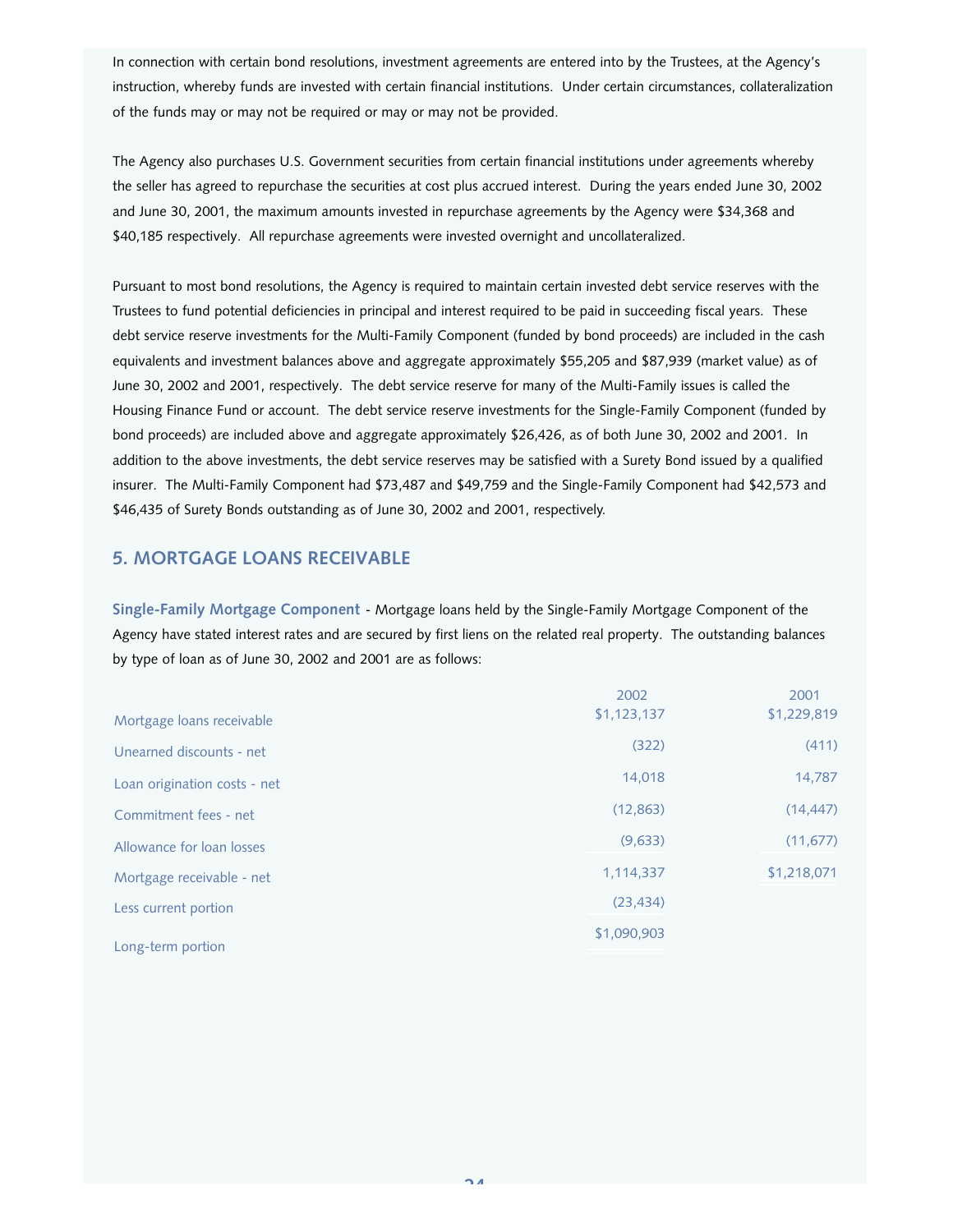In connection with certain bond resolutions, investment agreements are entered into by the Trustees, at the Agency's instruction, whereby funds are invested with certain financial institutions. Under certain circumstances, collateralization of the funds may or may not be required or may or may not be provided.

The Agency also purchases U.S. Government securities from certain financial institutions under agreements whereby the seller has agreed to repurchase the securities at cost plus accrued interest. During the years ended June 30, 2002 and June 30, 2001, the maximum amounts invested in repurchase agreements by the Agency were \$34,368 and \$40,185 respectively. All repurchase agreements were invested overnight and uncollateralized.

Pursuant to most bond resolutions, the Agency is required to maintain certain invested debt service reserves with the Trustees to fund potential deficiencies in principal and interest required to be paid in succeeding fiscal years. These debt service reserve investments for the Multi-Family Component (funded by bond proceeds) are included in the cash equivalents and investment balances above and aggregate approximately \$55,205 and \$87,939 (market value) as of June 30, 2002 and 2001, respectively. The debt service reserve for many of the Multi-Family issues is called the Housing Finance Fund or account. The debt service reserve investments for the Single-Family Component (funded by bond proceeds) are included above and aggregate approximately \$26,426, as of both June 30, 2002 and 2001. In addition to the above investments, the debt service reserves may be satisfied with a Surety Bond issued by a qualified insurer. The Multi-Family Component had \$73,487 and \$49,759 and the Single-Family Component had \$42,573 and \$46,435 of Surety Bonds outstanding as of June 30, 2002 and 2001, respectively.

## **5. MORTGAGE LOANS RECEIVABLE**

**Single-Family Mortgage Component** - Mortgage loans held by the Single-Family Mortgage Component of the Agency have stated interest rates and are secured by first liens on the related real property. The outstanding balances by type of loan as of June 30, 2002 and 2001 are as follows:

| Mortgage loans receivable    | 2002<br>\$1,123,137 | 2001<br>\$1,229,819 |
|------------------------------|---------------------|---------------------|
| Unearned discounts - net     | (322)               | (411)               |
| Loan origination costs - net | 14,018              | 14,787              |
| Commitment fees - net        | (12, 863)           | (14, 447)           |
| Allowance for loan losses    | (9,633)             | (11, 677)           |
| Mortgage receivable - net    | 1,114,337           | \$1,218,071         |
| Less current portion         | (23, 434)           |                     |
|                              | \$1,090,903         |                     |
| Long-term portion            |                     |                     |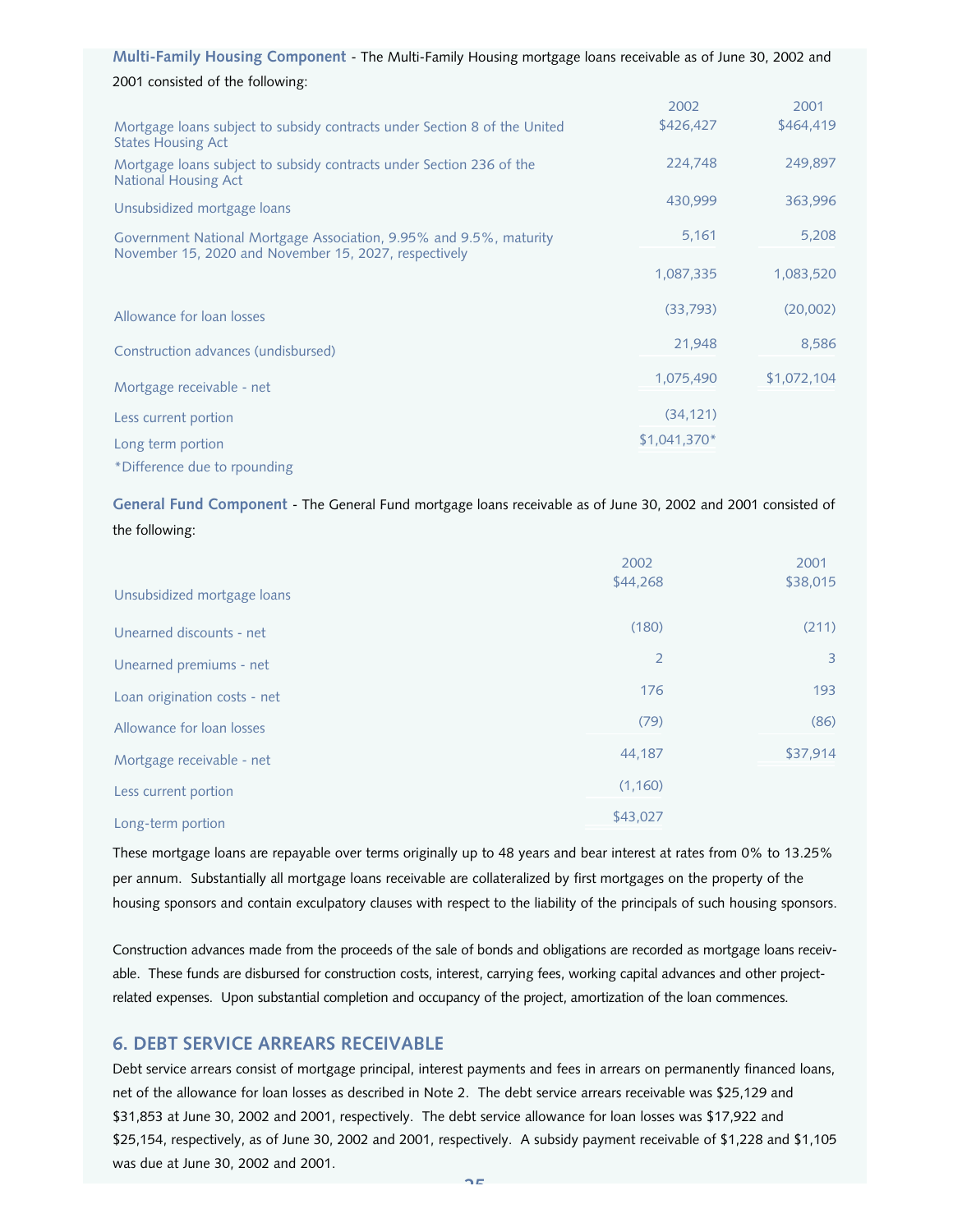|  |  | Multi-Family Housing Component - The Multi-Family Housing mortgage loans receivable as of June 30, 2002 and |
|--|--|-------------------------------------------------------------------------------------------------------------|
|--|--|-------------------------------------------------------------------------------------------------------------|

## 2001 consisted of the following:

|                                                                                                                             | 2002          | 2001        |
|-----------------------------------------------------------------------------------------------------------------------------|---------------|-------------|
| Mortgage loans subject to subsidy contracts under Section 8 of the United<br><b>States Housing Act</b>                      | \$426,427     | \$464,419   |
| Mortgage loans subject to subsidy contracts under Section 236 of the<br>National Housing Act                                | 224,748       | 249,897     |
| Unsubsidized mortgage loans                                                                                                 | 430,999       | 363,996     |
| Government National Mortgage Association, 9.95% and 9.5%, maturity<br>November 15, 2020 and November 15, 2027, respectively | 5,161         | 5,208       |
|                                                                                                                             | 1,087,335     | 1,083,520   |
| Allowance for loan losses                                                                                                   | (33,793)      | (20,002)    |
| Construction advances (undisbursed)                                                                                         | 21,948        | 8,586       |
| Mortgage receivable - net                                                                                                   | 1,075,490     | \$1,072,104 |
| Less current portion                                                                                                        | (34, 121)     |             |
| Long term portion                                                                                                           | $$1,041,370*$ |             |
| *Difference due to rpounding                                                                                                |               |             |

**General Fund Component** - The General Fund mortgage loans receivable as of June 30, 2002 and 2001 consisted of the following:

|                              | 2002<br>\$44,268 | 2001<br>\$38,015 |
|------------------------------|------------------|------------------|
| Unsubsidized mortgage loans  |                  |                  |
| Unearned discounts - net     | (180)            | (211)            |
| Unearned premiums - net      | $\overline{2}$   | 3                |
| Loan origination costs - net | 176              | 193              |
| Allowance for loan losses    | (79)             | (86)             |
| Mortgage receivable - net    | 44,187           | \$37,914         |
| Less current portion         | (1,160)          |                  |
| Long-term portion            | \$43,027         |                  |
|                              |                  |                  |

These mortgage loans are repayable over terms originally up to 48 years and bear interest at rates from 0% to 13.25% per annum. Substantially all mortgage loans receivable are collateralized by first mortgages on the property of the housing sponsors and contain exculpatory clauses with respect to the liability of the principals of such housing sponsors.

Construction advances made from the proceeds of the sale of bonds and obligations are recorded as mortgage loans receivable. These funds are disbursed for construction costs, interest, carrying fees, working capital advances and other projectrelated expenses. Upon substantial completion and occupancy of the project, amortization of the loan commences.

## **6. DEBT SERVICE ARREARS RECEIVABLE**

Debt service arrears consist of mortgage principal, interest payments and fees in arrears on permanently financed loans, net of the allowance for loan losses as described in Note 2. The debt service arrears receivable was \$25,129 and \$31,853 at June 30, 2002 and 2001, respectively. The debt service allowance for loan losses was \$17,922 and \$25,154, respectively, as of June 30, 2002 and 2001, respectively. A subsidy payment receivable of \$1,228 and \$1,105 was due at June 30, 2002 and 2001.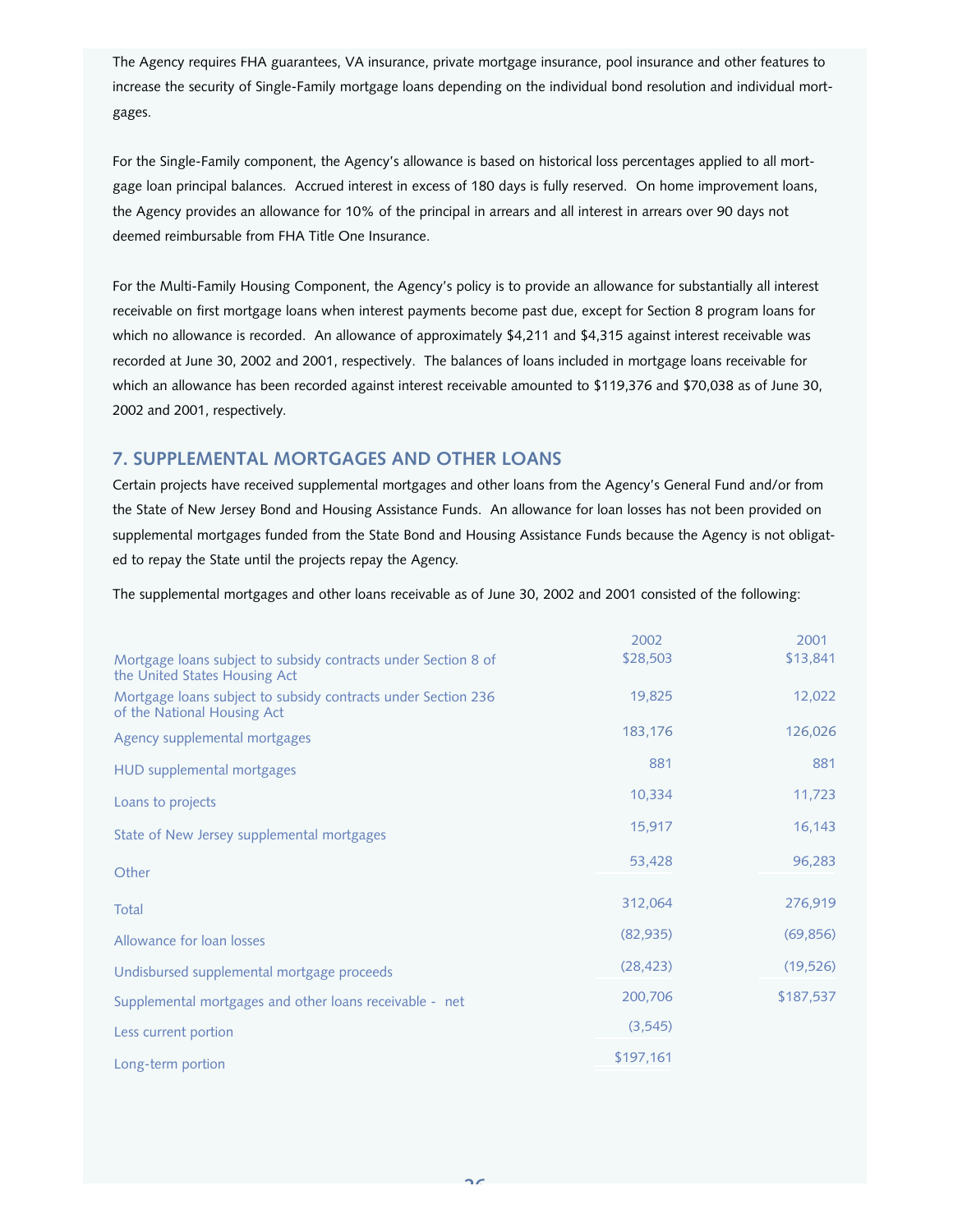The Agency requires FHA guarantees, VA insurance, private mortgage insurance, pool insurance and other features to increase the security of Single-Family mortgage loans depending on the individual bond resolution and individual mortgages.

For the Single-Family component, the Agency's allowance is based on historical loss percentages applied to all mortgage loan principal balances. Accrued interest in excess of 180 days is fully reserved. On home improvement loans, the Agency provides an allowance for 10% of the principal in arrears and all interest in arrears over 90 days not deemed reimbursable from FHA Title One Insurance.

For the Multi-Family Housing Component, the Agency's policy is to provide an allowance for substantially all interest receivable on first mortgage loans when interest payments become past due, except for Section 8 program loans for which no allowance is recorded. An allowance of approximately \$4,211 and \$4,315 against interest receivable was recorded at June 30, 2002 and 2001, respectively. The balances of loans included in mortgage loans receivable for which an allowance has been recorded against interest receivable amounted to \$119,376 and \$70,038 as of June 30, 2002 and 2001, respectively.

## **7. SUPPLEMENTAL MORTGAGES AND OTHER LOANS**

Certain projects have received supplemental mortgages and other loans from the Agency's General Fund and/or from the State of New Jersey Bond and Housing Assistance Funds. An allowance for loan losses has not been provided on supplemental mortgages funded from the State Bond and Housing Assistance Funds because the Agency is not obligated to repay the State until the projects repay the Agency.

The supplemental mortgages and other loans receivable as of June 30, 2002 and 2001 consisted of the following:

|                                                                                                 | 2002      | 2001      |
|-------------------------------------------------------------------------------------------------|-----------|-----------|
| Mortgage loans subject to subsidy contracts under Section 8 of<br>the United States Housing Act | \$28,503  | \$13,841  |
| Mortgage loans subject to subsidy contracts under Section 236<br>of the National Housing Act    | 19,825    | 12,022    |
| Agency supplemental mortgages                                                                   | 183,176   | 126,026   |
| HUD supplemental mortgages                                                                      | 881       | 881       |
| Loans to projects                                                                               | 10,334    | 11,723    |
| State of New Jersey supplemental mortgages                                                      | 15,917    | 16,143    |
| Other                                                                                           | 53,428    | 96,283    |
|                                                                                                 |           |           |
| Total                                                                                           | 312,064   | 276,919   |
| Allowance for loan losses                                                                       | (82, 935) | (69, 856) |
| Undisbursed supplemental mortgage proceeds                                                      | (28, 423) | (19, 526) |
| Supplemental mortgages and other loans receivable - net                                         | 200,706   | \$187,537 |
| Less current portion                                                                            | (3, 545)  |           |
| Long-term portion                                                                               | \$197,161 |           |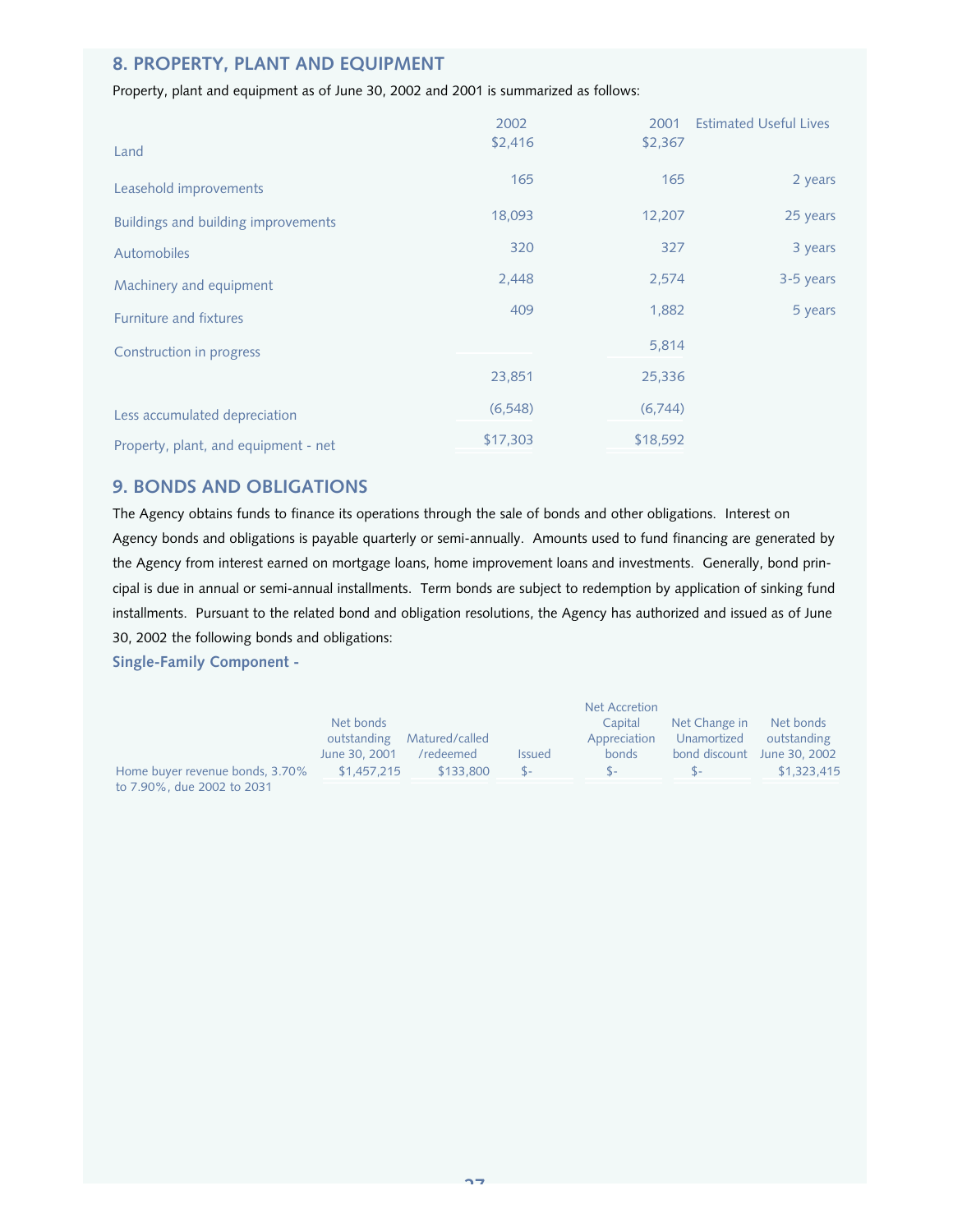## **8. PROPERTY, PLANT AND EQUIPMENT**

## Property, plant and equipment as of June 30, 2002 and 2001 is summarized as follows:

| Land                                       | 2002<br>\$2,416 | 2001<br>\$2,367 | <b>Estimated Useful Lives</b> |
|--------------------------------------------|-----------------|-----------------|-------------------------------|
| Leasehold improvements                     | 165             | 165             | 2 years                       |
| <b>Buildings and building improvements</b> | 18,093          | 12,207          | 25 years                      |
| <b>Automobiles</b>                         | 320             | 327             | 3 years                       |
| Machinery and equipment                    | 2,448           | 2,574           | 3-5 years                     |
| <b>Furniture and fixtures</b>              | 409             | 1,882           | 5 years                       |
| Construction in progress                   |                 | 5,814           |                               |
|                                            | 23,851          | 25,336          |                               |
| Less accumulated depreciation              | (6, 548)        | (6,744)         |                               |
| Property, plant, and equipment - net       | \$17,303        | \$18,592        |                               |

## **9. BONDS AND OBLIGATIONS**

The Agency obtains funds to finance its operations through the sale of bonds and other obligations. Interest on Agency bonds and obligations is payable quarterly or semi-annually. Amounts used to fund financing are generated by the Agency from interest earned on mortgage loans, home improvement loans and investments. Generally, bond principal is due in annual or semi-annual installments. Term bonds are subject to redemption by application of sinking fund installments. Pursuant to the related bond and obligation resolutions, the Agency has authorized and issued as of June 30, 2002 the following bonds and obligations:

**Single-Family Component -** 

|                                 |               |                |               | <b>Net Accretion</b> |               |                             |
|---------------------------------|---------------|----------------|---------------|----------------------|---------------|-----------------------------|
|                                 | Net bonds     |                |               | Capital              | Net Change in | Net bonds                   |
|                                 | outstanding   | Matured/called |               | Appreciation         | Unamortized   | outstanding                 |
|                                 | June 30, 2001 | /redeemed      | <b>Issued</b> | bonds                |               | bond discount June 30, 2002 |
| Home buyer revenue bonds, 3.70% | \$1.457.215   | \$133,800      | $S-$          | \$∼                  | $S -$         | \$1,323,415                 |
| to 7.90%, due 2002 to 2031      |               |                |               |                      |               |                             |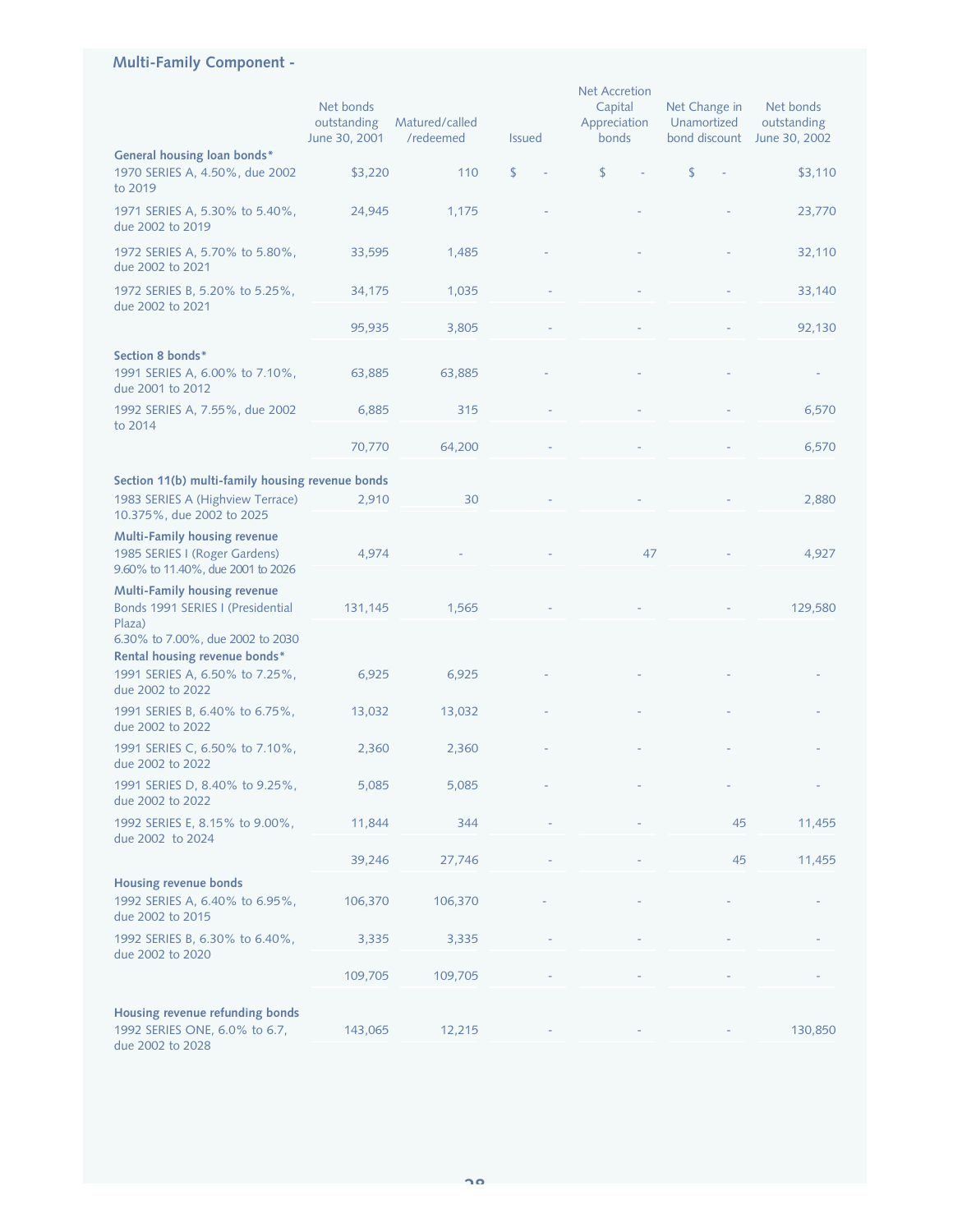## **Multi-Family Component -**

|                                                                                                                                   | Net bonds<br>outstanding<br>June 30, 2001 | Matured/called<br>/redeemed | <b>Issued</b> | <b>Net Accretion</b><br>Capital<br>Appreciation<br>bonds | Net Change in<br>Unamortized<br>bond discount | Net bonds<br>outstanding<br>June 30, 2002 |
|-----------------------------------------------------------------------------------------------------------------------------------|-------------------------------------------|-----------------------------|---------------|----------------------------------------------------------|-----------------------------------------------|-------------------------------------------|
| General housing loan bonds*                                                                                                       |                                           |                             |               |                                                          |                                               |                                           |
| 1970 SERIES A, 4.50%, due 2002<br>to 2019                                                                                         | \$3,220                                   | 110                         | \$            | \$                                                       | \$                                            | \$3,110                                   |
| 1971 SERIES A, 5.30% to 5.40%,<br>due 2002 to 2019                                                                                | 24,945                                    | 1,175                       |               |                                                          |                                               | 23,770                                    |
| 1972 SERIES A, 5.70% to 5.80%,<br>due 2002 to 2021                                                                                | 33,595                                    | 1,485                       |               |                                                          |                                               | 32,110                                    |
| 1972 SERIES B, 5.20% to 5.25%,<br>due 2002 to 2021                                                                                | 34,175                                    | 1,035                       |               |                                                          |                                               | 33,140                                    |
|                                                                                                                                   | 95,935                                    | 3,805                       |               |                                                          |                                               | 92,130                                    |
| Section 8 bonds*<br>1991 SERIES A, 6.00% to 7.10%,<br>due 2001 to 2012                                                            | 63,885                                    | 63,885                      |               |                                                          |                                               |                                           |
| 1992 SERIES A, 7.55%, due 2002<br>to 2014                                                                                         | 6,885                                     | 315                         |               |                                                          |                                               | 6,570                                     |
|                                                                                                                                   | 70,770                                    | 64,200                      |               |                                                          |                                               | 6,570                                     |
| Section 11(b) multi-family housing revenue bonds                                                                                  |                                           |                             |               |                                                          |                                               |                                           |
| 1983 SERIES A (Highview Terrace)<br>10.375%, due 2002 to 2025                                                                     | 2,910                                     | 30                          |               |                                                          |                                               | 2,880                                     |
| Multi-Family housing revenue<br>1985 SERIES I (Roger Gardens)<br>9.60% to 11.40%, due 2001 to 2026                                | 4,974                                     |                             |               | 47                                                       |                                               | 4,927                                     |
| <b>Multi-Family housing revenue</b><br>Bonds 1991 SERIES I (Presidential                                                          | 131,145                                   | 1,565                       |               |                                                          |                                               | 129,580                                   |
| Plaza)<br>6.30% to 7.00%, due 2002 to 2030<br>Rental housing revenue bonds*<br>1991 SERIES A, 6.50% to 7.25%,<br>due 2002 to 2022 | 6,925                                     | 6,925                       |               |                                                          |                                               |                                           |
| 1991 SERIES B, 6.40% to 6.75%,<br>due 2002 to 2022                                                                                | 13,032                                    | 13,032                      |               |                                                          |                                               |                                           |
| 1991 SERIES C, 6.50% to 7.10%,<br>due 2002 to 2022                                                                                | 2,360                                     | 2,360                       |               |                                                          |                                               |                                           |
| 1991 SERIES D, 8.40% to 9.25%,<br>due 2002 to 2022                                                                                | 5,085                                     | 5,085                       |               |                                                          |                                               |                                           |
| 1992 SERIES E, 8.15% to 9.00%,<br>due 2002 to 2024                                                                                | 11,844                                    | 344                         |               |                                                          | 45                                            | 11,455                                    |
|                                                                                                                                   | 39,246                                    | 27,746                      |               |                                                          | 45                                            | 11,455                                    |
| <b>Housing revenue bonds</b>                                                                                                      |                                           |                             |               |                                                          |                                               |                                           |
| 1992 SERIES A, 6.40% to 6.95%,<br>due 2002 to 2015                                                                                | 106,370                                   | 106,370                     |               |                                                          |                                               |                                           |
| 1992 SERIES B, 6.30% to 6.40%,<br>due 2002 to 2020                                                                                | 3,335                                     | 3,335                       |               |                                                          |                                               |                                           |
|                                                                                                                                   | 109,705                                   | 109,705                     |               |                                                          |                                               |                                           |
| Housing revenue refunding bonds<br>1992 SERIES ONE, 6.0% to 6.7,<br>due 2002 to 2028                                              | 143,065                                   | 12,215                      |               |                                                          |                                               | 130,850                                   |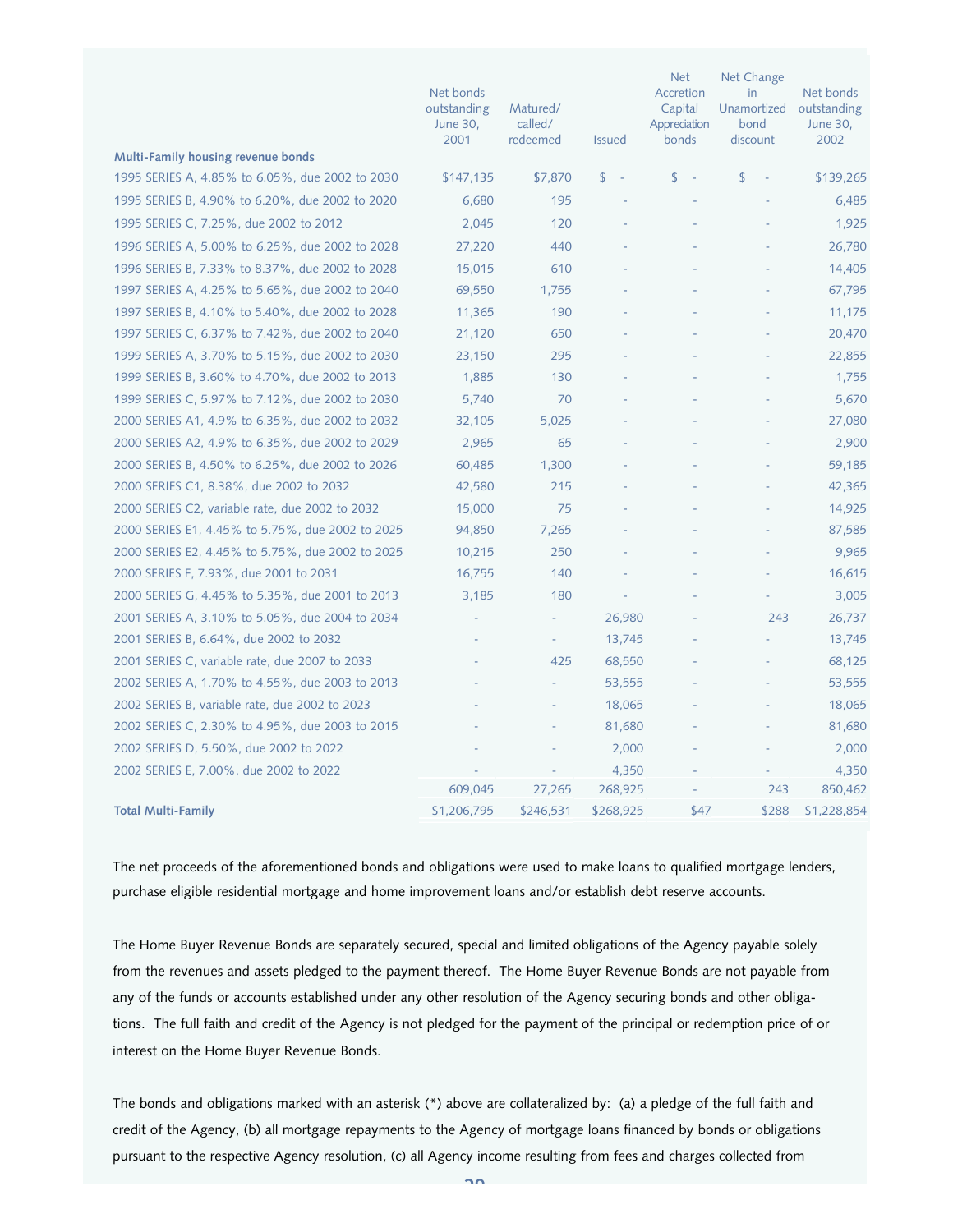|                                                  | Net bonds<br>outstanding<br><b>June 30,</b><br>2001 | Matured/<br>called/<br>redeemed | <b>Issued</b> | <b>Net</b><br>Accretion<br>Capital<br>Appreciation<br>bonds | Net Change<br>in<br>Unamortized<br>bond<br>discount | Net bonds<br>outstanding<br>June 30,<br>2002 |
|--------------------------------------------------|-----------------------------------------------------|---------------------------------|---------------|-------------------------------------------------------------|-----------------------------------------------------|----------------------------------------------|
| Multi-Family housing revenue bonds               |                                                     |                                 |               |                                                             |                                                     |                                              |
| 1995 SERIES A, 4.85% to 6.05%, due 2002 to 2030  | \$147,135                                           | \$7,870                         | \$<br>$\sim$  | \$<br>$\sim$                                                | \$                                                  | \$139,265                                    |
| 1995 SERIES B, 4.90% to 6.20%, due 2002 to 2020  | 6,680                                               | 195                             |               |                                                             |                                                     | 6,485                                        |
| 1995 SERIES C, 7.25%, due 2002 to 2012           | 2,045                                               | 120                             |               |                                                             |                                                     | 1,925                                        |
| 1996 SERIES A, 5.00% to 6.25%, due 2002 to 2028  | 27,220                                              | 440                             |               |                                                             |                                                     | 26,780                                       |
| 1996 SERIES B, 7.33% to 8.37%, due 2002 to 2028  | 15,015                                              | 610                             |               |                                                             |                                                     | 14,405                                       |
| 1997 SERIES A, 4.25% to 5.65%, due 2002 to 2040  | 69,550                                              | 1,755                           |               |                                                             |                                                     | 67,795                                       |
| 1997 SERIES B, 4.10% to 5.40%, due 2002 to 2028  | 11,365                                              | 190                             |               |                                                             |                                                     | 11,175                                       |
| 1997 SERIES C, 6.37% to 7.42%, due 2002 to 2040  | 21,120                                              | 650                             |               |                                                             |                                                     | 20,470                                       |
| 1999 SERIES A, 3.70% to 5.15%, due 2002 to 2030  | 23,150                                              | 295                             |               |                                                             |                                                     | 22,855                                       |
| 1999 SERIES B, 3.60% to 4.70%, due 2002 to 2013  | 1,885                                               | 130                             |               |                                                             |                                                     | 1,755                                        |
| 1999 SERIES C, 5.97% to 7.12%, due 2002 to 2030  | 5,740                                               | 70                              |               |                                                             |                                                     | 5,670                                        |
| 2000 SERIES A1, 4.9% to 6.35%, due 2002 to 2032  | 32,105                                              | 5,025                           |               |                                                             |                                                     | 27,080                                       |
| 2000 SERIES A2, 4.9% to 6.35%, due 2002 to 2029  | 2,965                                               | 65                              |               |                                                             |                                                     | 2,900                                        |
| 2000 SERIES B, 4.50% to 6.25%, due 2002 to 2026  | 60,485                                              | 1,300                           |               |                                                             |                                                     | 59,185                                       |
| 2000 SERIES C1, 8.38%, due 2002 to 2032          | 42,580                                              | 215                             |               |                                                             |                                                     | 42,365                                       |
| 2000 SERIES C2, variable rate, due 2002 to 2032  | 15,000                                              | 75                              |               |                                                             |                                                     | 14,925                                       |
| 2000 SERIES E1, 4.45% to 5.75%, due 2002 to 2025 | 94,850                                              | 7,265                           |               |                                                             |                                                     | 87,585                                       |
| 2000 SERIES E2, 4.45% to 5.75%, due 2002 to 2025 | 10,215                                              | 250                             |               |                                                             |                                                     | 9,965                                        |
| 2000 SERIES F, 7.93%, due 2001 to 2031           | 16,755                                              | 140                             |               |                                                             |                                                     | 16,615                                       |
| 2000 SERIES G, 4.45% to 5.35%, due 2001 to 2013  | 3,185                                               | 180                             |               |                                                             |                                                     | 3,005                                        |
| 2001 SERIES A, 3.10% to 5.05%, due 2004 to 2034  |                                                     |                                 | 26,980        |                                                             | 243                                                 | 26,737                                       |
| 2001 SERIES B, 6.64%, due 2002 to 2032           |                                                     |                                 | 13,745        |                                                             |                                                     | 13,745                                       |
| 2001 SERIES C, variable rate, due 2007 to 2033   |                                                     | 425                             | 68,550        |                                                             |                                                     | 68,125                                       |
| 2002 SERIES A, 1.70% to 4.55%, due 2003 to 2013  |                                                     |                                 | 53,555        |                                                             |                                                     | 53,555                                       |
| 2002 SERIES B, variable rate, due 2002 to 2023   |                                                     |                                 | 18,065        |                                                             |                                                     | 18,065                                       |
| 2002 SERIES C, 2.30% to 4.95%, due 2003 to 2015  |                                                     |                                 | 81,680        |                                                             |                                                     | 81,680                                       |
| 2002 SERIES D, 5.50%, due 2002 to 2022           |                                                     |                                 | 2,000         |                                                             |                                                     | 2,000                                        |
| 2002 SERIES E, 7.00%, due 2002 to 2022           |                                                     |                                 | 4,350         |                                                             |                                                     | 4,350                                        |
|                                                  | 609,045                                             | 27,265                          | 268,925       |                                                             | 243                                                 | 850,462                                      |
| <b>Total Multi-Family</b>                        | \$1,206,795                                         | \$246,531                       | \$268,925     | \$47                                                        | \$288                                               | \$1,228,854                                  |

The net proceeds of the aforementioned bonds and obligations were used to make loans to qualified mortgage lenders, purchase eligible residential mortgage and home improvement loans and/or establish debt reserve accounts.

The Home Buyer Revenue Bonds are separately secured, special and limited obligations of the Agency payable solely from the revenues and assets pledged to the payment thereof. The Home Buyer Revenue Bonds are not payable from any of the funds or accounts established under any other resolution of the Agency securing bonds and other obligations. The full faith and credit of the Agency is not pledged for the payment of the principal or redemption price of or interest on the Home Buyer Revenue Bonds.

The bonds and obligations marked with an asterisk (\*) above are collateralized by: (a) a pledge of the full faith and credit of the Agency, (b) all mortgage repayments to the Agency of mortgage loans financed by bonds or obligations pursuant to the respective Agency resolution, (c) all Agency income resulting from fees and charges collected from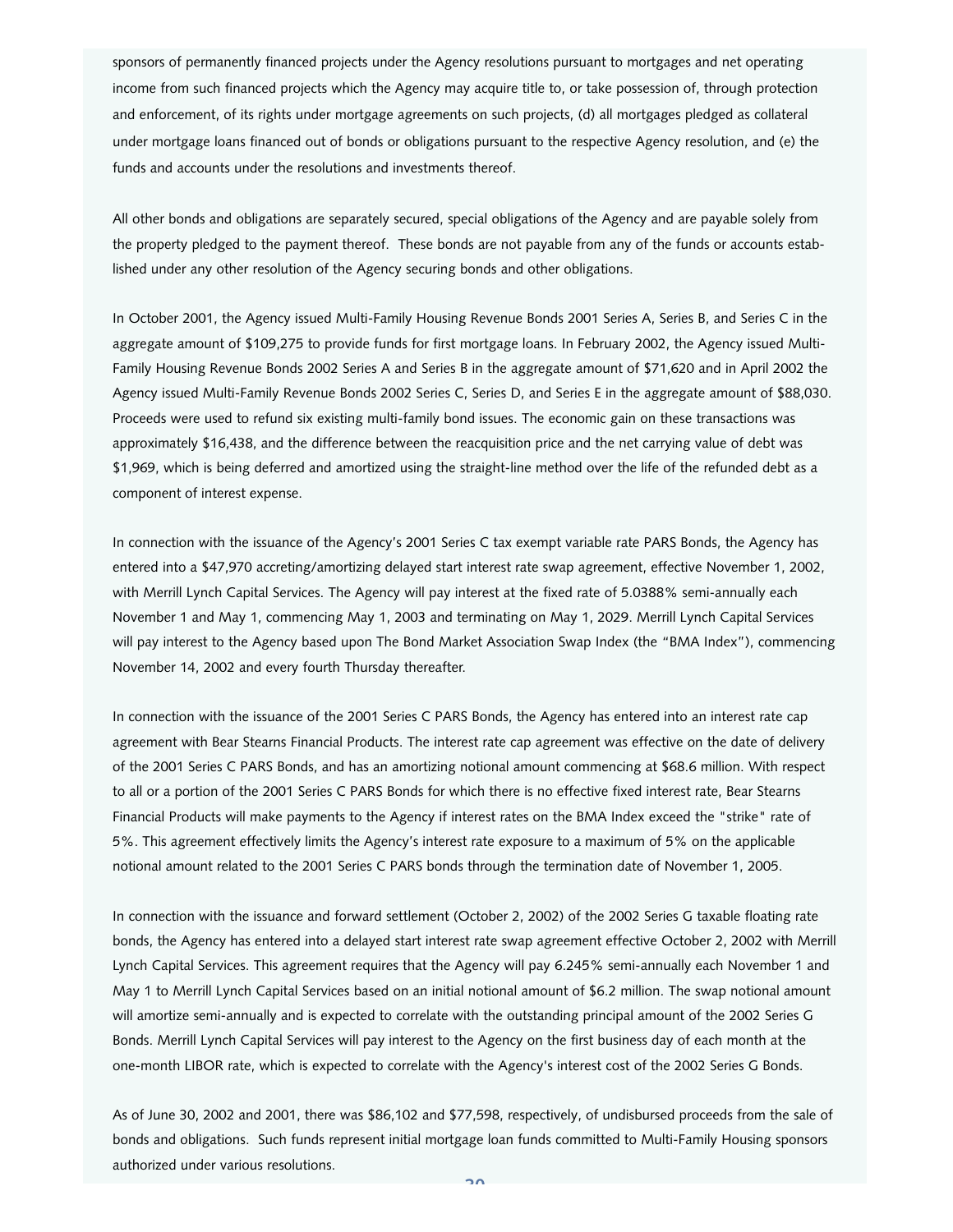sponsors of permanently financed projects under the Agency resolutions pursuant to mortgages and net operating income from such financed projects which the Agency may acquire title to, or take possession of, through protection and enforcement, of its rights under mortgage agreements on such projects, (d) all mortgages pledged as collateral under mortgage loans financed out of bonds or obligations pursuant to the respective Agency resolution, and (e) the funds and accounts under the resolutions and investments thereof.

All other bonds and obligations are separately secured, special obligations of the Agency and are payable solely from the property pledged to the payment thereof. These bonds are not payable from any of the funds or accounts established under any other resolution of the Agency securing bonds and other obligations.

In October 2001, the Agency issued Multi-Family Housing Revenue Bonds 2001 Series A, Series B, and Series C in the aggregate amount of \$109,275 to provide funds for first mortgage loans. In February 2002, the Agency issued Multi-Family Housing Revenue Bonds 2002 Series A and Series B in the aggregate amount of \$71,620 and in April 2002 the Agency issued Multi-Family Revenue Bonds 2002 Series C, Series D, and Series E in the aggregate amount of \$88,030. Proceeds were used to refund six existing multi-family bond issues. The economic gain on these transactions was approximately \$16,438, and the difference between the reacquisition price and the net carrying value of debt was \$1,969, which is being deferred and amortized using the straight-line method over the life of the refunded debt as a component of interest expense.

In connection with the issuance of the Agency's 2001 Series C tax exempt variable rate PARS Bonds, the Agency has entered into a \$47,970 accreting/amortizing delayed start interest rate swap agreement, effective November 1, 2002, with Merrill Lynch Capital Services. The Agency will pay interest at the fixed rate of 5.0388% semi-annually each November 1 and May 1, commencing May 1, 2003 and terminating on May 1, 2029. Merrill Lynch Capital Services will pay interest to the Agency based upon The Bond Market Association Swap Index (the "BMA Index"), commencing November 14, 2002 and every fourth Thursday thereafter.

In connection with the issuance of the 2001 Series C PARS Bonds, the Agency has entered into an interest rate cap agreement with Bear Stearns Financial Products. The interest rate cap agreement was effective on the date of delivery of the 2001 Series C PARS Bonds, and has an amortizing notional amount commencing at \$68.6 million. With respect to all or a portion of the 2001 Series C PARS Bonds for which there is no effective fixed interest rate, Bear Stearns Financial Products will make payments to the Agency if interest rates on the BMA Index exceed the "strike" rate of 5%. This agreement effectively limits the Agency's interest rate exposure to a maximum of 5% on the applicable notional amount related to the 2001 Series C PARS bonds through the termination date of November 1, 2005.

In connection with the issuance and forward settlement (October 2, 2002) of the 2002 Series G taxable floating rate bonds, the Agency has entered into a delayed start interest rate swap agreement effective October 2, 2002 with Merrill Lynch Capital Services. This agreement requires that the Agency will pay 6.245% semi-annually each November 1 and May 1 to Merrill Lynch Capital Services based on an initial notional amount of \$6.2 million. The swap notional amount will amortize semi-annually and is expected to correlate with the outstanding principal amount of the 2002 Series G Bonds. Merrill Lynch Capital Services will pay interest to the Agency on the first business day of each month at the one-month LIBOR rate, which is expected to correlate with the Agency's interest cost of the 2002 Series G Bonds.

As of June 30, 2002 and 2001, there was \$86,102 and \$77,598, respectively, of undisbursed proceeds from the sale of bonds and obligations. Such funds represent initial mortgage loan funds committed to Multi-Family Housing sponsors authorized under various resolutions.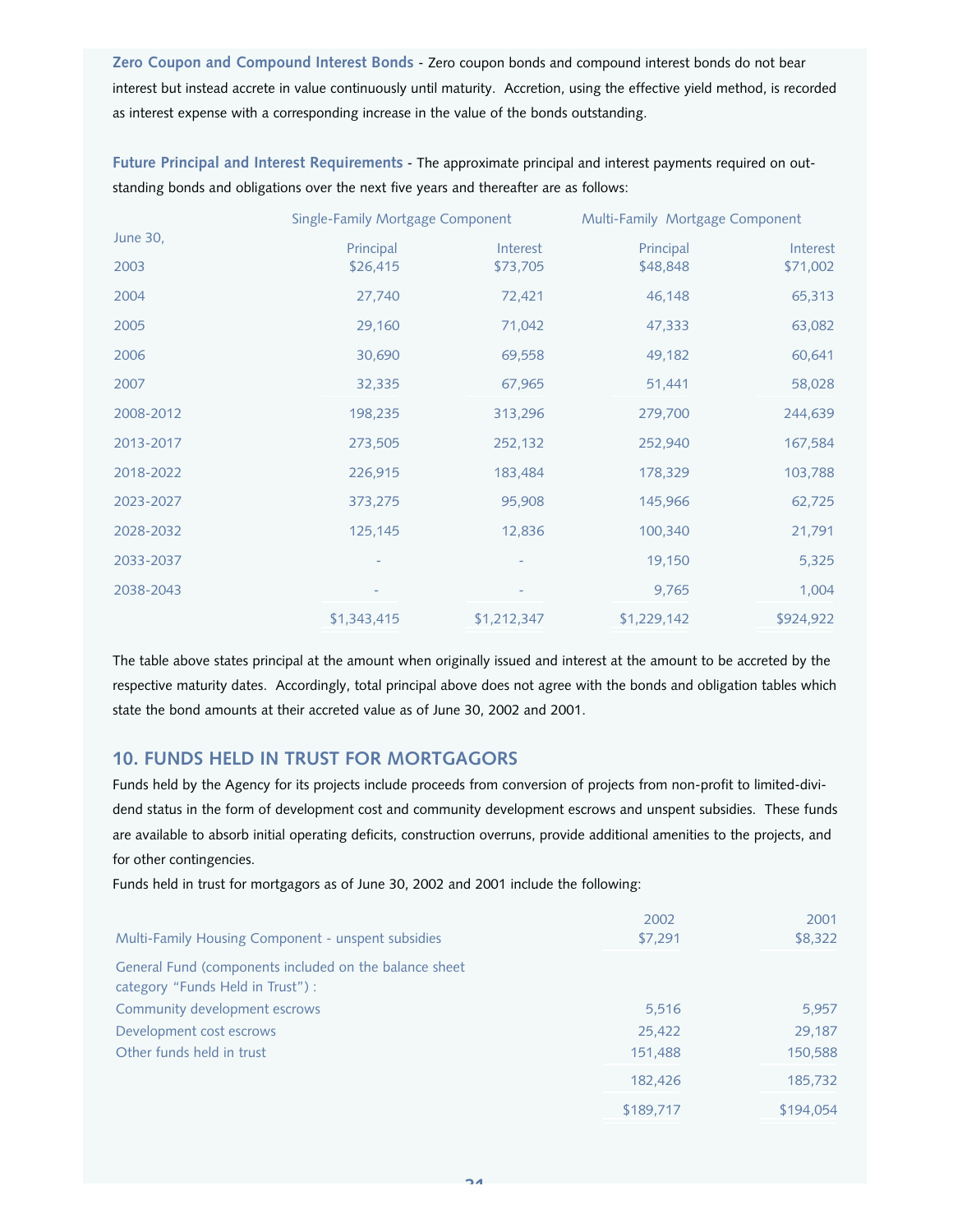**Zero Coupon and Compound Interest Bonds** - Zero coupon bonds and compound interest bonds do not bear interest but instead accrete in value continuously until maturity. Accretion, using the effective yield method, is recorded as interest expense with a corresponding increase in the value of the bonds outstanding.

**Future Principal and Interest Requirements** - The approximate principal and interest payments required on outstanding bonds and obligations over the next five years and thereafter are as follows:

|           | Single-Family Mortgage Component |             | Multi-Family Mortgage Component |           |  |  |
|-----------|----------------------------------|-------------|---------------------------------|-----------|--|--|
| June 30,  | Principal                        | Interest    | Principal                       | Interest  |  |  |
| 2003      | \$26,415                         | \$73,705    | \$48,848                        | \$71,002  |  |  |
| 2004      | 27,740                           | 72,421      | 46,148                          | 65,313    |  |  |
| 2005      | 29,160                           | 71,042      | 47,333                          | 63,082    |  |  |
| 2006      | 30,690                           | 69,558      | 49,182                          | 60,641    |  |  |
| 2007      | 32,335                           | 67,965      | 51,441                          | 58,028    |  |  |
| 2008-2012 | 198,235                          | 313,296     | 279,700                         | 244,639   |  |  |
| 2013-2017 | 273,505                          | 252,132     | 252,940                         | 167,584   |  |  |
| 2018-2022 | 226,915                          | 183,484     | 178,329                         | 103,788   |  |  |
| 2023-2027 | 373,275                          | 95,908      | 145,966                         | 62,725    |  |  |
| 2028-2032 | 125,145                          | 12,836      | 100,340                         | 21,791    |  |  |
| 2033-2037 |                                  |             | 19,150                          | 5,325     |  |  |
| 2038-2043 |                                  |             | 9,765                           | 1,004     |  |  |
|           | \$1,343,415                      | \$1,212,347 | \$1,229,142                     | \$924,922 |  |  |

The table above states principal at the amount when originally issued and interest at the amount to be accreted by the respective maturity dates. Accordingly, total principal above does not agree with the bonds and obligation tables which state the bond amounts at their accreted value as of June 30, 2002 and 2001.

## **10. FUNDS HELD IN TRUST FOR MORTGAGORS**

Funds held by the Agency for its projects include proceeds from conversion of projects from non-profit to limited-dividend status in the form of development cost and community development escrows and unspent subsidies. These funds are available to absorb initial operating deficits, construction overruns, provide additional amenities to the projects, and for other contingencies.

Funds held in trust for mortgagors as of June 30, 2002 and 2001 include the following:

|                                                        | 2002      | 2001      |
|--------------------------------------------------------|-----------|-----------|
| Multi-Family Housing Component - unspent subsidies     | \$7,291   | \$8,322   |
| General Fund (components included on the balance sheet |           |           |
| category "Funds Held in Trust") :                      |           |           |
| Community development escrows                          | 5,516     | 5,957     |
| Development cost escrows                               | 25,422    | 29,187    |
| Other funds held in trust                              | 151,488   | 150,588   |
|                                                        | 182,426   | 185,732   |
|                                                        | \$189,717 | \$194.054 |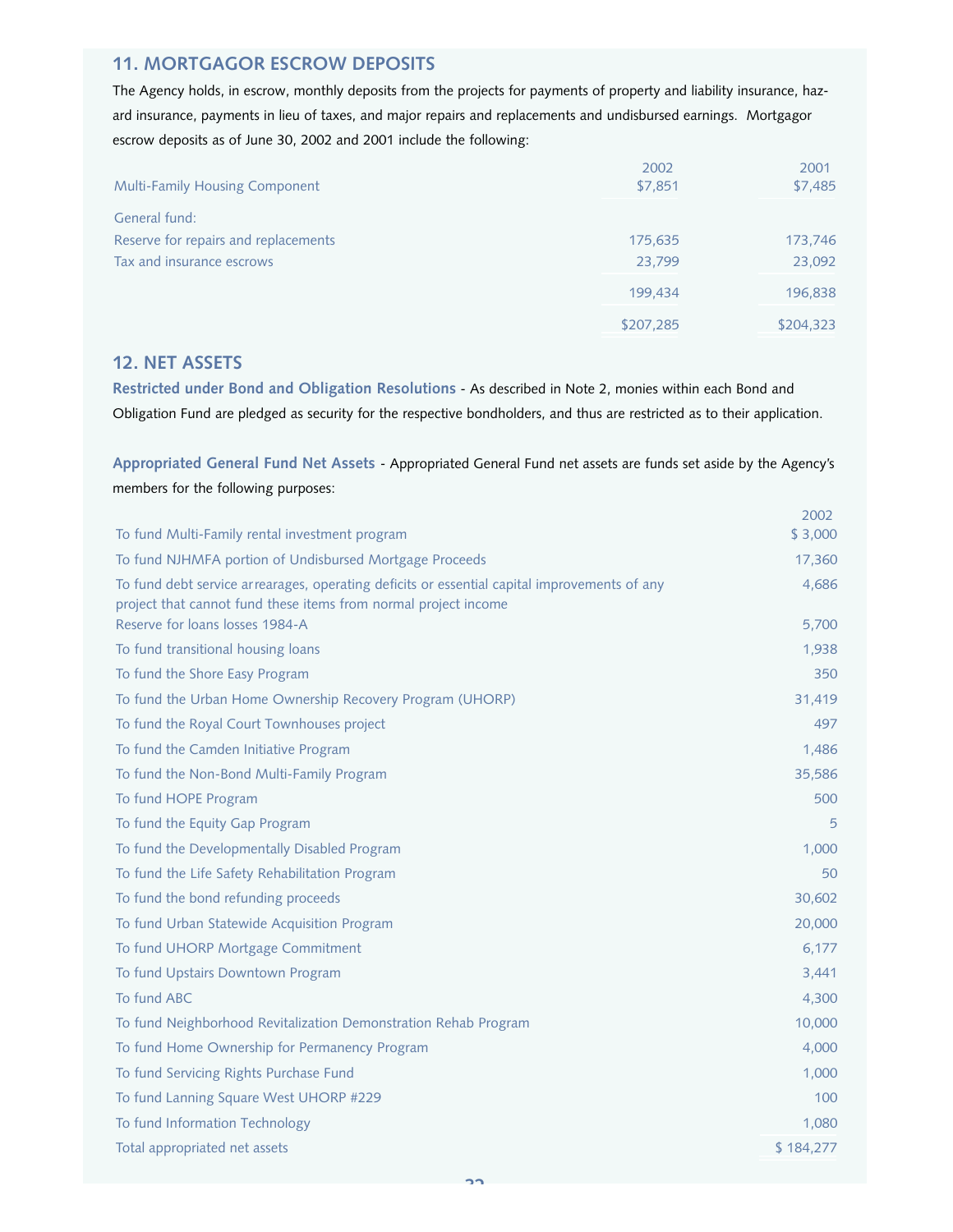## **11. MORTGAGOR ESCROW DEPOSITS**

The Agency holds, in escrow, monthly deposits from the projects for payments of property and liability insurance, hazard insurance, payments in lieu of taxes, and major repairs and replacements and undisbursed earnings. Mortgagor escrow deposits as of June 30, 2002 and 2001 include the following:

| <b>Multi-Family Housing Component</b> | 2002<br>\$7,851 | 2001<br>\$7,485 |
|---------------------------------------|-----------------|-----------------|
| General fund:                         |                 |                 |
| Reserve for repairs and replacements  | 175,635         | 173,746         |
| Tax and insurance escrows             | 23.799          | 23,092          |
|                                       | 199.434         | 196,838         |
|                                       | \$207,285       | \$204,323       |

## **12. NET ASSETS**

**Restricted under Bond and Obligation Resolutions** - As described in Note 2, monies within each Bond and Obligation Fund are pledged as security for the respective bondholders, and thus are restricted as to their application.

**Appropriated General Fund Net Assets** - Appropriated General Fund net assets are funds set aside by the Agency's members for the following purposes:

|                                                                                                                                                                 | 2002<br>\$3,000 |
|-----------------------------------------------------------------------------------------------------------------------------------------------------------------|-----------------|
| To fund Multi-Family rental investment program                                                                                                                  |                 |
| To fund NJHMFA portion of Undisbursed Mortgage Proceeds                                                                                                         | 17,360          |
| To fund debt service arrearages, operating deficits or essential capital improvements of any<br>project that cannot fund these items from normal project income | 4,686           |
| Reserve for loans losses 1984-A                                                                                                                                 | 5,700           |
| To fund transitional housing loans                                                                                                                              | 1,938           |
| To fund the Shore Easy Program                                                                                                                                  | 350             |
| To fund the Urban Home Ownership Recovery Program (UHORP)                                                                                                       | 31,419          |
| To fund the Royal Court Townhouses project                                                                                                                      | 497             |
| To fund the Camden Initiative Program                                                                                                                           | 1,486           |
| To fund the Non-Bond Multi-Family Program                                                                                                                       | 35,586          |
| To fund HOPE Program                                                                                                                                            | 500             |
| To fund the Equity Gap Program                                                                                                                                  | 5               |
| To fund the Developmentally Disabled Program                                                                                                                    | 1,000           |
| To fund the Life Safety Rehabilitation Program                                                                                                                  | 50              |
| To fund the bond refunding proceeds                                                                                                                             | 30,602          |
| To fund Urban Statewide Acquisition Program                                                                                                                     | 20,000          |
| To fund UHORP Mortgage Commitment                                                                                                                               | 6,177           |
| To fund Upstairs Downtown Program                                                                                                                               | 3,441           |
| To fund ABC                                                                                                                                                     | 4,300           |
| To fund Neighborhood Revitalization Demonstration Rehab Program                                                                                                 | 10,000          |
| To fund Home Ownership for Permanency Program                                                                                                                   | 4,000           |
| To fund Servicing Rights Purchase Fund                                                                                                                          | 1,000           |
| To fund Lanning Square West UHORP #229                                                                                                                          | 100             |
| To fund Information Technology                                                                                                                                  | 1,080           |
| Total appropriated net assets                                                                                                                                   | \$184,277       |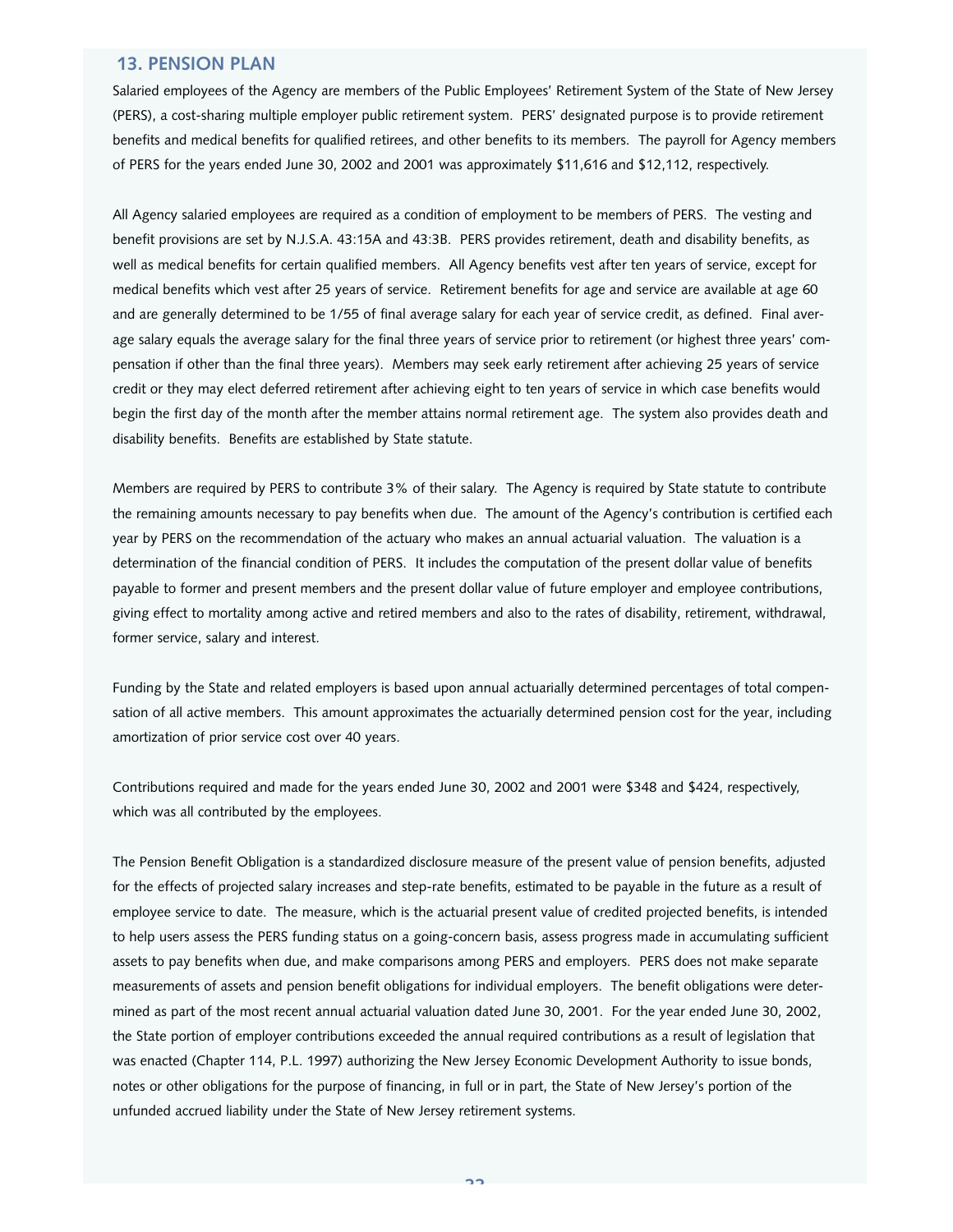## **13. PENSION PLAN**

Salaried employees of the Agency are members of the Public Employees' Retirement System of the State of New Jersey (PERS), a cost-sharing multiple employer public retirement system. PERS' designated purpose is to provide retirement benefits and medical benefits for qualified retirees, and other benefits to its members. The payroll for Agency members of PERS for the years ended June 30, 2002 and 2001 was approximately \$11,616 and \$12,112, respectively.

All Agency salaried employees are required as a condition of employment to be members of PERS. The vesting and benefit provisions are set by N.J.S.A. 43:15A and 43:3B. PERS provides retirement, death and disability benefits, as well as medical benefits for certain qualified members. All Agency benefits vest after ten years of service, except for medical benefits which vest after 25 years of service. Retirement benefits for age and service are available at age 60 and are generally determined to be 1/55 of final average salary for each year of service credit, as defined. Final average salary equals the average salary for the final three years of service prior to retirement (or highest three years' compensation if other than the final three years). Members may seek early retirement after achieving 25 years of service credit or they may elect deferred retirement after achieving eight to ten years of service in which case benefits would begin the first day of the month after the member attains normal retirement age. The system also provides death and disability benefits. Benefits are established by State statute.

Members are required by PERS to contribute 3% of their salary. The Agency is required by State statute to contribute the remaining amounts necessary to pay benefits when due. The amount of the Agency's contribution is certified each year by PERS on the recommendation of the actuary who makes an annual actuarial valuation. The valuation is a determination of the financial condition of PERS. It includes the computation of the present dollar value of benefits payable to former and present members and the present dollar value of future employer and employee contributions, giving effect to mortality among active and retired members and also to the rates of disability, retirement, withdrawal, former service, salary and interest.

Funding by the State and related employers is based upon annual actuarially determined percentages of total compensation of all active members. This amount approximates the actuarially determined pension cost for the year, including amortization of prior service cost over 40 years.

Contributions required and made for the years ended June 30, 2002 and 2001 were \$348 and \$424, respectively, which was all contributed by the employees.

The Pension Benefit Obligation is a standardized disclosure measure of the present value of pension benefits, adjusted for the effects of projected salary increases and step-rate benefits, estimated to be payable in the future as a result of employee service to date. The measure, which is the actuarial present value of credited projected benefits, is intended to help users assess the PERS funding status on a going-concern basis, assess progress made in accumulating sufficient assets to pay benefits when due, and make comparisons among PERS and employers. PERS does not make separate measurements of assets and pension benefit obligations for individual employers. The benefit obligations were determined as part of the most recent annual actuarial valuation dated June 30, 2001. For the year ended June 30, 2002, the State portion of employer contributions exceeded the annual required contributions as a result of legislation that was enacted (Chapter 114, P.L. 1997) authorizing the New Jersey Economic Development Authority to issue bonds, notes or other obligations for the purpose of financing, in full or in part, the State of New Jersey's portion of the unfunded accrued liability under the State of New Jersey retirement systems.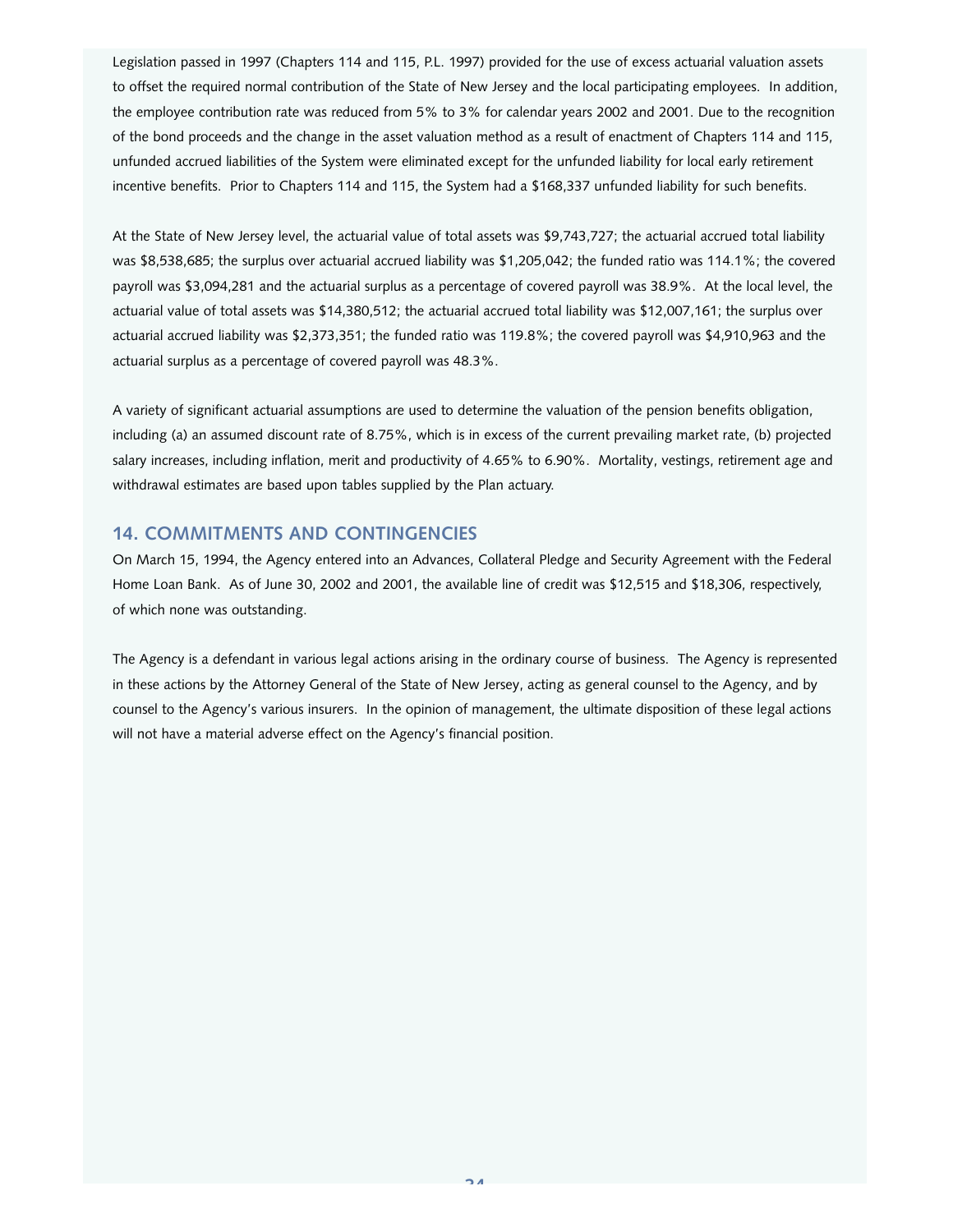Legislation passed in 1997 (Chapters 114 and 115, P.L. 1997) provided for the use of excess actuarial valuation assets to offset the required normal contribution of the State of New Jersey and the local participating employees. In addition, the employee contribution rate was reduced from 5% to 3% for calendar years 2002 and 2001. Due to the recognition of the bond proceeds and the change in the asset valuation method as a result of enactment of Chapters 114 and 115, unfunded accrued liabilities of the System were eliminated except for the unfunded liability for local early retirement incentive benefits. Prior to Chapters 114 and 115, the System had a \$168,337 unfunded liability for such benefits.

At the State of New Jersey level, the actuarial value of total assets was \$9,743,727; the actuarial accrued total liability was \$8,538,685; the surplus over actuarial accrued liability was \$1,205,042; the funded ratio was 114.1%; the covered payroll was \$3,094,281 and the actuarial surplus as a percentage of covered payroll was 38.9%. At the local level, the actuarial value of total assets was \$14,380,512; the actuarial accrued total liability was \$12,007,161; the surplus over actuarial accrued liability was \$2,373,351; the funded ratio was 119.8%; the covered payroll was \$4,910,963 and the actuarial surplus as a percentage of covered payroll was 48.3%.

A variety of significant actuarial assumptions are used to determine the valuation of the pension benefits obligation, including (a) an assumed discount rate of 8.75%, which is in excess of the current prevailing market rate, (b) projected salary increases, including inflation, merit and productivity of 4.65% to 6.90%. Mortality, vestings, retirement age and withdrawal estimates are based upon tables supplied by the Plan actuary.

## **14. COMMITMENTS AND CONTINGENCIES**

On March 15, 1994, the Agency entered into an Advances, Collateral Pledge and Security Agreement with the Federal Home Loan Bank. As of June 30, 2002 and 2001, the available line of credit was \$12,515 and \$18,306, respectively, of which none was outstanding.

The Agency is a defendant in various legal actions arising in the ordinary course of business. The Agency is represented in these actions by the Attorney General of the State of New Jersey, acting as general counsel to the Agency, and by counsel to the Agency's various insurers. In the opinion of management, the ultimate disposition of these legal actions will not have a material adverse effect on the Agency's financial position.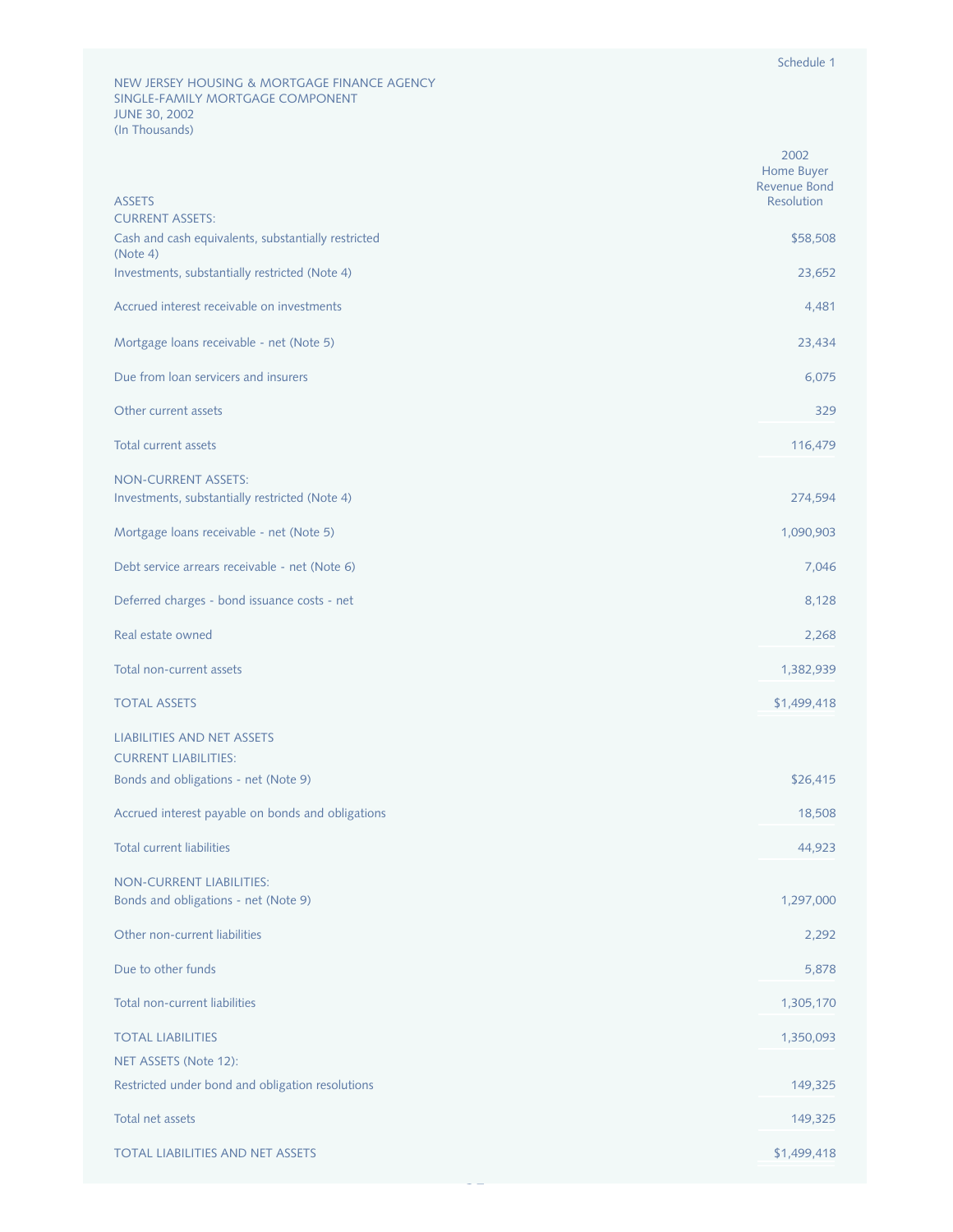|                                                                              | 2002<br>Home Buyer<br><b>Revenue Bond</b> |
|------------------------------------------------------------------------------|-------------------------------------------|
| <b>ASSETS</b><br><b>CURRENT ASSETS:</b>                                      | Resolution                                |
| Cash and cash equivalents, substantially restricted<br>(Note 4)              | \$58,508                                  |
| Investments, substantially restricted (Note 4)                               | 23,652                                    |
| Accrued interest receivable on investments                                   | 4,481                                     |
| Mortgage loans receivable - net (Note 5)                                     | 23,434                                    |
| Due from loan servicers and insurers                                         | 6,075                                     |
| Other current assets                                                         | 329                                       |
| <b>Total current assets</b>                                                  | 116,479                                   |
| <b>NON-CURRENT ASSETS:</b><br>Investments, substantially restricted (Note 4) | 274,594                                   |
| Mortgage loans receivable - net (Note 5)                                     | 1,090,903                                 |
| Debt service arrears receivable - net (Note 6)                               | 7,046                                     |
| Deferred charges - bond issuance costs - net                                 | 8,128                                     |
| Real estate owned                                                            | 2,268                                     |
| Total non-current assets                                                     | 1,382,939                                 |
| <b>TOTAL ASSETS</b>                                                          | \$1,499,418                               |
| <b>LIABILITIES AND NET ASSETS</b>                                            |                                           |
| <b>CURRENT LIABILITIES:</b><br>Bonds and obligations - net (Note 9)          | \$26,415                                  |
| Accrued interest payable on bonds and obligations                            | 18,508                                    |
| <b>Total current liabilities</b>                                             | 44,923                                    |
| <b>NON-CURRENT LIABILITIES:</b>                                              |                                           |
| Bonds and obligations - net (Note 9)                                         | 1,297,000                                 |
| Other non-current liabilities                                                | 2,292                                     |
| Due to other funds                                                           | 5,878                                     |
| Total non-current liabilities                                                | 1,305,170                                 |
| <b>TOTAL LIABILITIES</b>                                                     | 1,350,093                                 |
| NET ASSETS (Note 12):<br>Restricted under bond and obligation resolutions    | 149,325                                   |
| Total net assets                                                             | 149,325                                   |
| <b>TOTAL LIABILITIES AND NET ASSETS</b>                                      | \$1,499,418                               |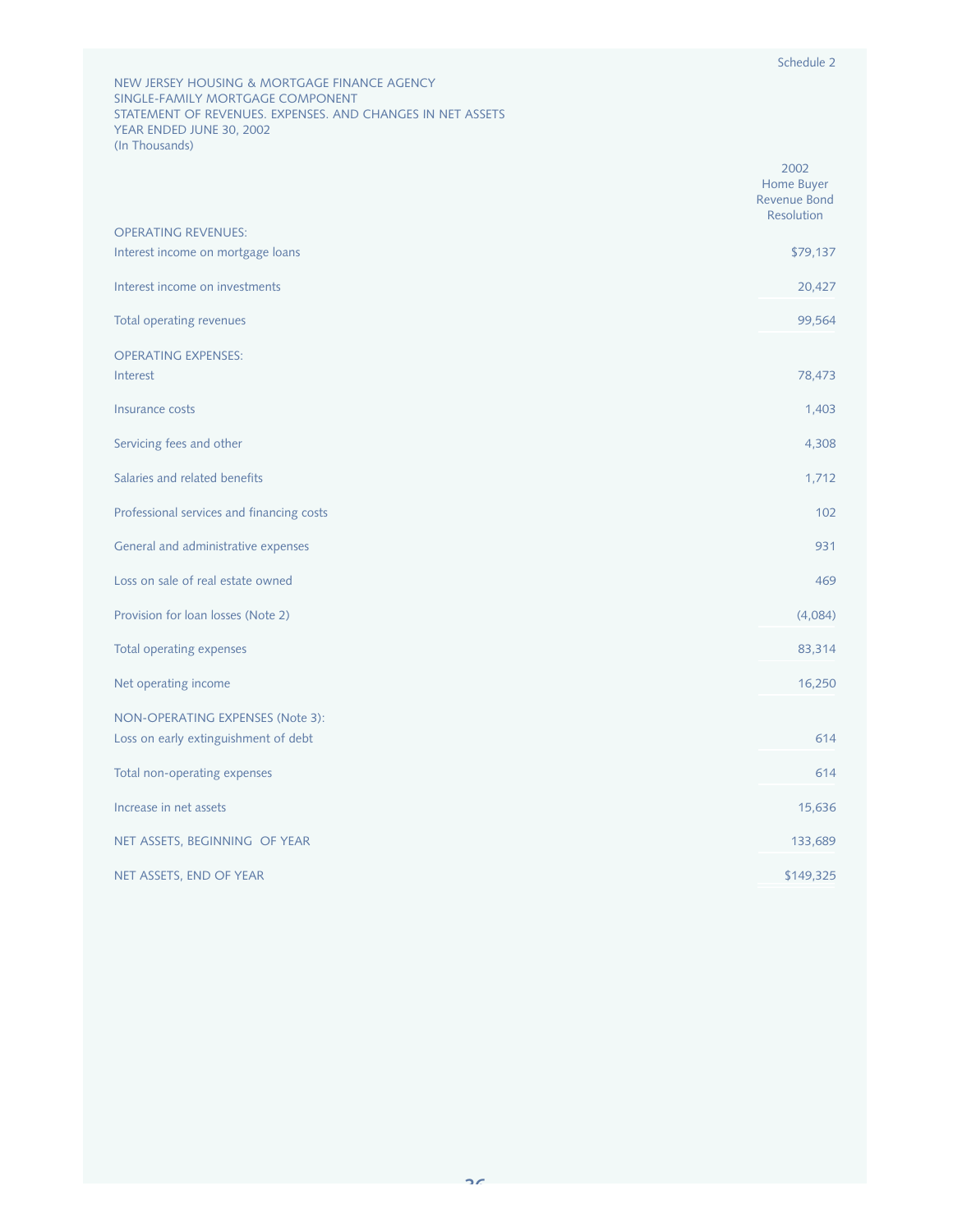NEW JERSEY HOUSING & MORTGAGE FINANCE AGENCY SINGLE-FAMILY MORTGAGE COMPONENT STATEMENT OF REVENUES. EXPENSES. AND CHANGES IN NET ASSETS YEAR ENDED JUNE 30, 2002 (In Thousands)

|                                                                 | 2002<br>Home Buyer<br><b>Revenue Bond</b><br><b>Resolution</b> |
|-----------------------------------------------------------------|----------------------------------------------------------------|
| <b>OPERATING REVENUES:</b><br>Interest income on mortgage loans | \$79,137                                                       |
| Interest income on investments                                  |                                                                |
|                                                                 | 20,427                                                         |
| Total operating revenues                                        | 99,564                                                         |
| <b>OPERATING EXPENSES:</b><br>Interest                          | 78,473                                                         |
| Insurance costs                                                 | 1,403                                                          |
| Servicing fees and other                                        | 4,308                                                          |
| Salaries and related benefits                                   | 1,712                                                          |
| Professional services and financing costs                       | 102                                                            |
| General and administrative expenses                             | 931                                                            |
| Loss on sale of real estate owned                               | 469                                                            |
| Provision for loan losses (Note 2)                              | (4,084)                                                        |
| Total operating expenses                                        | 83,314                                                         |
| Net operating income                                            | 16,250                                                         |
| NON-OPERATING EXPENSES (Note 3):                                |                                                                |
| Loss on early extinguishment of debt                            | 614                                                            |
| Total non-operating expenses                                    | 614                                                            |
| Increase in net assets                                          | 15,636                                                         |
| NET ASSETS, BEGINNING OF YEAR                                   | 133,689                                                        |
| NET ASSETS, END OF YEAR                                         | \$149,325                                                      |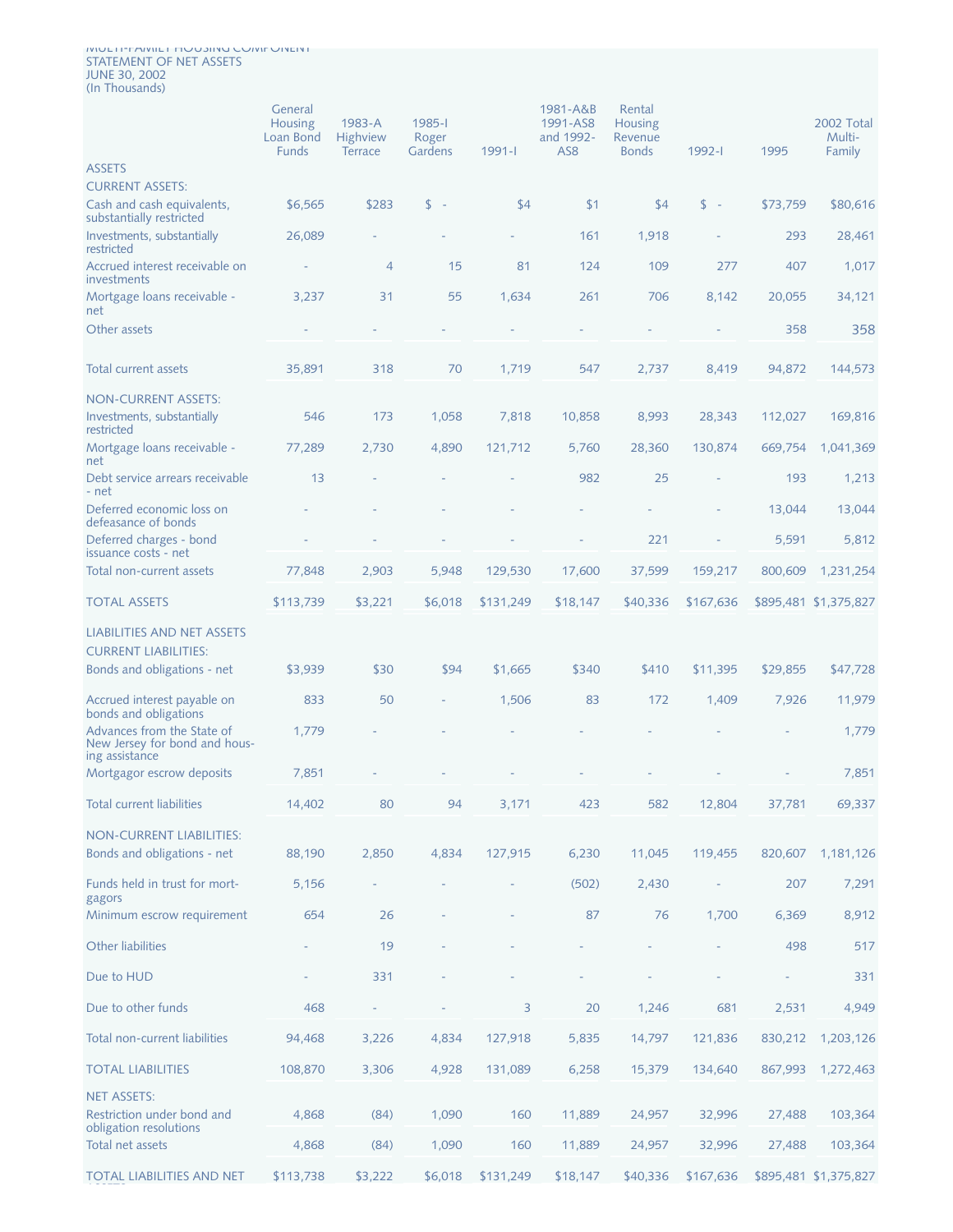#### MULTI-FAMILY HOUSING COMPONENT STATEMENT OF NET ASSETS JUNE 30, 2002 (In Thousands)

ASSETS

|                                                                               | General<br><b>Housing</b><br>Loan Bond<br><b>Funds</b> | 1983-A<br>Highview<br><b>Terrace</b> | 1985-l<br>Roger<br>Gardens | $1991 - 1$ | 1981-A&B<br>1991-AS8<br>and 1992-<br>AS <sub>8</sub> | Rental<br><b>Housing</b><br>Revenue<br><b>Bonds</b> | 1992-1    | 1995     | 2002 Total<br>Multi-<br>Family |
|-------------------------------------------------------------------------------|--------------------------------------------------------|--------------------------------------|----------------------------|------------|------------------------------------------------------|-----------------------------------------------------|-----------|----------|--------------------------------|
| <b>ASSETS</b><br><b>CURRENT ASSETS:</b>                                       |                                                        |                                      |                            |            |                                                      |                                                     |           |          |                                |
| Cash and cash equivalents,<br>substantially restricted                        | \$6,565                                                | \$283                                | $s -$                      | \$4        | \$1                                                  | \$4                                                 | $s -$     | \$73,759 | \$80,616                       |
| Investments, substantially<br>restricted                                      | 26,089                                                 |                                      |                            |            | 161                                                  | 1,918                                               |           | 293      | 28,461                         |
| Accrued interest receivable on<br>investments                                 |                                                        | $\overline{4}$                       | 15                         | 81         | 124                                                  | 109                                                 | 277       | 407      | 1,017                          |
| Mortgage loans receivable -<br>net                                            | 3,237                                                  | 31                                   | 55                         | 1,634      | 261                                                  | 706                                                 | 8,142     | 20,055   | 34,121                         |
| Other assets                                                                  |                                                        |                                      |                            |            |                                                      |                                                     |           | 358      | 358                            |
| Total current assets                                                          | 35,891                                                 | 318                                  | 70                         | 1,719      | 547                                                  | 2,737                                               | 8,419     | 94,872   | 144,573                        |
| <b>NON-CURRENT ASSETS:</b>                                                    |                                                        |                                      |                            |            |                                                      |                                                     |           |          |                                |
| Investments, substantially<br>restricted                                      | 546                                                    | 173                                  | 1,058                      | 7,818      | 10,858                                               | 8,993                                               | 28,343    | 112,027  | 169,816                        |
| Mortgage loans receivable -<br>net                                            | 77,289                                                 | 2,730                                | 4,890                      | 121,712    | 5,760                                                | 28,360                                              | 130,874   | 669.754  | 1,041,369                      |
| Debt service arrears receivable<br>- net                                      | 13                                                     |                                      |                            |            | 982                                                  | 25                                                  |           | 193      | 1,213                          |
| Deferred economic loss on<br>defeasance of bonds                              |                                                        |                                      |                            |            |                                                      |                                                     |           | 13,044   | 13,044                         |
| Deferred charges - bond<br>issuance costs - net                               |                                                        |                                      |                            |            |                                                      | 221                                                 |           | 5,591    | 5,812                          |
| Total non-current assets                                                      | 77,848                                                 | 2,903                                | 5,948                      | 129,530    | 17,600                                               | 37,599                                              | 159,217   | 800,609  | 1,231,254                      |
| <b>TOTAL ASSETS</b>                                                           | \$113,739                                              | \$3,221                              | \$6,018                    | \$131,249  | \$18,147                                             | \$40,336                                            | \$167,636 |          | \$895,481 \$1,375,827          |
| <b>LIABILITIES AND NET ASSETS</b>                                             |                                                        |                                      |                            |            |                                                      |                                                     |           |          |                                |
| <b>CURRENT LIABILITIES:</b>                                                   |                                                        | \$30                                 | \$94                       |            |                                                      |                                                     |           | \$29,855 | \$47,728                       |
| Bonds and obligations - net                                                   | \$3,939                                                |                                      |                            | \$1,665    | \$340                                                | \$410                                               | \$11,395  |          |                                |
| Accrued interest payable on<br>bonds and obligations                          | 833                                                    | 50                                   |                            | 1,506      | 83                                                   | 172                                                 | 1,409     | 7,926    | 11,979                         |
| Advances from the State of<br>New Jersey for bond and hous-<br>ing assistance | 1,779                                                  |                                      |                            |            |                                                      |                                                     |           |          | 1,779                          |
| Mortgagor escrow deposits                                                     | 7,851                                                  |                                      |                            |            |                                                      |                                                     |           |          | 7,851                          |
| <b>Total current liabilities</b>                                              | 14,402                                                 | 80                                   | 94                         | 3,171      | 423                                                  | 582                                                 | 12,804    | 37,781   | 69,337                         |
| <b>NON-CURRENT LIABILITIES:</b>                                               |                                                        |                                      |                            |            |                                                      |                                                     |           |          |                                |
| Bonds and obligations - net                                                   | 88,190                                                 | 2,850                                | 4,834                      | 127,915    | 6,230                                                | 11,045                                              | 119,455   | 820,607  | 1,181,126                      |
| Funds held in trust for mort-<br>gagors                                       | 5,156                                                  |                                      |                            |            | (502)                                                | 2,430                                               |           | 207      | 7,291                          |
| Minimum escrow requirement                                                    | 654                                                    | 26                                   |                            |            | 87                                                   | 76                                                  | 1,700     | 6,369    | 8,912                          |
| <b>Other liabilities</b>                                                      |                                                        | 19                                   |                            |            |                                                      |                                                     |           | 498      | 517                            |
| Due to HUD                                                                    |                                                        | 331                                  |                            |            |                                                      |                                                     |           |          | 331                            |
| Due to other funds                                                            | 468                                                    |                                      |                            | 3          | 20                                                   | 1,246                                               | 681       | 2,531    | 4,949                          |
| Total non-current liabilities                                                 | 94,468                                                 | 3,226                                | 4,834                      | 127,918    | 5,835                                                | 14,797                                              | 121,836   | 830,212  | 1,203,126                      |
| <b>TOTAL LIABILITIES</b>                                                      | 108,870                                                | 3,306                                | 4,928                      | 131,089    | 6,258                                                | 15,379                                              | 134,640   | 867,993  | 1,272,463                      |
| <b>NET ASSETS:</b><br>Restriction under bond and                              | 4,868                                                  | (84)                                 | 1,090                      | 160        | 11,889                                               | 24,957                                              | 32,996    | 27,488   | 103,364                        |
| obligation resolutions                                                        |                                                        |                                      |                            |            |                                                      |                                                     |           |          |                                |
| Total net assets                                                              | 4,868                                                  | (84)                                 | 1,090                      | 160        | 11,889                                               | 24,957                                              | 32,996    | 27,488   | 103,364                        |
| TOTAL LIABILITIES AND NET                                                     | \$113,738                                              | \$3,222                              | \$6,018                    | \$131,249  | \$18,147                                             | \$40,336                                            | \$167,636 |          | \$895,481 \$1,375,827          |